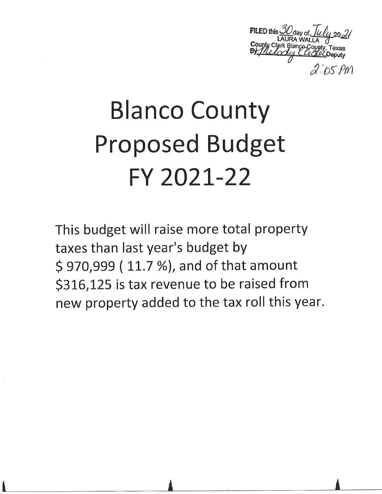County Clerk<br>By //lely

# **Blanco County Proposed Budget** FY 2021-22

This budget will raise more total property taxes than last year's budget by \$970,999 (11.7%), and of that amount \$316,125 is tax revenue to be raised from new property added to the tax roll this year.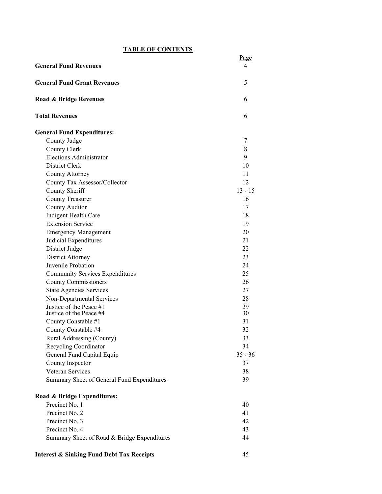## **TABLE OF CONTENTS**

| <u>IADLE UF CUNTENIS</u>                             |                        |
|------------------------------------------------------|------------------------|
| <b>General Fund Revenues</b>                         | Page<br>$\overline{4}$ |
|                                                      |                        |
| <b>General Fund Grant Revenues</b>                   | 5                      |
| Road & Bridge Revenues                               | 6                      |
| <b>Total Revenues</b>                                | 6                      |
| <b>General Fund Expenditures:</b>                    |                        |
| County Judge                                         | 7                      |
| County Clerk                                         | 8                      |
| Elections Administrator                              | 9                      |
| District Clerk                                       | 10                     |
| County Attorney                                      | 11                     |
| County Tax Assessor/Collector                        | 12                     |
| County Sheriff                                       | $13 - 15$              |
| <b>County Treasurer</b>                              | 16                     |
| County Auditor                                       | 17                     |
| Indigent Health Care                                 | 18                     |
| <b>Extension Service</b>                             | 19                     |
| <b>Emergency Management</b>                          | 20                     |
| Judicial Expenditures                                | 21                     |
| District Judge                                       | 22                     |
|                                                      | 23                     |
| <b>District Attorney</b>                             |                        |
| Juvenile Probation                                   | 24                     |
| <b>Community Services Expenditures</b>               | 25                     |
| <b>County Commissioners</b>                          | 26                     |
| <b>State Agencies Services</b>                       | 27                     |
| Non-Departmental Services                            | 28                     |
| Justice of the Peace #1                              | 29                     |
| Justice of the Peace #4                              | 30                     |
| County Constable #1                                  | 31                     |
| County Constable #4                                  | 32                     |
| Rural Addressing (County)                            | 33                     |
| Recycling Coordinator                                | 34                     |
| General Fund Capital Equip                           | $35 - 36$              |
| County Inspector                                     | 37                     |
| Veteran Services                                     | 38                     |
| Summary Sheet of General Fund Expenditures           | 39                     |
| Road & Bridge Expenditures:                          |                        |
| Precinct No. 1                                       | 40                     |
| Precinct No. 2                                       | 41                     |
| Precinct No. 3                                       | 42                     |
| Precinct No. 4                                       | 43                     |
| Summary Sheet of Road & Bridge Expenditures          | 44                     |
| <b>Interest &amp; Sinking Fund Debt Tax Receipts</b> | 45                     |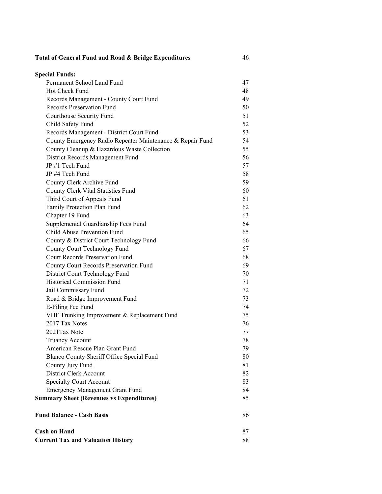| Total of General Fund and Road & Bridge Expenditures      | 46 |
|-----------------------------------------------------------|----|
| <b>Special Funds:</b>                                     |    |
| Permanent School Land Fund                                | 47 |
| Hot Check Fund                                            | 48 |
| Records Management - County Court Fund                    | 49 |
| Records Preservation Fund                                 | 50 |
| Courthouse Security Fund                                  | 51 |
| Child Safety Fund                                         | 52 |
| Records Management - District Court Fund                  | 53 |
| County Emergency Radio Repeater Maintenance & Repair Fund | 54 |
| County Cleanup & Hazardous Waste Collection               | 55 |
| District Records Management Fund                          | 56 |
| JP #1 Tech Fund                                           | 57 |
| JP #4 Tech Fund                                           | 58 |
| County Clerk Archive Fund                                 | 59 |
| County Clerk Vital Statistics Fund                        | 60 |
| Third Court of Appeals Fund                               | 61 |
| Family Protection Plan Fund                               | 62 |
| Chapter 19 Fund                                           | 63 |
| Supplemental Guardianship Fees Fund                       | 64 |
| Child Abuse Prevention Fund                               | 65 |
| County & District Court Technology Fund                   | 66 |
| County Court Technology Fund                              | 67 |
| <b>Court Records Preservation Fund</b>                    | 68 |
| County Court Records Preservation Fund                    | 69 |
| District Court Technology Fund                            | 70 |
| <b>Historical Commission Fund</b>                         | 71 |
| Jail Commissary Fund                                      | 72 |
| Road & Bridge Improvement Fund                            | 73 |
| E-Filing Fee Fund                                         | 74 |
| VHF Trunking Improvement & Replacement Fund               | 75 |
| 2017 Tax Notes                                            | 76 |
| 2021Tax Note                                              | 77 |
| <b>Truancy Account</b>                                    | 78 |
| American Rescue Plan Grant Fund                           | 79 |
| Blanco County Sheriff Office Special Fund                 | 80 |
| County Jury Fund                                          | 81 |
| District Clerk Account                                    | 82 |
| <b>Specialty Court Account</b>                            | 83 |
| <b>Emergency Management Grant Fund</b>                    | 84 |
| <b>Summary Sheet (Revenues vs Expenditures)</b>           | 85 |
| <b>Fund Balance - Cash Basis</b>                          | 86 |
| <b>Cash on Hand</b>                                       | 87 |
| <b>Current Tax and Valuation History</b>                  | 88 |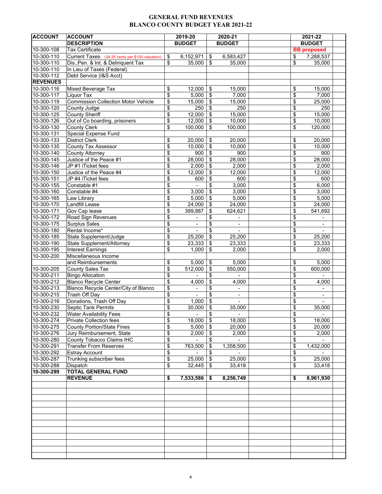#### **GENERAL FUND REVENUES BLANCO COUNTY BUDGET YEAR 2021-22**

| <b>ACCOUNT</b>           | <b>ACCOUNT</b>                                  |                 | 2019-20                  |                           | 2020-21                  |    | 2021-22                  |  |
|--------------------------|-------------------------------------------------|-----------------|--------------------------|---------------------------|--------------------------|----|--------------------------|--|
|                          | <b>DESCRIPTION</b>                              |                 | <b>BUDGET</b>            |                           | <b>BUDGET</b>            |    | <b>BUDGET</b>            |  |
| $10 - 300 - 108$         | <b>Tax Certificate</b>                          |                 |                          |                           |                          |    | <b>BB</b> proposed       |  |
| 10-300-110               | Current Taxes (34.25 cents per \$100 valuation) | \$              | 6,152,971                | \$                        | 6,583,427                | \$ | 7,288,537                |  |
| 10-300-110               | Dis., Pen. & Int. & Delinquent Tax              | \$              | 35,000                   | \$                        | 35,000                   | \$ | 35,000                   |  |
| 10-300-110               | In Lieu of Taxes (Federal)                      |                 |                          |                           |                          |    |                          |  |
| 10-300-112               | Debt Service (I&S Acct)                         |                 |                          |                           |                          |    |                          |  |
| <b>REVENUES</b>          |                                                 |                 |                          |                           |                          |    |                          |  |
| 10-300-116               | Mixed Beverage Tax                              | \$              | 12,000                   | \$                        | 15,000                   | \$ | 15,000                   |  |
| 10-300-117               | Liquor Tax                                      | \$              | 5,000                    | \$                        | 7,000                    | \$ | 7,000                    |  |
| $\overline{10}$ -300-119 | <b>Commission Collection Motor Vehicle</b>      | \$              | 15,000                   | \$                        | 15,000                   | \$ | 25,000                   |  |
| 10-300-120               | County Judge                                    | \$              | 250                      | $\sqrt[6]{\frac{1}{2}}$   | 250                      | \$ | 250                      |  |
| 10-300-125               | <b>County Sheriff</b>                           | \$              | 12,000                   | \$                        | 15,000                   | \$ | 15,000                   |  |
| 10-300-126               | Out of Co boarding, prisoners                   | \$              | 12,000                   | \$                        | 10,000                   | \$ | 10,000                   |  |
| 10-300-130               | <b>County Clerk</b>                             | \$              | 100,000                  | \$                        | 100,000                  | \$ | 120,000                  |  |
| 10-300-131               | Special Expense Fund                            |                 |                          |                           |                          |    |                          |  |
| 10-300-133               | <b>District Clerk</b>                           | \$              | 20,000                   | \$                        | 20,000                   | \$ | 20,000                   |  |
| $\overline{10}$ -300-135 | County Tax Assessor                             | \$              | 10,000                   | $\boldsymbol{\mathsf{S}}$ | 10,000                   | \$ | 10,000                   |  |
| 10-300-140               | <b>County Attorney</b>                          | \$              | 900                      | $\boldsymbol{\mathsf{S}}$ | 900                      |    | 900                      |  |
|                          |                                                 |                 |                          |                           |                          | \$ | 28,000                   |  |
| 10-300-145               | Justice of the Peace #1                         | \$              | 28,000                   | \$                        | 28,000                   | \$ |                          |  |
| $10 - 300 - 146$         | JP #1 iTicket fees                              | $\overline{\$}$ | 2,000                    | \$                        | 2,000                    | \$ | 2,000                    |  |
| 10-300-150               | Justice of the Peace #4                         | \$              | 12,000                   | \$                        | 12,000                   | \$ | 12,000                   |  |
| 10-300-151               | JP #4 iTicket fees                              | \$              | 600                      | \$                        | 600                      | \$ | 600                      |  |
| 10-300-155               | Constable #1                                    | \$              |                          | \$                        | 3,000                    | \$ | 6,000                    |  |
| 10-300-160               | Constable #4                                    | \$              | 3,000                    | \$                        | 3,000                    | \$ | 3,000                    |  |
| 10-300-165               | Law Library                                     | \$              | 5,000                    | \$                        | 5,000                    | \$ | 5,000                    |  |
| 10-300-170               | <b>Landfill Lease</b>                           | \$              | 24,000                   | \$                        | 24,000                   | \$ | 24,000                   |  |
| 10-300-171               | Gov Cap lease                                   | \$              | 399,887                  | \$                        | 624,621                  | \$ | 541,692                  |  |
| 10-300-172               | Road Sign Revenues                              | \$              |                          | \$                        | $\overline{\phantom{a}}$ | \$ |                          |  |
| 10-300-175               | Surplus Sales                                   | \$              | $\overline{\phantom{a}}$ | \$                        | $\overline{\phantom{a}}$ | \$ | $\overline{\phantom{a}}$ |  |
| 10-300-180               | Rental Income*                                  | \$              |                          | \$                        |                          | \$ |                          |  |
| 10-300-185               | State Supplement/Judge                          | \$              | 25,200                   | \$                        | 25,200                   | \$ | 25,200                   |  |
| 10-300-190               | State Supplement/Attorney                       | \$              | 23,333                   | \$                        | 23,333                   | \$ | 23,333                   |  |
| 10-300-195               | <b>Interest Earnings</b>                        | \$              | 1,000                    | \$                        | 2,000                    | \$ | 2,000                    |  |
| 10-300-200               | Miscellaneous Income                            |                 |                          |                           |                          |    |                          |  |
|                          | and Reimbursements                              | \$              | 5,000                    | \$                        | 5,000                    | \$ | 5,000                    |  |
| 10-300-205               | <b>County Sales Tax</b>                         | \$              | 512,000                  | \$                        | 550,000                  | \$ | 600,000                  |  |
| 10-300-211               | <b>Bingo Allocation</b>                         | $\overline{\$}$ |                          | \$                        |                          | \$ |                          |  |
| 10-300-212               | <b>Blanco Recycle Center</b>                    | \$              | 4,000                    | \$                        | 4,000                    | \$ | 4,000                    |  |
| 10-300-213               | Blanco Recycle Center/City of Blanco            | \$              |                          | \$                        |                          | \$ |                          |  |
| 10-300-215               | Trash Off Day                                   | \$              | $\blacksquare$           | \$                        | $\overline{\phantom{a}}$ | \$ | $\overline{\phantom{0}}$ |  |
| 10-300-216               | Donations, Trash Off Day                        | \$              | 1,000                    | \$                        | $\blacksquare$           | \$ | $\blacksquare$           |  |
|                          |                                                 |                 |                          |                           |                          |    |                          |  |
| $\overline{10}$ -300-230 | Septic Tank Permits                             | \$              | 30,000                   | \$                        | 35,000                   | \$ | 35,000                   |  |
| 10-300-232               | Water Availability Fees                         | \$              | $\sim 100$               | \$                        |                          | \$ |                          |  |
| 10-300-274               | Private Collection fees                         | \$              | $18,000$ \$              |                           | 18,000                   | \$ | 18,000                   |  |
| 10-300-275               | <b>County Portion/State Fines</b>               | \$              | $5,000$ \$               |                           | 20,000                   | \$ | 20,000                   |  |
| 10-300-276               | Jury Reimbursement, State                       | \$              | 2,000                    | \$                        | 2,000                    | \$ | 2,000                    |  |
| 10-300-280               | County Tobacco Claims IHC                       | \$              | $\blacksquare$           | \$                        |                          | \$ |                          |  |
| 10-300-291               | <b>Transfer From Reserves</b>                   | \$              | 763,500                  | \$                        | 1,358,500                | \$ | 1,432,000                |  |
| 10-300-292               | <b>Estray Account</b>                           | \$              |                          | \$                        |                          | \$ |                          |  |
| 10-300-287               | Trunking subscriber fees                        | \$              | $25,000$ \$              |                           | 25,000                   | \$ | 25,000                   |  |
| 10-300-288               | Dispatch                                        | \$              | 32,445                   | - \$                      | 33,418                   | \$ | 33,418                   |  |
| 10-300-299               | <b>TOTAL GENERAL FUND</b>                       |                 |                          |                           |                          |    |                          |  |
|                          | <b>REVENUE</b>                                  | \$              | 7,533,586                | S.                        | 8,256,749                | \$ | 8,961,930                |  |
|                          |                                                 |                 |                          |                           |                          |    |                          |  |
|                          |                                                 |                 |                          |                           |                          |    |                          |  |
|                          |                                                 |                 |                          |                           |                          |    |                          |  |
|                          |                                                 |                 |                          |                           |                          |    |                          |  |
|                          |                                                 |                 |                          |                           |                          |    |                          |  |
|                          |                                                 |                 |                          |                           |                          |    |                          |  |
|                          |                                                 |                 |                          |                           |                          |    |                          |  |
|                          |                                                 |                 |                          |                           |                          |    |                          |  |
|                          |                                                 |                 |                          |                           |                          |    |                          |  |
|                          |                                                 |                 |                          |                           |                          |    |                          |  |
|                          |                                                 |                 |                          |                           |                          |    |                          |  |
|                          |                                                 |                 |                          |                           |                          |    |                          |  |
|                          |                                                 |                 |                          |                           |                          |    |                          |  |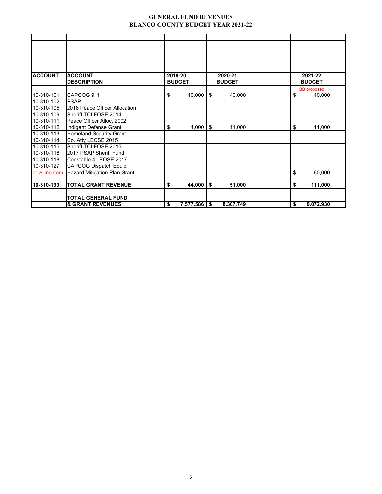#### **GENERAL FUND REVENUES BLANCO COUNTY BUDGET YEAR 2021-22**

| <b>ACCOUNT</b> | <b>ACCOUNT</b>                 | 2019-20       |                | 2020-21       | 2021-22            |  |
|----------------|--------------------------------|---------------|----------------|---------------|--------------------|--|
|                | <b>DESCRIPTION</b>             | <b>BUDGET</b> |                | <b>BUDGET</b> | <b>BUDGET</b>      |  |
|                |                                |               |                |               | <b>BB</b> proposed |  |
| 10-310-101     | CAPCOG 911                     | \$            | 40,000         | \$<br>40,000  | \$<br>40,000       |  |
| 10-310-102     | <b>PSAP</b>                    |               |                |               |                    |  |
| 10-310-105     | 2016 Peace Officer Allocation  |               |                |               |                    |  |
| 10-310-109     | Sheriff TCLEOSE 2014           |               |                |               |                    |  |
| 10-310-111     | Peace Officer Alloc. 2002      |               |                |               |                    |  |
| 10-310-112     | Indigent Defense Grant         | \$            | 4,000          | \$<br>11,000  | \$<br>11,000       |  |
| 10-310-113     | <b>Homeland Security Grant</b> |               |                |               |                    |  |
| 10-310-114     | Co. Atty LEOSE 2015            |               |                |               |                    |  |
| 10-310-115     | Sheriff TCLEOSE 2015           |               |                |               |                    |  |
| 10-310-116     | 2017 PSAP Sheriff Fund         |               |                |               |                    |  |
| 10-310-118     | Constable 4 LEOSE 2017         |               |                |               |                    |  |
| 10-310-127     | <b>CAPCOG Dispatch Equip</b>   |               |                |               |                    |  |
| new line item  | Hazard Mitigation Plan Grant   |               |                |               | \$<br>60,000       |  |
|                |                                |               |                |               |                    |  |
| 10-310-199     | <b>TOTAL GRANT REVENUE</b>     | \$            | 44,000         | \$<br>51,000  | \$<br>111,000      |  |
|                |                                |               |                |               |                    |  |
|                | <b>TOTAL GENERAL FUND</b>      |               |                |               |                    |  |
|                | <b>&amp; GRANT REVENUES</b>    | \$            | $7,577,586$ \$ | 8,307,749     | \$<br>9,072,930    |  |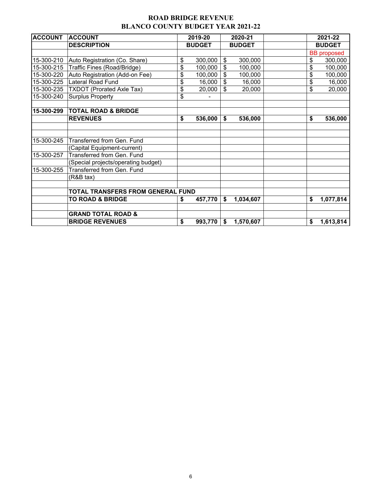## **ROAD BRIDGE REVENUE BLANCO COUNTY BUDGET YEAR 2021-22**

| <b>ACCOUNT</b> | <b>ACCOUNT</b>                           | 2019-20       | 2020-21         |    | 2021-22            |
|----------------|------------------------------------------|---------------|-----------------|----|--------------------|
|                | <b>DESCRIPTION</b>                       | <b>BUDGET</b> | <b>BUDGET</b>   |    | <b>BUDGET</b>      |
|                |                                          |               |                 |    | <b>BB</b> proposed |
| 15-300-210     | Auto Registration (Co. Share)            | \$<br>300,000 | \$<br>300,000   | \$ | 300,000            |
| 15-300-215     | Traffic Fines (Road/Bridge)              | \$<br>100,000 | \$<br>100,000   | \$ | 100,000            |
| 15-300-220     | Auto Registration (Add-on Fee)           | \$<br>100,000 | \$<br>100,000   | \$ | 100,000            |
| 15-300-225     | Lateral Road Fund                        | \$<br>16,000  | \$<br>16,000    | \$ | 16,000             |
| 15-300-235     | <b>TXDOT (Prorated Axle Tax)</b>         | \$<br>20,000  | \$<br>20,000    | \$ | 20,000             |
| 15-300-240     | <b>Surplus Property</b>                  | \$            |                 |    |                    |
| 15-300-299     | <b>TOTAL ROAD &amp; BRIDGE</b>           |               |                 |    |                    |
|                | <b>REVENUES</b>                          | \$<br>536,000 | \$<br>536,000   | \$ | 536,000            |
|                |                                          |               |                 |    |                    |
|                |                                          |               |                 |    |                    |
| 15-300-245     | Transferred from Gen. Fund               |               |                 |    |                    |
|                | (Capital Equipment-current)              |               |                 |    |                    |
| 15-300-257     | Transferred from Gen. Fund               |               |                 |    |                    |
|                | (Special projects/operating budget)      |               |                 |    |                    |
| 15-300-255     | Transferred from Gen. Fund               |               |                 |    |                    |
|                | (R&B tax)                                |               |                 |    |                    |
|                |                                          |               |                 |    |                    |
|                | <b>TOTAL TRANSFERS FROM GENERAL FUND</b> |               |                 |    |                    |
|                | <b>TO ROAD &amp; BRIDGE</b>              | \$<br>457,770 | \$<br>1,034,607 | \$ | 1,077,814          |
|                |                                          |               |                 |    |                    |
|                | <b>GRAND TOTAL ROAD &amp;</b>            |               |                 |    |                    |
|                | <b>BRIDGE REVENUES</b>                   | \$<br>993,770 | \$<br>1,570,607 | \$ | 1,613,814          |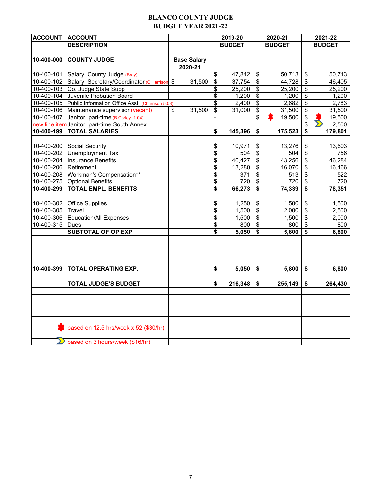## **BLANCO COUNTY JUDGE BUDGET YEAR 2021-22**

| <b>DESCRIPTION</b><br><b>BUDGET</b><br><b>BUDGET</b><br><b>BUDGET</b><br><b>COUNTY JUDGE</b><br>10-400-000<br><b>Base Salary</b><br>2020-21<br>$10-400-101$<br>Salary, County Judge (Bray)<br>\$<br>47,842<br>\$<br>50,713<br>50,713<br>\$<br>10-400-102<br>Salary, Secretary/Coordinator (C Harrison<br>$\mathfrak s$<br>\$<br>$\boldsymbol{\mathsf{S}}$<br>$\sqrt[6]{\frac{1}{2}}$<br>46,405<br>31,500<br>37,754<br>44,728<br>Co. Judge State Supp<br>\$<br>10-400-103<br>\$<br>\$<br>25,200<br>25,200<br>25,200<br>Juvenile Probation Board<br>$\overline{\mathbf{S}}$<br>\$<br>1,200<br>10-400-104<br>\$<br>1,200<br>1,200<br>10-400-105<br>\$<br>2,400<br>$\mathsf{\$}$<br>\$<br>2,783<br>2,682<br>Public Information Office Asst. (Charrison 5.08)<br>10-400-106<br>31,500<br>\$<br>31,500<br>Maintenance supervisor (vacant)<br>$\mathsf{\$}$<br>31,500<br>\$<br>31,000<br>\$<br>\$<br>10-400-107<br>\$<br>19,500<br>Janitor, part-time (B Corley 1.04)<br>19,500<br>$\blacksquare$<br>\$<br>2,500<br>new line item Janitor, part-time South Annex<br><b>TOTAL SALARIES</b><br>10-400-199<br>\$<br>179,801<br>\$<br>145,396<br>\$<br>175,523<br>10-400-200<br>Social Security<br>10,971<br>\$<br>13,276<br>\$<br>13,603<br>\$<br>10-400-202<br>Unemployment Tax<br>\$<br>$\mathbb{S}$<br>\$<br>504<br>504<br>756<br>46,284<br>10-400-204<br>Insurance Benefits<br>\$<br>40,427<br>\$<br>43,256<br>\$<br>10-400-206<br>Retirement<br>\$<br>13,280<br>$\boldsymbol{\mathsf{S}}$<br>16,070<br>\$<br>16,466<br>Workman's Compensation**<br>\$<br>$\overline{\mathbf{S}}$<br>\$<br>10-400-208<br>371<br>522<br>513<br>10-400-275<br><b>Optional Benefits</b><br>720<br>720<br>\$<br>720<br>\$<br>\$<br><b>TOTAL EMPL. BENEFITS</b><br>10-400-299<br>\$<br>66,273<br>\$<br>\$<br>74,339<br>78,351<br>10-400-302<br><b>Office Supplies</b><br>\$<br>1,250<br>$\boldsymbol{\mathsf{S}}$<br>\$<br>1,500<br>1,500<br>10-400-305<br>\$<br>$\boldsymbol{\mathsf{S}}$<br>\$<br>Travel<br>1,500<br>2,000<br>2,500<br>10-400-306<br>Education/All Expenses<br>\$<br>$\boldsymbol{\mathsf{S}}$<br>\$<br>1,500<br>1,500<br>2,000<br>\$<br>\$<br>\$<br>10-400-315<br>800<br>Dues<br>800<br>800<br><b>SUBTOTAL OF OP EXP</b><br>\$<br>5,050<br>\$<br>5,800<br>\$<br>6,800<br><b>TOTAL OPERATING EXP.</b><br>10-400-399<br>\$<br>5,050<br>\$<br>5,800<br>\$<br>6,800<br><b>TOTAL JUDGE'S BUDGET</b><br>\$<br>216,348<br>\$<br>255,149<br>\$<br>264,430 | <b>ACCOUNT</b> | <b>ACCOUNT</b>                        |  | 2019-20 | 2020-21 | 2021-22 |
|-------------------------------------------------------------------------------------------------------------------------------------------------------------------------------------------------------------------------------------------------------------------------------------------------------------------------------------------------------------------------------------------------------------------------------------------------------------------------------------------------------------------------------------------------------------------------------------------------------------------------------------------------------------------------------------------------------------------------------------------------------------------------------------------------------------------------------------------------------------------------------------------------------------------------------------------------------------------------------------------------------------------------------------------------------------------------------------------------------------------------------------------------------------------------------------------------------------------------------------------------------------------------------------------------------------------------------------------------------------------------------------------------------------------------------------------------------------------------------------------------------------------------------------------------------------------------------------------------------------------------------------------------------------------------------------------------------------------------------------------------------------------------------------------------------------------------------------------------------------------------------------------------------------------------------------------------------------------------------------------------------------------------------------------------------------------------------------------------------------------------------------------------------------------------------------------------------------------------------------------------------------------------------------------------------------------------------------------------------------------------------------------------------------------------------------------|----------------|---------------------------------------|--|---------|---------|---------|
|                                                                                                                                                                                                                                                                                                                                                                                                                                                                                                                                                                                                                                                                                                                                                                                                                                                                                                                                                                                                                                                                                                                                                                                                                                                                                                                                                                                                                                                                                                                                                                                                                                                                                                                                                                                                                                                                                                                                                                                                                                                                                                                                                                                                                                                                                                                                                                                                                                           |                |                                       |  |         |         |         |
|                                                                                                                                                                                                                                                                                                                                                                                                                                                                                                                                                                                                                                                                                                                                                                                                                                                                                                                                                                                                                                                                                                                                                                                                                                                                                                                                                                                                                                                                                                                                                                                                                                                                                                                                                                                                                                                                                                                                                                                                                                                                                                                                                                                                                                                                                                                                                                                                                                           |                |                                       |  |         |         |         |
|                                                                                                                                                                                                                                                                                                                                                                                                                                                                                                                                                                                                                                                                                                                                                                                                                                                                                                                                                                                                                                                                                                                                                                                                                                                                                                                                                                                                                                                                                                                                                                                                                                                                                                                                                                                                                                                                                                                                                                                                                                                                                                                                                                                                                                                                                                                                                                                                                                           |                |                                       |  |         |         |         |
|                                                                                                                                                                                                                                                                                                                                                                                                                                                                                                                                                                                                                                                                                                                                                                                                                                                                                                                                                                                                                                                                                                                                                                                                                                                                                                                                                                                                                                                                                                                                                                                                                                                                                                                                                                                                                                                                                                                                                                                                                                                                                                                                                                                                                                                                                                                                                                                                                                           |                |                                       |  |         |         |         |
|                                                                                                                                                                                                                                                                                                                                                                                                                                                                                                                                                                                                                                                                                                                                                                                                                                                                                                                                                                                                                                                                                                                                                                                                                                                                                                                                                                                                                                                                                                                                                                                                                                                                                                                                                                                                                                                                                                                                                                                                                                                                                                                                                                                                                                                                                                                                                                                                                                           |                |                                       |  |         |         |         |
|                                                                                                                                                                                                                                                                                                                                                                                                                                                                                                                                                                                                                                                                                                                                                                                                                                                                                                                                                                                                                                                                                                                                                                                                                                                                                                                                                                                                                                                                                                                                                                                                                                                                                                                                                                                                                                                                                                                                                                                                                                                                                                                                                                                                                                                                                                                                                                                                                                           |                |                                       |  |         |         |         |
|                                                                                                                                                                                                                                                                                                                                                                                                                                                                                                                                                                                                                                                                                                                                                                                                                                                                                                                                                                                                                                                                                                                                                                                                                                                                                                                                                                                                                                                                                                                                                                                                                                                                                                                                                                                                                                                                                                                                                                                                                                                                                                                                                                                                                                                                                                                                                                                                                                           |                |                                       |  |         |         |         |
|                                                                                                                                                                                                                                                                                                                                                                                                                                                                                                                                                                                                                                                                                                                                                                                                                                                                                                                                                                                                                                                                                                                                                                                                                                                                                                                                                                                                                                                                                                                                                                                                                                                                                                                                                                                                                                                                                                                                                                                                                                                                                                                                                                                                                                                                                                                                                                                                                                           |                |                                       |  |         |         |         |
|                                                                                                                                                                                                                                                                                                                                                                                                                                                                                                                                                                                                                                                                                                                                                                                                                                                                                                                                                                                                                                                                                                                                                                                                                                                                                                                                                                                                                                                                                                                                                                                                                                                                                                                                                                                                                                                                                                                                                                                                                                                                                                                                                                                                                                                                                                                                                                                                                                           |                |                                       |  |         |         |         |
|                                                                                                                                                                                                                                                                                                                                                                                                                                                                                                                                                                                                                                                                                                                                                                                                                                                                                                                                                                                                                                                                                                                                                                                                                                                                                                                                                                                                                                                                                                                                                                                                                                                                                                                                                                                                                                                                                                                                                                                                                                                                                                                                                                                                                                                                                                                                                                                                                                           |                |                                       |  |         |         |         |
|                                                                                                                                                                                                                                                                                                                                                                                                                                                                                                                                                                                                                                                                                                                                                                                                                                                                                                                                                                                                                                                                                                                                                                                                                                                                                                                                                                                                                                                                                                                                                                                                                                                                                                                                                                                                                                                                                                                                                                                                                                                                                                                                                                                                                                                                                                                                                                                                                                           |                |                                       |  |         |         |         |
|                                                                                                                                                                                                                                                                                                                                                                                                                                                                                                                                                                                                                                                                                                                                                                                                                                                                                                                                                                                                                                                                                                                                                                                                                                                                                                                                                                                                                                                                                                                                                                                                                                                                                                                                                                                                                                                                                                                                                                                                                                                                                                                                                                                                                                                                                                                                                                                                                                           |                |                                       |  |         |         |         |
|                                                                                                                                                                                                                                                                                                                                                                                                                                                                                                                                                                                                                                                                                                                                                                                                                                                                                                                                                                                                                                                                                                                                                                                                                                                                                                                                                                                                                                                                                                                                                                                                                                                                                                                                                                                                                                                                                                                                                                                                                                                                                                                                                                                                                                                                                                                                                                                                                                           |                |                                       |  |         |         |         |
|                                                                                                                                                                                                                                                                                                                                                                                                                                                                                                                                                                                                                                                                                                                                                                                                                                                                                                                                                                                                                                                                                                                                                                                                                                                                                                                                                                                                                                                                                                                                                                                                                                                                                                                                                                                                                                                                                                                                                                                                                                                                                                                                                                                                                                                                                                                                                                                                                                           |                |                                       |  |         |         |         |
|                                                                                                                                                                                                                                                                                                                                                                                                                                                                                                                                                                                                                                                                                                                                                                                                                                                                                                                                                                                                                                                                                                                                                                                                                                                                                                                                                                                                                                                                                                                                                                                                                                                                                                                                                                                                                                                                                                                                                                                                                                                                                                                                                                                                                                                                                                                                                                                                                                           |                |                                       |  |         |         |         |
|                                                                                                                                                                                                                                                                                                                                                                                                                                                                                                                                                                                                                                                                                                                                                                                                                                                                                                                                                                                                                                                                                                                                                                                                                                                                                                                                                                                                                                                                                                                                                                                                                                                                                                                                                                                                                                                                                                                                                                                                                                                                                                                                                                                                                                                                                                                                                                                                                                           |                |                                       |  |         |         |         |
|                                                                                                                                                                                                                                                                                                                                                                                                                                                                                                                                                                                                                                                                                                                                                                                                                                                                                                                                                                                                                                                                                                                                                                                                                                                                                                                                                                                                                                                                                                                                                                                                                                                                                                                                                                                                                                                                                                                                                                                                                                                                                                                                                                                                                                                                                                                                                                                                                                           |                |                                       |  |         |         |         |
|                                                                                                                                                                                                                                                                                                                                                                                                                                                                                                                                                                                                                                                                                                                                                                                                                                                                                                                                                                                                                                                                                                                                                                                                                                                                                                                                                                                                                                                                                                                                                                                                                                                                                                                                                                                                                                                                                                                                                                                                                                                                                                                                                                                                                                                                                                                                                                                                                                           |                |                                       |  |         |         |         |
|                                                                                                                                                                                                                                                                                                                                                                                                                                                                                                                                                                                                                                                                                                                                                                                                                                                                                                                                                                                                                                                                                                                                                                                                                                                                                                                                                                                                                                                                                                                                                                                                                                                                                                                                                                                                                                                                                                                                                                                                                                                                                                                                                                                                                                                                                                                                                                                                                                           |                |                                       |  |         |         |         |
|                                                                                                                                                                                                                                                                                                                                                                                                                                                                                                                                                                                                                                                                                                                                                                                                                                                                                                                                                                                                                                                                                                                                                                                                                                                                                                                                                                                                                                                                                                                                                                                                                                                                                                                                                                                                                                                                                                                                                                                                                                                                                                                                                                                                                                                                                                                                                                                                                                           |                |                                       |  |         |         |         |
|                                                                                                                                                                                                                                                                                                                                                                                                                                                                                                                                                                                                                                                                                                                                                                                                                                                                                                                                                                                                                                                                                                                                                                                                                                                                                                                                                                                                                                                                                                                                                                                                                                                                                                                                                                                                                                                                                                                                                                                                                                                                                                                                                                                                                                                                                                                                                                                                                                           |                |                                       |  |         |         |         |
|                                                                                                                                                                                                                                                                                                                                                                                                                                                                                                                                                                                                                                                                                                                                                                                                                                                                                                                                                                                                                                                                                                                                                                                                                                                                                                                                                                                                                                                                                                                                                                                                                                                                                                                                                                                                                                                                                                                                                                                                                                                                                                                                                                                                                                                                                                                                                                                                                                           |                |                                       |  |         |         |         |
|                                                                                                                                                                                                                                                                                                                                                                                                                                                                                                                                                                                                                                                                                                                                                                                                                                                                                                                                                                                                                                                                                                                                                                                                                                                                                                                                                                                                                                                                                                                                                                                                                                                                                                                                                                                                                                                                                                                                                                                                                                                                                                                                                                                                                                                                                                                                                                                                                                           |                |                                       |  |         |         |         |
|                                                                                                                                                                                                                                                                                                                                                                                                                                                                                                                                                                                                                                                                                                                                                                                                                                                                                                                                                                                                                                                                                                                                                                                                                                                                                                                                                                                                                                                                                                                                                                                                                                                                                                                                                                                                                                                                                                                                                                                                                                                                                                                                                                                                                                                                                                                                                                                                                                           |                |                                       |  |         |         |         |
|                                                                                                                                                                                                                                                                                                                                                                                                                                                                                                                                                                                                                                                                                                                                                                                                                                                                                                                                                                                                                                                                                                                                                                                                                                                                                                                                                                                                                                                                                                                                                                                                                                                                                                                                                                                                                                                                                                                                                                                                                                                                                                                                                                                                                                                                                                                                                                                                                                           |                |                                       |  |         |         |         |
|                                                                                                                                                                                                                                                                                                                                                                                                                                                                                                                                                                                                                                                                                                                                                                                                                                                                                                                                                                                                                                                                                                                                                                                                                                                                                                                                                                                                                                                                                                                                                                                                                                                                                                                                                                                                                                                                                                                                                                                                                                                                                                                                                                                                                                                                                                                                                                                                                                           |                |                                       |  |         |         |         |
|                                                                                                                                                                                                                                                                                                                                                                                                                                                                                                                                                                                                                                                                                                                                                                                                                                                                                                                                                                                                                                                                                                                                                                                                                                                                                                                                                                                                                                                                                                                                                                                                                                                                                                                                                                                                                                                                                                                                                                                                                                                                                                                                                                                                                                                                                                                                                                                                                                           |                |                                       |  |         |         |         |
|                                                                                                                                                                                                                                                                                                                                                                                                                                                                                                                                                                                                                                                                                                                                                                                                                                                                                                                                                                                                                                                                                                                                                                                                                                                                                                                                                                                                                                                                                                                                                                                                                                                                                                                                                                                                                                                                                                                                                                                                                                                                                                                                                                                                                                                                                                                                                                                                                                           |                |                                       |  |         |         |         |
|                                                                                                                                                                                                                                                                                                                                                                                                                                                                                                                                                                                                                                                                                                                                                                                                                                                                                                                                                                                                                                                                                                                                                                                                                                                                                                                                                                                                                                                                                                                                                                                                                                                                                                                                                                                                                                                                                                                                                                                                                                                                                                                                                                                                                                                                                                                                                                                                                                           |                |                                       |  |         |         |         |
|                                                                                                                                                                                                                                                                                                                                                                                                                                                                                                                                                                                                                                                                                                                                                                                                                                                                                                                                                                                                                                                                                                                                                                                                                                                                                                                                                                                                                                                                                                                                                                                                                                                                                                                                                                                                                                                                                                                                                                                                                                                                                                                                                                                                                                                                                                                                                                                                                                           |                |                                       |  |         |         |         |
|                                                                                                                                                                                                                                                                                                                                                                                                                                                                                                                                                                                                                                                                                                                                                                                                                                                                                                                                                                                                                                                                                                                                                                                                                                                                                                                                                                                                                                                                                                                                                                                                                                                                                                                                                                                                                                                                                                                                                                                                                                                                                                                                                                                                                                                                                                                                                                                                                                           |                |                                       |  |         |         |         |
|                                                                                                                                                                                                                                                                                                                                                                                                                                                                                                                                                                                                                                                                                                                                                                                                                                                                                                                                                                                                                                                                                                                                                                                                                                                                                                                                                                                                                                                                                                                                                                                                                                                                                                                                                                                                                                                                                                                                                                                                                                                                                                                                                                                                                                                                                                                                                                                                                                           |                |                                       |  |         |         |         |
|                                                                                                                                                                                                                                                                                                                                                                                                                                                                                                                                                                                                                                                                                                                                                                                                                                                                                                                                                                                                                                                                                                                                                                                                                                                                                                                                                                                                                                                                                                                                                                                                                                                                                                                                                                                                                                                                                                                                                                                                                                                                                                                                                                                                                                                                                                                                                                                                                                           |                |                                       |  |         |         |         |
|                                                                                                                                                                                                                                                                                                                                                                                                                                                                                                                                                                                                                                                                                                                                                                                                                                                                                                                                                                                                                                                                                                                                                                                                                                                                                                                                                                                                                                                                                                                                                                                                                                                                                                                                                                                                                                                                                                                                                                                                                                                                                                                                                                                                                                                                                                                                                                                                                                           |                |                                       |  |         |         |         |
|                                                                                                                                                                                                                                                                                                                                                                                                                                                                                                                                                                                                                                                                                                                                                                                                                                                                                                                                                                                                                                                                                                                                                                                                                                                                                                                                                                                                                                                                                                                                                                                                                                                                                                                                                                                                                                                                                                                                                                                                                                                                                                                                                                                                                                                                                                                                                                                                                                           |                |                                       |  |         |         |         |
|                                                                                                                                                                                                                                                                                                                                                                                                                                                                                                                                                                                                                                                                                                                                                                                                                                                                                                                                                                                                                                                                                                                                                                                                                                                                                                                                                                                                                                                                                                                                                                                                                                                                                                                                                                                                                                                                                                                                                                                                                                                                                                                                                                                                                                                                                                                                                                                                                                           |                |                                       |  |         |         |         |
|                                                                                                                                                                                                                                                                                                                                                                                                                                                                                                                                                                                                                                                                                                                                                                                                                                                                                                                                                                                                                                                                                                                                                                                                                                                                                                                                                                                                                                                                                                                                                                                                                                                                                                                                                                                                                                                                                                                                                                                                                                                                                                                                                                                                                                                                                                                                                                                                                                           |                |                                       |  |         |         |         |
|                                                                                                                                                                                                                                                                                                                                                                                                                                                                                                                                                                                                                                                                                                                                                                                                                                                                                                                                                                                                                                                                                                                                                                                                                                                                                                                                                                                                                                                                                                                                                                                                                                                                                                                                                                                                                                                                                                                                                                                                                                                                                                                                                                                                                                                                                                                                                                                                                                           |                |                                       |  |         |         |         |
|                                                                                                                                                                                                                                                                                                                                                                                                                                                                                                                                                                                                                                                                                                                                                                                                                                                                                                                                                                                                                                                                                                                                                                                                                                                                                                                                                                                                                                                                                                                                                                                                                                                                                                                                                                                                                                                                                                                                                                                                                                                                                                                                                                                                                                                                                                                                                                                                                                           |                |                                       |  |         |         |         |
|                                                                                                                                                                                                                                                                                                                                                                                                                                                                                                                                                                                                                                                                                                                                                                                                                                                                                                                                                                                                                                                                                                                                                                                                                                                                                                                                                                                                                                                                                                                                                                                                                                                                                                                                                                                                                                                                                                                                                                                                                                                                                                                                                                                                                                                                                                                                                                                                                                           |                | based on 12.5 hrs/week x 52 (\$30/hr) |  |         |         |         |
|                                                                                                                                                                                                                                                                                                                                                                                                                                                                                                                                                                                                                                                                                                                                                                                                                                                                                                                                                                                                                                                                                                                                                                                                                                                                                                                                                                                                                                                                                                                                                                                                                                                                                                                                                                                                                                                                                                                                                                                                                                                                                                                                                                                                                                                                                                                                                                                                                                           |                |                                       |  |         |         |         |
| based on 3 hours/week (\$16/hr)                                                                                                                                                                                                                                                                                                                                                                                                                                                                                                                                                                                                                                                                                                                                                                                                                                                                                                                                                                                                                                                                                                                                                                                                                                                                                                                                                                                                                                                                                                                                                                                                                                                                                                                                                                                                                                                                                                                                                                                                                                                                                                                                                                                                                                                                                                                                                                                                           |                |                                       |  |         |         |         |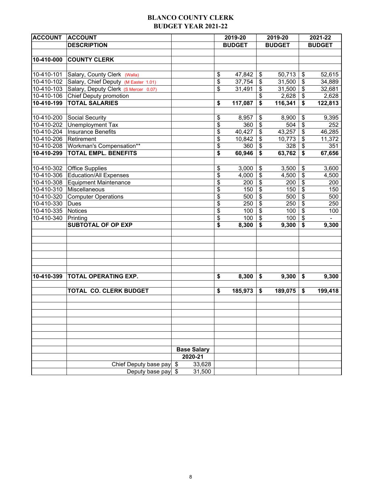## **BLANCO COUNTY CLERK BUDGET YEAR 2021-22**

| <b>ACCOUNT</b><br><b>ACCOUNT</b>            |                                      |                    | 2019-20 |               | 2019-20                      |               |                                  | 2021-22       |  |  |
|---------------------------------------------|--------------------------------------|--------------------|---------|---------------|------------------------------|---------------|----------------------------------|---------------|--|--|
| <b>DESCRIPTION</b>                          |                                      |                    |         | <b>BUDGET</b> |                              | <b>BUDGET</b> |                                  | <b>BUDGET</b> |  |  |
|                                             |                                      |                    |         |               |                              |               |                                  |               |  |  |
| 10-410-000<br><b>COUNTY CLERK</b>           |                                      |                    |         |               |                              |               |                                  |               |  |  |
|                                             |                                      |                    |         |               |                              |               |                                  |               |  |  |
| 10-410-101<br>Salary, County Clerk (Walla)  |                                      |                    | \$      | 47,842        | $\boldsymbol{\mathsf{S}}$    | 50,713        | \$                               | 52,615        |  |  |
| 10-410-102                                  | Salary, Chief Deputy (M Easter 1.01) |                    | \$      | 37,754        | $\boldsymbol{\hat{\varphi}}$ | 31,500        | $\boldsymbol{\mathsf{S}}$        | 34,889        |  |  |
| 10-410-103                                  | Salary, Deputy Clerk (S Mercer 0.07) |                    | \$      | 31,491        | $\boldsymbol{\mathsf{S}}$    | 31,500        | \$                               | 32,681        |  |  |
| 10-410-106<br>Chief Deputy promotion        |                                      |                    |         |               | $\mathfrak{s}$               | 2,628         | \$                               | 2,628         |  |  |
| <b>TOTAL SALARIES</b><br>10-410-199         |                                      |                    | \$      | 117,087       | \$                           | 116,341       | \$                               | 122,813       |  |  |
|                                             |                                      |                    |         |               |                              |               |                                  |               |  |  |
| 10-410-200<br>Social Security               |                                      |                    | \$      | 8,957         | $\boldsymbol{\mathsf{S}}$    | 8,900         | \$                               | 9,395         |  |  |
| 10-410-202<br>Unemployment Tax              |                                      |                    | \$      | 360           | $\boldsymbol{\mathsf{S}}$    | 504           | \$                               | 252           |  |  |
| $10-410-204$<br><b>Insurance Benefits</b>   |                                      |                    | \$      | 40,427        | $\boldsymbol{\mathsf{S}}$    | 43,257        | \$                               | 46,285        |  |  |
| 10-410-206<br>Retirement                    |                                      |                    | \$      | 10,842        | $\boldsymbol{\mathsf{\$}}$   | 10,773        | \$                               | 11,372        |  |  |
| Workman's Compensation**<br>10-410-208      |                                      |                    | \$      | 360           | $\boldsymbol{\mathsf{S}}$    | 328           | \$                               | 351           |  |  |
| <b>TOTAL EMPL. BENEFITS</b><br>10-410-299   |                                      |                    | \$      | 60,946        | $\boldsymbol{\mathsf{s}}$    | 63,762        | \$                               | 67,656        |  |  |
|                                             |                                      |                    |         |               |                              |               |                                  |               |  |  |
| <b>Office Supplies</b><br>10-410-302        |                                      |                    | \$      | 3,000         | $\boldsymbol{\mathsf{S}}$    | 3,500         | $\frac{1}{2}$                    | 3,600         |  |  |
| <b>Education/All Expenses</b><br>10-410-306 |                                      |                    | \$      | 4,000         | $\boldsymbol{\mathsf{S}}$    | 4,500         | $\overline{\boldsymbol{\theta}}$ | 4,500         |  |  |
| 10-410-308<br><b>Equipment Maintenance</b>  |                                      |                    | \$      | 200           | $\boldsymbol{\mathsf{S}}$    | 200           | \$                               | 200           |  |  |
| Miscellaneous<br>10-410-310                 |                                      |                    | \$      | 150           | $\sqrt[6]{\frac{1}{2}}$      | 150           | \$                               | 150           |  |  |
| 10-410-320<br><b>Computer Operations</b>    |                                      |                    | \$      | 500           | $\boldsymbol{\mathsf{S}}$    | 500           | $\boldsymbol{\mathsf{S}}$        | 500           |  |  |
| 10-410-330<br>Dues                          |                                      |                    | \$      | 250           | $\sqrt[6]{\frac{1}{2}}$      | 250           | $\boldsymbol{\mathsf{S}}$        | 250           |  |  |
| <b>Notices</b><br>10-410-335                |                                      |                    | \$      | 100           | $\sqrt[6]{\frac{1}{2}}$      | 100           | \$                               | 100           |  |  |
| 10-410-340<br>Printing                      |                                      |                    | \$      | 100           | $\boldsymbol{\theta}$        | 100           | \$                               |               |  |  |
| <b>SUBTOTAL OF OP EXP</b>                   |                                      |                    | \$      | 8,300         | \$                           | 9,300         | \$                               | 9,300         |  |  |
|                                             |                                      |                    |         |               |                              |               |                                  |               |  |  |
|                                             |                                      |                    |         |               |                              |               |                                  |               |  |  |
|                                             |                                      |                    |         |               |                              |               |                                  |               |  |  |
|                                             |                                      |                    |         |               |                              |               |                                  |               |  |  |
|                                             |                                      |                    |         |               |                              |               |                                  |               |  |  |
|                                             |                                      |                    |         |               |                              |               |                                  |               |  |  |
| 10-410-399<br>TOTAL OPERATING EXP.          |                                      |                    | \$      | 8,300         | \$                           | 9,300         | \$                               | 9,300         |  |  |
|                                             |                                      |                    |         |               |                              |               |                                  |               |  |  |
|                                             | <b>TOTAL CO. CLERK BUDGET</b>        |                    | \$      | 185,973       | \$                           | 189,075       | \$                               | 199,418       |  |  |
|                                             |                                      |                    |         |               |                              |               |                                  |               |  |  |
|                                             |                                      |                    |         |               |                              |               |                                  |               |  |  |
|                                             |                                      |                    |         |               |                              |               |                                  |               |  |  |
|                                             |                                      |                    |         |               |                              |               |                                  |               |  |  |
|                                             |                                      |                    |         |               |                              |               |                                  |               |  |  |
|                                             |                                      |                    |         |               |                              |               |                                  |               |  |  |
|                                             |                                      |                    |         |               |                              |               |                                  |               |  |  |
|                                             |                                      | <b>Base Salary</b> |         |               |                              |               |                                  |               |  |  |
|                                             |                                      | 2020-21            |         |               |                              |               |                                  |               |  |  |
|                                             | Chief Deputy base pay                | \$<br>33,628       |         |               |                              |               |                                  |               |  |  |
|                                             | Deputy base pay                      | \$<br>31,500       |         |               |                              |               |                                  |               |  |  |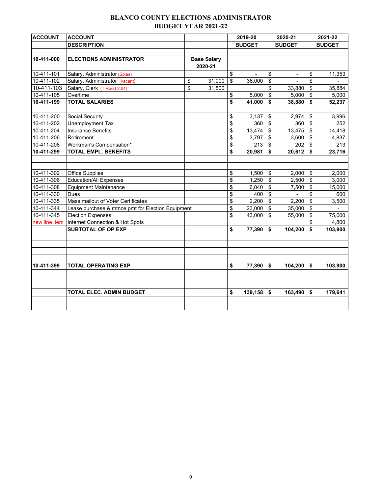## **BLANCO COUNTY ELECTIONS ADMINISTRATOR BUDGET YEAR 2021-22**

| <b>ACCOUNT</b> | <b>ACCOUNT</b>                                    |                    | 2019-20              | 2020-21              | 2021-22       |
|----------------|---------------------------------------------------|--------------------|----------------------|----------------------|---------------|
|                | <b>DESCRIPTION</b>                                |                    | <b>BUDGET</b>        | <b>BUDGET</b>        | <b>BUDGET</b> |
|                |                                                   |                    |                      |                      |               |
| 10-411-000     | <b>ELECTIONS ADMINISTRATOR</b>                    | <b>Base Salary</b> |                      |                      |               |
|                |                                                   | 2020-21            |                      |                      |               |
| 10-411-101     | Salary, Administrator (Spies)                     |                    | \$<br>$\blacksquare$ | \$<br>$\blacksquare$ | \$<br>11,353  |
| 10-411-102     | Salary, Administrator (vacant)                    | \$<br>31,000       | \$<br>36.000         | \$                   | \$            |
| 10-411-103     | Salary, Clerk (T Reed 2.04)                       | \$<br>31,500       |                      | \$<br>33,880         | \$<br>35,884  |
| 10-411-105     | Overtime                                          |                    | \$<br>5,000          | \$<br>5,000          | \$<br>5,000   |
| 10-411-199     | <b>TOTAL SALARIES</b>                             |                    | \$<br>41,000         | \$<br>38,880         | \$<br>52,237  |
|                |                                                   |                    |                      |                      |               |
| 10-411-200     | Social Security                                   |                    | \$<br>3,137          | \$<br>2,974          | \$<br>3,996   |
| 10-411-202     | Unemployment Tax                                  |                    | \$<br>360            | \$<br>360            | \$<br>252     |
| 10-411-204     | <b>Insurance Benefits</b>                         |                    | \$<br>13,474         | \$<br>13,475         | \$<br>14,418  |
| 10-411-206     | Retirement                                        |                    | \$<br>3,797          | \$<br>3,600          | \$<br>4,837   |
| 10-411-208     | Workman's Compensation*                           |                    | \$<br>213            | \$<br>202            | \$<br>213     |
| 10-411-299     | <b>TOTAL EMPL. BENEFITS</b>                       |                    | \$<br>20,981         | \$<br>20,612         | \$<br>23,716  |
|                |                                                   |                    |                      |                      |               |
|                |                                                   |                    |                      |                      |               |
| 10-411-302     | <b>Office Supplies</b>                            |                    | \$<br>1,500          | \$<br>2,000          | \$<br>2,000   |
| 10-411-306     | <b>Education/All Expenses</b>                     |                    | \$<br>1,250          | \$<br>2,500          | \$<br>3,000   |
| 10-411-308     | <b>Equipment Maintenance</b>                      |                    | \$<br>6,040          | \$<br>7,500          | \$<br>15,000  |
| 10-411-330     | <b>Dues</b>                                       |                    | \$<br>400            | \$<br>$\blacksquare$ | \$<br>600     |
| 10-411-335     | Mass mailout of Voter Certificates                |                    | \$<br>2,200          | \$<br>2,200          | \$<br>3,500   |
| 10-411-344     | Lease purchase & mtnce pmt for Election Equipment |                    | \$<br>23,000         | \$<br>35,000         | \$            |
| 10-411-345     | <b>Election Expenses</b>                          |                    | \$<br>43,000         | \$<br>55,000         | \$<br>75,000  |
| new line item  | Internet Connection & Hot Spots                   |                    |                      |                      | \$<br>4,800   |
|                | <b>SUBTOTAL OF OP EXP</b>                         |                    | \$<br>77,390         | \$<br>104,200        | \$<br>103,900 |
|                |                                                   |                    |                      |                      |               |
|                |                                                   |                    |                      |                      |               |
|                |                                                   |                    |                      |                      |               |
|                |                                                   |                    |                      |                      |               |
| 10-411-399     | <b>TOTAL OPERATING EXP</b>                        |                    | \$<br>77,390         | \$<br>104,200        | \$<br>103,900 |
|                |                                                   |                    |                      |                      |               |
|                |                                                   |                    |                      |                      |               |
|                |                                                   |                    |                      |                      |               |
|                | <b>TOTAL ELEC. ADMIN BUDGET</b>                   |                    | \$<br>139,158        | \$<br>163,490        | \$<br>179,641 |
|                |                                                   |                    |                      |                      |               |
|                |                                                   |                    |                      |                      |               |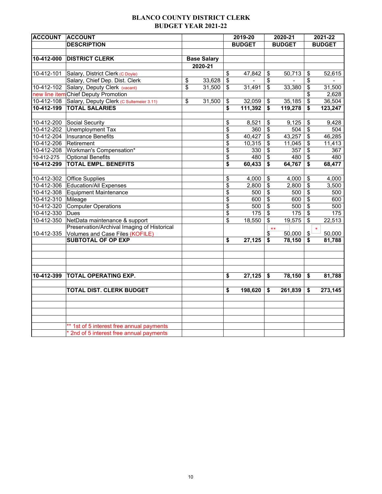## **BLANCO COUNTY DISTRICT CLERK BUDGET YEAR 2021-22**

| <b>ACCOUNT</b>   | <b>ACCOUNT</b>                              |                    | 2019-20<br>2020-21      |         |                         |               | 2021-22                            |               |
|------------------|---------------------------------------------|--------------------|-------------------------|---------|-------------------------|---------------|------------------------------------|---------------|
|                  | <b>DESCRIPTION</b>                          |                    | <b>BUDGET</b>           |         |                         | <b>BUDGET</b> |                                    | <b>BUDGET</b> |
|                  |                                             |                    |                         |         |                         |               |                                    |               |
| 10-412-000       | <b>DISTRICT CLERK</b>                       | <b>Base Salary</b> |                         |         |                         |               |                                    |               |
|                  |                                             | 2020-21            |                         |         |                         |               |                                    |               |
| 10-412-101       | Salary, District Clerk (C Doyle)            |                    | \$                      | 47,842  | \$                      | 50,713        | \$                                 | 52,615        |
|                  | Salary, Chief Dep. Dist. Clerk              | \$<br>33,628       | \$                      |         | \$                      |               | \$                                 |               |
| 10-412-102       | Salary, Deputy Clerk (vacant)               | \$<br>31,500       | \$                      | 31,491  | \$                      | 33,380        | \$                                 | 31,500        |
|                  | new line item Chief Deputy Promotion        |                    |                         |         |                         |               | \$                                 | 2,628         |
| 10-412-108       | Salary, Deputy Clerk (C Sultemeier 3.11)    | \$<br>31,500       | \$                      | 32,059  | \$                      | 35,185        | $\overline{\mathcal{L}}$           | 36,504        |
| $10 - 412 - 199$ | <b>TOTAL SALARIES</b>                       |                    | \$                      | 111,392 | \$                      | 119,278       | $\overline{\bullet}$               | 123,247       |
|                  |                                             |                    |                         |         |                         |               |                                    |               |
| 10-412-200       | Social Security                             |                    | \$                      | 8,521   | \$                      | 9,125         | \$                                 | 9,428         |
| 10-412-202       | Unemployment Tax                            |                    | $\overline{\mathbf{S}}$ | 360     | $\overline{\mathbf{3}}$ | 504           | $\overline{\mathcal{L}}$           | 504           |
| 10-412-204       | <b>Insurance Benefits</b>                   |                    | \$                      | 40,427  | \$                      | 43,257        | $\overline{\mathbf{s}}$            | 46,285        |
| 10-412-206       | Retirement                                  |                    | \$                      | 10,315  | \$                      | 11,045        | \$                                 | 11,413        |
| 10-412-208       | Workman's Compensation*                     |                    | \$                      | 330     | $\sqrt[6]{\frac{1}{2}}$ | 357           | \$                                 | 367           |
| 10-412-275       | <b>Optional Benefits</b>                    |                    | \$                      | 480     | \$                      | 480           | $\overline{\boldsymbol{\epsilon}}$ | 480           |
| 10-412-299       | <b>TOTAL EMPL. BENEFITS</b>                 |                    | \$                      | 60,433  | \$                      | 64,767        | \$                                 | 68,477        |
|                  |                                             |                    |                         |         |                         |               |                                    |               |
|                  | 10-412-302 Office Supplies                  |                    | \$                      | 4,000   | \$                      | 4,000         | \$                                 | 4,000         |
| 10-412-306       | Education/All Expenses                      |                    | \$                      | 2,800   | \$                      | 2,800         | \$                                 | 3,500         |
| 10-412-308       | Equipment Maintenance                       |                    | \$                      | 500     | \$                      | 500           | \$                                 | 500           |
| 10-412-310       | Mileage                                     |                    | \$                      | 600     | $\overline{\mathbf{e}}$ | 600           | $\overline{\mathcal{L}}$           | 600           |
| 10-412-320       | <b>Computer Operations</b>                  |                    | \$                      | 500     | $\overline{\$}$         | 500           | $\overline{\$}$                    | 500           |
| 10-412-330       | <b>Dues</b>                                 |                    | \$                      | 175     | \$                      | 175           | \$                                 | 175           |
| 10-412-350       | NetData maintenance & support               |                    | \$                      | 18,550  | \$                      | 19,575        | \$                                 | 22,513        |
|                  | Preservation/Archival Imaging of Historical |                    |                         |         | $***$                   |               |                                    |               |
| 10-412-335       | Volumes and Case Files (KOFILE)             |                    |                         |         | \$                      | 50,000        | \$                                 | 50,000        |
|                  | <b>SUBTOTAL OF OP EXP</b>                   |                    | \$                      | 27,125  | \$                      | 78,150        | \$                                 | 81,788        |
|                  |                                             |                    |                         |         |                         |               |                                    |               |
|                  |                                             |                    |                         |         |                         |               |                                    |               |
|                  |                                             |                    |                         |         |                         |               |                                    |               |
|                  |                                             |                    |                         |         |                         |               |                                    |               |
| 10-412-399       | <b>TOTAL OPERATING EXP.</b>                 |                    | \$                      | 27,125  | \$                      | 78,150        | \$                                 | 81,788        |
|                  |                                             |                    |                         |         |                         |               |                                    |               |
|                  | TOTAL DIST. CLERK BUDGET                    |                    | \$                      | 198,620 | \$                      | 261,839       | \$                                 | 273,145       |
|                  |                                             |                    |                         |         |                         |               |                                    |               |
|                  |                                             |                    |                         |         |                         |               |                                    |               |
|                  |                                             |                    |                         |         |                         |               |                                    |               |
|                  |                                             |                    |                         |         |                         |               |                                    |               |
|                  | ** 1st of 5 interest free annual payments   |                    |                         |         |                         |               |                                    |               |
|                  | * 2nd of 5 interest free annual payments    |                    |                         |         |                         |               |                                    |               |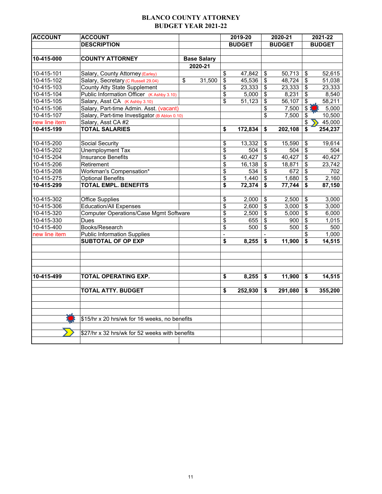## **BLANCO COUNTY ATTORNEY BUDGET YEAR 2021-22**

| <b>ACCOUNT</b> | <b>ACCOUNT</b>                                 |                    |               | 2019-20       |                                    | 2020-21       |                         | 2021-22       |
|----------------|------------------------------------------------|--------------------|---------------|---------------|------------------------------------|---------------|-------------------------|---------------|
|                | <b>DESCRIPTION</b>                             |                    |               | <b>BUDGET</b> |                                    | <b>BUDGET</b> |                         | <b>BUDGET</b> |
|                |                                                |                    |               |               |                                    |               |                         |               |
| 10-415-000     | <b>COUNTY ATTORNEY</b>                         | <b>Base Salary</b> |               |               |                                    |               |                         |               |
|                |                                                | 2020-21            |               |               |                                    |               |                         |               |
| $10-415-101$   | Salary, County Attorney (Earley)               |                    | \$            | 47,842        | \$                                 | 50,713        | \$                      | 52,615        |
| 10-415-102     | Salary, Secretary (C Russell 29.04)            | \$<br>31,500       | \$            | 45,536        | $\boldsymbol{\mathsf{S}}$          | 48,724        | \$                      | 51,038        |
| 10-415-103     | <b>County Atty State Supplement</b>            |                    | \$            | 23,333        | $\overline{\mathbf{e}}$            | 23,333        | $\overline{\$}$         | 23,333        |
| 10-415-104     | Public Information Officer (K Ashby 3.10)      |                    | \$            | 5,000         | $\overline{\boldsymbol{\theta}}$   | 8,231         | \$                      | 8,540         |
| 10-415-105     | Salary, Asst CA (K Ashby 3.10)                 |                    | \$            | 51,123        | $\overline{\$}$                    | 56,107        | \$                      | 58,211        |
| 10-415-106     | Salary, Part-time Admin. Asst. (vacant)        |                    |               |               | \$                                 | 7,500         | \$3                     | 5,000         |
| 10-415-107     | Salary, Part-time Investigator (B Ablon 0.10)  |                    |               |               | $\overline{\boldsymbol{\epsilon}}$ | 7,500         | $\overline{\mathbf{S}}$ | 10,500        |
| new line item  | Salary, Asst CA #2                             |                    |               |               |                                    |               | \$                      | 45,000        |
| 10-415-199     | <b>TOTAL SALARIES</b>                          |                    | \$            | 172,834       | \$                                 | 202,108       | \$                      | 254,237       |
|                |                                                |                    |               |               |                                    |               |                         |               |
| 10-415-200     | Social Security                                |                    | \$            | 13,332        | \$                                 | 15,590        | \$                      | 19,614        |
| 10-415-202     | Unemployment Tax                               |                    | \$            | 504           | $\boldsymbol{\mathsf{S}}$          | 504           | \$                      | 504           |
| 10-415-204     | <b>Insurance Benefits</b>                      |                    | \$            | 40,427        | $\overline{\mathbf{s}}$            | 40,427        | \$                      | 40,427        |
| 10-415-206     | Retirement                                     |                    | \$            | 16,138        | $\overline{\boldsymbol{\theta}}$   | 18,871        | \$                      | 23,742        |
| 10-415-208     | Workman's Compensation*                        |                    | \$            | 534           | \$                                 | 672           | \$                      | 702           |
| 10-415-275     | <b>Optional Benefits</b>                       |                    | \$            | 1,440         | $\overline{\mathbf{e}}$            | 1,680         | $\overline{\mathbf{S}}$ | 2,160         |
| 10-415-299     | <b>TOTAL EMPL. BENEFITS</b>                    |                    | \$            | 72,374        | \$                                 | 77,744        | \$                      | 87,150        |
|                |                                                |                    |               |               |                                    |               |                         |               |
| 10-415-302     | <b>Office Supplies</b>                         |                    | \$            | 2,000         | \$                                 | 2,500         | \$                      | 3,000         |
| 10-415-306     | <b>Education/All Expenses</b>                  |                    | \$            | 2,600         | $\overline{\boldsymbol{\theta}}$   | 3,000         | $\overline{\mathbf{S}}$ | 3,000         |
| 10-415-320     | <b>Computer Operations/Case Mgmt Software</b>  |                    | \$            | 2,500         | \$                                 | 5,000         | \$                      | 6,000         |
| 10-415-330     | Dues                                           |                    | \$            | 655           | $\overline{\$}$                    | 900           | $\overline{\$}$         | 1,015         |
| 10-415-400     | Books/Research                                 |                    | \$            | 500           | $\overline{\mathcal{L}}$           | 500           | $\overline{\$}$         | 500           |
| new line item  | <b>Public Information Supplies</b>             |                    | $\frac{1}{2}$ |               |                                    |               | \$                      | 1,000         |
|                | <b>SUBTOTAL OF OP EXP</b>                      |                    | \$            | 8,255         | $\overline{\mathbf{S}}$            | 11,900        | $\overline{\$}$         | 14,515        |
|                |                                                |                    |               |               |                                    |               |                         |               |
|                |                                                |                    |               |               |                                    |               |                         |               |
|                |                                                |                    |               |               |                                    |               |                         |               |
| 10-415-499     | TOTAL OPERATING EXP.                           |                    | \$            | 8,255         | \$                                 | 11,900        | \$                      | 14,515        |
|                |                                                |                    |               |               |                                    |               |                         |               |
|                | <b>TOTAL ATTY. BUDGET</b>                      |                    | \$            | 252,930       | \$                                 | 291,080       | \$                      | 355,200       |
|                |                                                |                    |               |               |                                    |               |                         |               |
|                | \$15/hr x 20 hrs/wk for 16 weeks, no benefits  |                    |               |               |                                    |               |                         |               |
|                | \$27/hr x 32 hrs/wk for 52 weeks with benefits |                    |               |               |                                    |               |                         |               |
|                |                                                |                    |               |               |                                    |               |                         |               |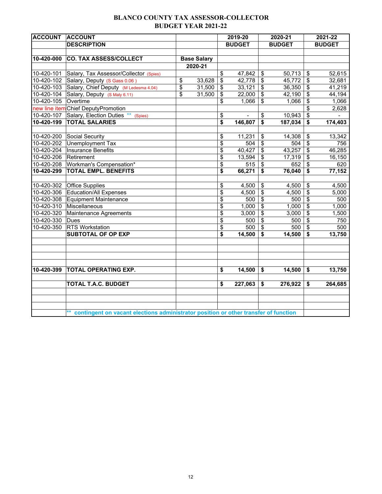## **BLANCO COUNTY TAX ASSESSOR-COLLECTOR BUDGET YEAR 2021-22**

| <b>ACCOUNT</b> | <b>ACCOUNT</b>                                                                         |                    |                           | 2019-20       |                         | 2020-21       |                                      | 2021-22       |
|----------------|----------------------------------------------------------------------------------------|--------------------|---------------------------|---------------|-------------------------|---------------|--------------------------------------|---------------|
|                | <b>DESCRIPTION</b>                                                                     |                    |                           | <b>BUDGET</b> |                         | <b>BUDGET</b> |                                      | <b>BUDGET</b> |
|                |                                                                                        |                    |                           |               |                         |               |                                      |               |
| 10-420-000     | <b>CO. TAX ASSESS/COLLECT</b>                                                          | <b>Base Salary</b> |                           |               |                         |               |                                      |               |
|                |                                                                                        | 2020-21            |                           |               |                         |               |                                      |               |
| 10-420-101     | Salary, Tax Assessor/Collector (Spies)                                                 |                    | \$                        | 47,842        | \$                      | 50,713        | \$                                   | 52,615        |
| 10-420-102     | Salary, Deputy (S Gass 0.06)                                                           | \$<br>33,628       | $\boldsymbol{\mathsf{S}}$ | 42,778        | \$                      | 45,772        | \$                                   | 32,681        |
|                | 10-420-103 Salary, Chief Deputy (M Ledesma 4.04)                                       | \$<br>31,500       | \$                        | 33,121        | \$                      | 36,350        | \$                                   | 41,219        |
| 10-420-104     | Salary, Deputy (S Maly 6.11)                                                           | \$<br>31,500       | \$                        | 22,000        | \$                      | 42,190        | \$                                   | 44,194        |
| 10-420-105     | Overtime                                                                               |                    | \$                        | 1,066         | \$                      | 1,066         | \$                                   | 1,066         |
|                | new line item Chief DeputyPromotion                                                    |                    |                           |               |                         |               | \$                                   | 2,628         |
| 10-420-107     | Salary, Election Duties ** (Spies)                                                     |                    | \$                        |               | \$                      | 10,943        | $\overline{\boldsymbol{\epsilon}}$   |               |
| 10-420-199     | <b>TOTAL SALARIES</b>                                                                  |                    | \$                        | 146,807       | \$                      | 187,034       | \$                                   | 174,403       |
|                |                                                                                        |                    |                           |               |                         |               |                                      |               |
| 10-420-200     | Social Security                                                                        |                    | \$                        | 11,231        | \$                      | 14,308        | \$                                   | 13,342        |
| 10-420-202     | Unemployment Tax                                                                       |                    | \$                        | 504           | \$                      | 504           | \$                                   | 756           |
| 10-420-204     | <b>Insurance Benefits</b>                                                              |                    | \$                        | 40,427        | \$                      | 43,257        | $\boldsymbol{\mathsf{S}}$            | 46,285        |
| 10-420-206     | Retirement                                                                             |                    | \$                        | 13,594        | \$                      | 17,319        | \$                                   | 16,150        |
| 10-420-208     | Workman's Compensation*                                                                |                    | \$                        | 515           | \$                      | 652           | \$                                   | 620           |
| 10-420-299     | <b>TOTAL EMPL. BENEFITS</b>                                                            |                    | \$                        | 66,271        | \$                      | 76,040        | $\overline{\boldsymbol{\mathsf{s}}}$ | 77,152        |
|                |                                                                                        |                    |                           |               |                         |               |                                      |               |
| 10-420-302     | <b>Office Supplies</b>                                                                 |                    | \$                        | 4,500         | \$                      | 4,500         | \$                                   | 4,500         |
| 10-420-306     | <b>Education/All Expenses</b>                                                          |                    | \$                        | 4,500         | \$                      | 4,500         | \$                                   | 5,000         |
| 10-420-308     | Equipment Maintenance                                                                  |                    | \$                        | 500           | \$                      | 500           | $\overline{\$}$                      | 500           |
| 10-420-310     | Miscellaneous                                                                          |                    | \$                        | 1,000         | $\overline{\mathbf{S}}$ | 1,000         | $\overline{\mathbf{S}}$              | 1,000         |
| 10-420-320     | Maintenance Agreements                                                                 |                    | \$                        | 3,000         | \$                      | 3,000         | \$                                   | 1,500         |
| 10-420-330     | Dues                                                                                   |                    | \$                        | 500           | \$                      | 500           | $\overline{\mathbf{e}}$              | 750           |
| 10-420-350     | <b>RTS Workstation</b>                                                                 |                    | \$                        | 500           | \$                      | 500           | \$                                   | 500           |
|                | <b>SUBTOTAL OF OP EXP</b>                                                              |                    | \$                        | 14,500        | \$                      | 14,500        | \$                                   | 13,750        |
|                |                                                                                        |                    |                           |               |                         |               |                                      |               |
|                |                                                                                        |                    |                           |               |                         |               |                                      |               |
| 10-420-399     | <b>TOTAL OPERATING EXP.</b>                                                            |                    | \$                        | 14,500        | \$                      | 14,500        | \$                                   | 13,750        |
|                |                                                                                        |                    |                           |               |                         |               |                                      |               |
|                | <b>TOTAL T.A.C. BUDGET</b>                                                             |                    | \$                        | 227,063       | \$                      | 276,922       | \$                                   | 264,685       |
|                |                                                                                        |                    |                           |               |                         |               |                                      |               |
|                |                                                                                        |                    |                           |               |                         |               |                                      |               |
|                | ** contingent on vacant elections administrator position or other transfer of function |                    |                           |               |                         |               |                                      |               |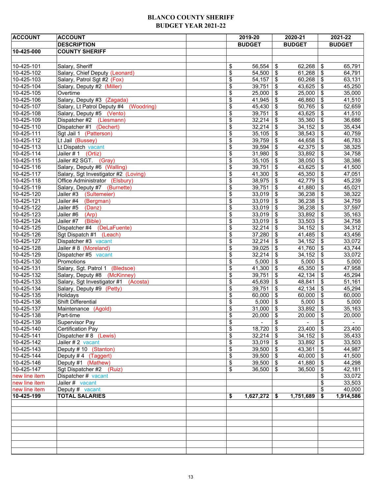#### **BLANCO COUNTY SHERIFF BUDGET YEAR 2021-22**

| <b>ACCOUNT</b>   | <b>ACCOUNT</b>                            |          | 2019-20        |                            | 2020-21       |                            | 2021-22          |
|------------------|-------------------------------------------|----------|----------------|----------------------------|---------------|----------------------------|------------------|
|                  | <b>DESCRIPTION</b>                        |          | <b>BUDGET</b>  |                            | <b>BUDGET</b> |                            | <b>BUDGET</b>    |
| 10-425-000       | <b>COUNTY SHERIFF</b>                     |          |                |                            |               |                            |                  |
|                  |                                           |          |                |                            |               |                            |                  |
| 10-425-101       | Salary, Sheriff                           |          | 56,554         | $\boldsymbol{\mathsf{\$}}$ | 62,268        | \$                         | 65,791           |
| 10-425-102       | Salary, Chief Deputy (Leonard)            | \$<br>\$ | 54,500         | $\sqrt[6]{3}$              | 61,268        | $\sqrt[6]{\frac{1}{2}}$    | 64,791           |
|                  |                                           |          |                |                            |               |                            |                  |
| 10-425-103       | Salary, Patrol Sgt #2 (Fox)               | \$       | 54,157         | \$                         | 60,268        | \$                         | 63,131           |
| 10-425-104       | Salary, Deputy #2 (Miller)                | \$       | 39,751         | $\boldsymbol{\mathsf{\$}}$ | 43,625        | \$                         | 45,250           |
| 10-425-105       | Overtime                                  | \$       | 25,000         | \$                         | 25,000        | \$                         | 35,000           |
| 10-425-106       | Salary, Deputy #3 (Zagada)                | \$       | 41,945         | $\boldsymbol{\$}$          | 46,860        | \$                         | 41,510<br>52,659 |
| 10-425-107       | Salary, Lt Patrol Deputy #4<br>(Woodring) | \$       | 45,430         | $\sqrt[6]{3}$              | 50,765        | \$                         |                  |
| 10-425-108       | Salary, Deputy #5 (Vento)                 | \$       | 39,751         | \$                         | 43,625        | \$                         | 41,510           |
| 10-425-109       | Dispatcher #2 (Liesmann)                  | \$       | 32,214         | $\boldsymbol{\$}$          | 35,360        | $\sqrt[6]{\frac{1}{2}}$    | 36,686           |
| 10-425-110       | Dispatcher #1 (Dechert)                   | \$       | 32,214         | \$                         | 34,152        | \$                         | 35,434           |
| 10-425-111       | Sgt Jail 1 (Patterson)                    | \$       | 35,105         | $\boldsymbol{\mathsf{S}}$  | 38,543        | \$                         | 40,759           |
| 10-425-112       | Lt Jail (Bussey)                          | \$       | 39,759         | \$                         | 44,658        | $\sqrt[6]{\frac{1}{2}}$    | 46,783           |
| 10-425-113       | Lt Dispatch vacant                        | \$       | 39,594         | \$                         | 42,375        | \$                         | 38,325           |
| 10-425-114       | Jailer #1<br>(Ortiz)                      | \$       | 31,980         | $\boldsymbol{\$}$          | 33,892        | \$                         | 34,758           |
| 10-425-115       | Jailer #2 SGT. (Gray)                     | \$       | 35,105         | \$                         | 38,050        | \$                         | 38,386           |
| 10-425-116       | Salary, Deputy #6 (Walling)               | \$       | 39,751         | $\sqrt[6]{3}$              | 43,625        | \$                         | 41,500           |
| 10-425-117       | Salary, Sgt Investigator #2 (Loving)      | \$       | 41,300         | $\sqrt[6]{3}$              | 45,350        | \$                         | 47,051           |
| 10-425-118       | Office Administrator (Elsbury)            | \$       | 38,975         | \$                         | 42,779        | \$                         | 45,239           |
| 10-425-119       | Salary, Deputy #7 (Burnette)              | \$       | 39,751         | $\boldsymbol{\$}$          | 41,880        | \$                         | 45,021           |
| 10-425-120       | Jailer #3 (Sultemeier)                    | \$       | 33,019         | \$                         | 36,238        | \$                         | 38,322           |
| $10-425-121$     | Jailer #4<br>(Bergman)                    | \$       | 33,019         | $\boldsymbol{\mathsf{S}}$  | 36,238        | \$                         | 34,759           |
| 10-425-122       | Jailer #5<br>(Danz)                       | \$       | 33,019         | \$                         | 36,238        | \$                         | 37,597           |
| 10-425-123       | Jailer #6<br>(Arp)                        | \$       | 33,019         | \$                         | 33,892        | \$                         | 35,163           |
| 10-425-124       | Jailer #7<br>(Bible)                      | \$       | 33,019         | $\sqrt[6]{2}$              | 33,503        | \$                         | 34,758           |
| 10-425-125       | Dispatcher #4 (DeLaFuente)                | \$       | 32,214         | \$                         | 34,152        | \$                         | 34,312           |
| 10-425-126       | Sgt Dispatch #1 (Leach)                   | \$       | 37,280         | $\boldsymbol{\$}$          | 41,485        | \$                         | 43,456           |
| $10 - 425 - 127$ | Dispatcher #3 vacant                      | \$       | 32,214         | $\sqrt[6]{3}$              | 34,152        | \$                         | 33,072           |
| 10-425-128       | Jailer #8 (Moreland)                      | \$       | 39,025         | \$                         | 41,760        | \$                         | 43,744           |
| 10-425-129       | Dispatcher #5 vacant                      | \$       | 32,214         | $\sqrt[6]{2}$              | 34,152        | \$                         | 33,072           |
| 10-425-130       | Promotions                                | \$       | 5,000          | $\boldsymbol{\mathsf{S}}$  | 5,000         | \$                         | 5,000            |
| 10-425-131       | Salary, Sgt. Patrol 1 (Bledsoe)           | \$       | 41,300         | $\boldsymbol{\mathsf{S}}$  | 45,350        | \$                         | 47,958           |
| 10-425-132       | Salary, Deputy #8 (McKinney)              | \$       | 39,751         | \$                         | 42,134        | \$                         | 45,294           |
| 10-425-133       | Salary, Sgt Investigator #1<br>(Acosta)   | \$       | 45,639         | \$                         | 48,841        | \$                         | 51,161           |
| 10-425-134       | Salary, Deputy #9 (Petty)                 | \$       | 39,751         | $\boldsymbol{\$}$          | 42,134        | \$                         | 45,294           |
| 10-425-135       | Holidays                                  | \$       | 60,000         | \$                         | 60,000        | \$                         | 60,000           |
| 10-425-136       | Shift Differential                        | \$       | 5,000          | $\sqrt[6]{3}$              | 5,000         | \$                         | 5,000            |
| 10-425-137       | Maintenance (Agold)                       | \$       | 31,000         | $\sqrt[6]{3}$              | 33,892        | \$                         | 35,163           |
| 10-425-138       | Part-time                                 | \$       | 20,000         | \$                         | 20,000        | \$                         | 20,000           |
| 10-425-139       | Supervisor Pay                            | \$       | $\blacksquare$ | \$                         | $\sim$        | \$                         | $\sim$           |
| 10-425-140       | Certification Pay                         | \$       | 18,720         | $\boldsymbol{\mathsf{S}}$  | 23,400        | \$                         | 23,400           |
| 10-425-141       | Dispatcher #8 (Lewis)                     | \$       | 32,214         | $\boldsymbol{\$}$          | 34,152        | $\boldsymbol{\mathsf{\$}}$ | 35,433           |
| 10-425-142       | Jailer # 2 vacant                         | \$       | 33,019         | $\sqrt[6]{3}$              | $33,892$ \$   |                            | 33,503           |
| 10-425-143       | Deputy #10 (Stanton)                      | \$       | 39,500         | $\sqrt[6]{2}$              | 43,361        | \$                         | 44,987           |
| 10-425-144       | Deputy #4 (Taggert)                       | \$       | 39,500         | $\sqrt[6]{3}$              | 40,000        | \$                         | 41,500           |
| 10-425-146       | Deputy #1 (Mathew)                        | \$       | 39,500         | \$                         | 41,880        | \$                         | 44,298           |
| 10-425-147       | Sgt Dispatcher #2 (Ruiz)                  | \$       | 36,500         | $\sqrt[6]{3}$              | 36,500        | \$                         | 42,181           |
| new line item    | Dispatcher # vacant                       |          |                |                            |               | \$                         | 33,072           |
| new line item    | Jailer # vacant                           |          |                |                            |               | \$                         | 33,503           |
| new line item    | Deputy # vacant                           |          |                |                            |               | \$                         | 40,000           |
| 10-425-199       | <b>TOTAL SALARIES</b>                     | \$       | 1,627,272      | \$                         | 1,751,689     | \$                         | 1,914,586        |
|                  |                                           |          |                |                            |               |                            |                  |
|                  |                                           |          |                |                            |               |                            |                  |
|                  |                                           |          |                |                            |               |                            |                  |
|                  |                                           |          |                |                            |               |                            |                  |
|                  |                                           |          |                |                            |               |                            |                  |
|                  |                                           |          |                |                            |               |                            |                  |
|                  |                                           |          |                |                            |               |                            |                  |
|                  |                                           |          |                |                            |               |                            |                  |
|                  |                                           |          |                |                            |               |                            |                  |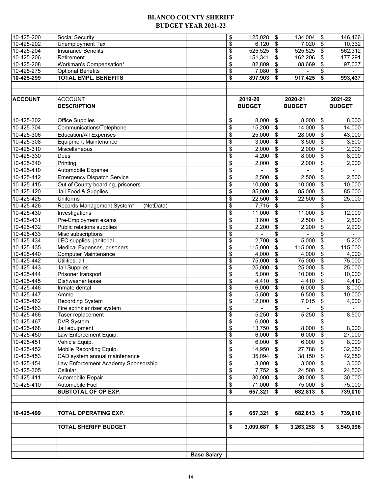#### **BLANCO COUNTY SHERIFF BUDGET YEAR 2021-22**

| 10-425-200               | Social Security                         |                    | \$<br>125,028        | \$                | 134,004        | \$                         | 146,466        |
|--------------------------|-----------------------------------------|--------------------|----------------------|-------------------|----------------|----------------------------|----------------|
| 10-425-202               | Unemployment Tax                        |                    | \$<br>6,120          | \$                | 7,020          | $\sqrt[6]{\frac{1}{2}}$    | 10,332         |
| 10-425-204               | <b>Insurance Benefits</b>               |                    | \$<br>525,525        | \$                | 525,525        | $\boldsymbol{\mathsf{S}}$  | 562,312        |
| 10-425-206               | Retirement                              |                    | \$<br>151,341        | \$                | 162,206        | \$                         | 177,291        |
| 10-425-208               | Workman's Compensation*                 |                    | \$<br>82,809         | \$                | 88,669         | \$                         | 97,037         |
| 10-425-275               | <b>Optional Benefits</b>                |                    | \$<br>7,080          | \$                |                | \$                         |                |
| 10-425-299               | <b>TOTAL EMPL. BENEFITS</b>             |                    | \$<br>897,903        | \$                | 917,425        | \$                         | 993,437        |
|                          |                                         |                    |                      |                   |                |                            |                |
|                          |                                         |                    |                      |                   |                |                            |                |
| <b>ACCOUNT</b>           | <b>ACCOUNT</b>                          |                    | 2019-20              |                   | 2020-21        |                            | 2021-22        |
|                          | <b>DESCRIPTION</b>                      |                    | <b>BUDGET</b>        |                   | <b>BUDGET</b>  |                            | <b>BUDGET</b>  |
|                          |                                         |                    |                      |                   |                |                            |                |
| 10-425-302               | <b>Office Supplies</b>                  |                    | \$<br>8,000          | \$                | 8,000          | $\boldsymbol{\mathsf{\$}}$ | 8,000          |
| 10-425-304               | Communications/Telephone                |                    | \$<br>15,200         | \$                | 14,000         | \$                         | 14,000         |
| 10-425-306               | <b>Education/All Expenses</b>           |                    | \$<br>25,000         | \$                | 28,000         | \$                         | 43,000         |
| 10-425-308               | <b>Equipment Maintenance</b>            |                    | \$                   | \$                | 3,500          | \$                         | 3,500          |
| 10-425-310               | Miscellaneous                           |                    | 3,000                | \$                |                | \$                         |                |
| 10-425-330               |                                         |                    | \$<br>2,000          |                   | 2,000          |                            | 2,000          |
|                          | Dues                                    |                    | \$<br>4,200          | \$                | 8,000          | \$                         | 8,000          |
| 10-425-340               | Printing                                |                    | \$<br>2,000          | \$                | 2,000          | \$                         | 2,000          |
| 10-425-410               | Automobile Expense                      |                    | \$                   | \$                |                | \$                         |                |
| 10-425-412               | <b>Emergency Dispatch Service</b>       |                    | \$<br>2,500          | \$                | 2,500          | \$                         | 2,500          |
| 10-425-415               | Out of County boarding, prisoners       |                    | \$<br>10,000         | \$                | 10,000         | \$                         | 10,000         |
| 10-425-420               | Jail Food & Supplies                    |                    | \$<br>85,000         | \$                | 85,000         | \$                         | 85,000         |
| 10-425-425               | Uniforms                                |                    | \$<br>22,500         | \$                | 22,500         | \$                         | 25,000         |
| 10-425-426               | Records Management System*<br>(NetData) |                    | \$<br>7,715          | \$                |                | \$                         |                |
| 10-425-430               | Investigations                          |                    | \$<br>11,000         | \$                | 11,000         | \$                         | 12,000         |
| 10-425-431               | Pre-Employment exams                    |                    | \$<br>3,600          | \$                | 2,500          | \$                         | 2,500          |
| 10-425-432               | Public relations supplies               |                    | \$<br>2,200          | \$                | 2,200          | \$                         | 2,200          |
| 10-425-433               | Misc subscriptions                      |                    | \$                   | \$                |                | \$                         |                |
| 10-425-434               | LEC supplies, janitorial                |                    | \$<br>2,700          | \$                | 5,000          | \$                         | 5,200          |
| 10-425-435               | Medical Expenses, prisoners             |                    | \$<br>115,000        | \$                | 115,000        | \$                         | 115,000        |
| 10-425-440               | <b>Computer Maintenance</b>             |                    | \$<br>4,000          | \$                | 4,000          | \$                         | 4,000          |
| 10-425-442               | Utilities, all                          |                    | \$<br>75,000         | \$                | 75,000         | \$                         | 75,000         |
| 10-425-443               | Jail Supplies                           |                    | \$<br>25,000         | \$                | 25,000         | $\overline{\mathbf{e}}$    | 25,000         |
| 10-425-444               | Prisoner transport                      |                    | \$<br>5,000          | \$                | 10,000         | $\boldsymbol{\mathsf{S}}$  | 10,000         |
| 10-425-445               | Dishwasher lease                        |                    | \$<br>4,410          | \$                | 4,410          | \$                         | 4,410          |
| 10-425-446               | Inmate dental                           |                    | \$<br>6,000          | \$                | 6,000          | \$                         | 8,000          |
| 10-425-447               | Ammo                                    |                    | \$<br>5,500          | \$                | 6,500          | \$                         | 10,000         |
| 10-425-462               | Recording System                        |                    | \$<br>12,000         | \$                | 7,015          | \$                         | 4,000          |
| 10-425-463               | Fire sprinkler riser system             |                    | \$<br>$\blacksquare$ | \$                | $\blacksquare$ | \$                         | $\blacksquare$ |
| 10-425-466               | Taser replacement                       |                    | \$<br>5,250          | \$                | 5,250          | \$                         | 8,500          |
| 10-425-467               | <b>DVR System</b>                       |                    | \$<br>6,000          | \$                |                | \$                         |                |
| 10-425-468               | Jail equipment                          |                    | \$<br>13,750         | $\boldsymbol{\$}$ | 8,000          | \$                         | 8,000          |
| 10-425-450               | Law Enforcement Equip.                  |                    | \$<br>6,000          | \$                | 6,000          | $\overline{\mathbf{e}}$    | 27,000         |
| 10-425-451               | Vehicle Equip.                          |                    | \$<br>6,000          | \$                | 6,000          | $\sqrt[6]{\frac{1}{2}}$    | 8,000          |
| 10-425-452               | Mobile Recording Equip.                 |                    | \$<br>14,950         | \$                | 27,788         | \$                         | 32,050         |
| $\overline{10}$ -425-453 | CAD system annual maintenance           |                    | \$<br>35,094         | \$                | 38,150         | $\sqrt[6]{\frac{1}{2}}$    | 42,650         |
| 10-425-454               | Law Enforcement Academy Sponsorship     |                    | \$<br>3,000          | \$                | 3,000          | $\sqrt[6]{3}$              | 3,000          |
| 10-425-305               | Cellular                                |                    | \$<br>7,752          | $\sqrt[6]{2}$     | 24,500         | $\sqrt[6]{2}$              | 24,500         |
| 10-425-411               | Automobile Repair                       |                    | \$<br>30,000         | \$                | 30,000         | \$                         | 30,000         |
| 10-425-410               | Automobile Fuel                         |                    | \$<br>71,000         | $\boldsymbol{\$}$ | 75,000         | $\boldsymbol{\$}$          | 75,000         |
|                          | <b>SUBTOTAL OF OP EXP.</b>              |                    | \$<br>657,321        | \$                | 682,813        | \$                         | 739,010        |
|                          |                                         |                    |                      |                   |                |                            |                |
|                          |                                         |                    |                      |                   |                |                            |                |
| 10-425-499               | TOTAL OPERATING EXP.                    |                    | \$<br>657,321        | \$                | 682,813        | \$                         | 739,010        |
|                          |                                         |                    |                      |                   |                |                            |                |
|                          | <b>TOTAL SHERIFF BUDGET</b>             |                    | \$<br>3,099,687      | \$                | 3,263,258      | \$                         | 3,549,996      |
|                          |                                         |                    |                      |                   |                |                            |                |
|                          |                                         |                    |                      |                   |                |                            |                |
|                          |                                         |                    |                      |                   |                |                            |                |
|                          |                                         | <b>Base Salary</b> |                      |                   |                |                            |                |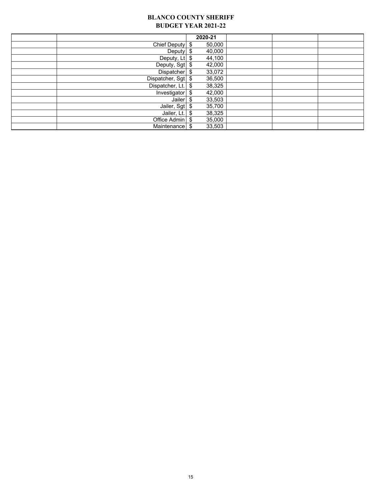#### **BLANCO COUNTY SHERIFF BUDGET YEAR 2021-22**

|                               | 2020-21       |  |  |
|-------------------------------|---------------|--|--|
| Chief Deputy   \$             | 50,000        |  |  |
| Deputy $$$                    | 40,000        |  |  |
| Deputy, $Lt$ \$               | 44,100        |  |  |
| Deputy, Sgt \$                | 42,000        |  |  |
| Dispatcher $\frac{1}{2}$      | 33,072        |  |  |
| Dispatcher, Sgt $\frac{1}{2}$ | 36,500        |  |  |
| Dispatcher, Lt. $\$\$         | 38,325        |  |  |
| Investigator $\frac{1}{2}$    | 42,000        |  |  |
| Jailer $$$                    | 33,503        |  |  |
| Jailer, Sgt $\frac{1}{3}$     | 35,700        |  |  |
| Jailer, $Lt.$                 | 38,325<br>-\$ |  |  |
| Office Admin \$               | 35,000        |  |  |
| Maintenance                   | 33,503<br>\$  |  |  |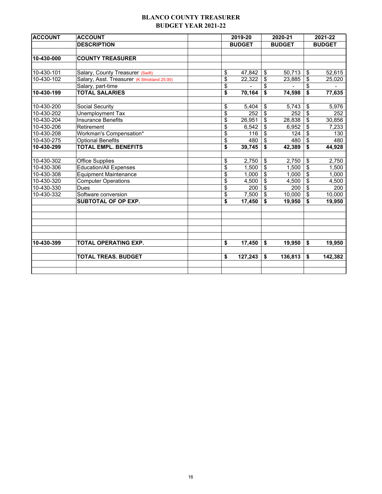### **BLANCO COUNTY TREASURER BUDGET YEAR 2021-22**

| <b>DESCRIPTION</b><br><b>BUDGET</b><br>10-430-000<br><b>COUNTY TREASURER</b>     | <b>BUDGET</b><br>50,713<br>23,885 | \$<br><b>BUDGET</b> |
|----------------------------------------------------------------------------------|-----------------------------------|---------------------|
|                                                                                  |                                   |                     |
|                                                                                  |                                   |                     |
|                                                                                  |                                   |                     |
|                                                                                  |                                   |                     |
| \$<br>47,842<br>10-430-101<br>Salary, County Treasurer (Swift)<br>\$             |                                   | 52,615              |
| \$<br>10-430-102<br>22,322<br>Salary, Asst. Treasurer (K Strickland 25.00)<br>\$ |                                   | \$<br>25,020        |
| \$<br>\$<br>Salary, part-time                                                    |                                   | \$                  |
| \$<br><b>TOTAL SALARIES</b><br>\$<br>70,164<br>10-430-199                        | 74,598                            | \$<br>77,635        |
|                                                                                  |                                   |                     |
| \$<br>10-430-200<br>Social Security<br>\$<br>5,404                               | 5,743                             | \$<br>5,976         |
| \$<br>$\sqrt{2}$<br>10-430-202<br>Unemployment Tax<br>252                        | 252                               | \$<br>252           |
| \$<br><b>Insurance Benefits</b><br>\$<br>10-430-204<br>26,951                    | 28,838                            | \$<br>30,856        |
| \$<br>10-430-206<br>Retirement<br>6,542<br>\$                                    | 6,952                             | \$<br>7,233         |
| \$<br>10-430-208<br>Workman's Compensation*<br>116<br>\$                         | 124                               | \$<br>130           |
| $\overline{\mathcal{S}}$<br>10-430-275<br><b>Optional Benefits</b><br>480<br>\$  | 480                               | \$<br>480           |
| <b>TOTAL EMPL. BENEFITS</b><br>10-430-299<br>\$<br>39,745<br>\$                  | 42,389                            | \$<br>44,928        |
| 10-430-302<br><b>Office Supplies</b><br>2,750<br>\$<br>\$                        | 2,750                             | \$<br>2,750         |
| \$<br>\$<br>10-430-306<br>1,500<br><b>Education/All Expenses</b>                 | 1,500                             | \$<br>1,500         |
| \$<br>\$<br>10-430-308<br>1,000<br><b>Equipment Maintenance</b>                  | 1,000                             | \$<br>1,000         |
| \$<br>\$<br>10-430-320<br>4,500<br><b>Computer Operations</b>                    | 4.500                             | \$<br>4,500         |
| \$<br>10-430-330<br>\$<br>Dues<br>200                                            | 200                               | \$<br>200           |
| \$<br>10-430-332<br>Software conversion<br>7,500<br>\$                           | 10,000                            | \$<br>10,000        |
| \$<br><b>SUBTOTAL OF OP EXP.</b><br>17,450<br>\$                                 | 19,950                            | \$<br>19,950        |
|                                                                                  |                                   |                     |
|                                                                                  |                                   |                     |
|                                                                                  |                                   |                     |
| 10-430-399<br>\$<br>17,450<br>TOTAL OPERATING EXP.<br>\$                         | 19,950                            | \$<br>19,950        |
| <b>TOTAL TREAS. BUDGET</b><br>\$<br>127,243<br>\$                                | 136,813                           | \$<br>142,382       |
|                                                                                  |                                   |                     |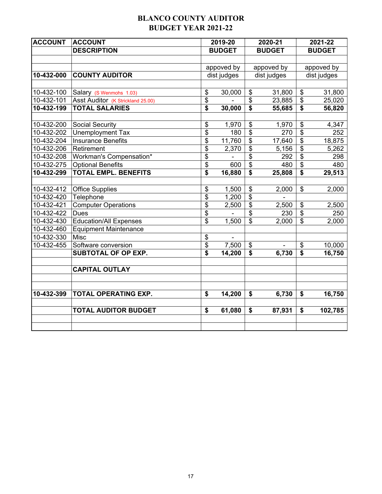## **BLANCO COUNTY AUDITOR BUDGET YEAR 2021-22**

| <b>ACCOUNT</b> | <b>ACCOUNT</b>                    | 2019-20       |                          | 2020-21       |                                      | 2021-22       |
|----------------|-----------------------------------|---------------|--------------------------|---------------|--------------------------------------|---------------|
|                | <b>DESCRIPTION</b>                | <b>BUDGET</b> |                          | <b>BUDGET</b> |                                      | <b>BUDGET</b> |
|                |                                   |               |                          |               |                                      |               |
|                |                                   | appoved by    |                          | appoved by    |                                      | appoved by    |
| 10-432-000     | <b>COUNTY AUDITOR</b>             | dist judges   |                          | dist judges   |                                      | dist judges   |
|                |                                   |               |                          |               |                                      |               |
| 10-432-100     | Salary (S Wenmohs 1.03)           | \$<br>30,000  | \$                       | 31,800        | \$                                   | 31,800        |
| 10-432-101     | Asst Auditor (K Strickland 25.00) | \$            | \$                       | 23,885        | \$                                   | 25,020        |
| 10-432-199     | <b>TOTAL SALARIES</b>             | \$<br>30,000  | $\overline{\mathbf{s}}$  | 55,685        | $\overline{\boldsymbol{\mathsf{s}}}$ | 56,820        |
|                |                                   |               |                          |               |                                      |               |
| 10-432-200     | <b>Social Security</b>            | \$<br>1,970   | \$                       | 1,970         | \$                                   | 4,347         |
| 10-432-202     | <b>Unemployment Tax</b>           | \$<br>180     | $\overline{\$}$          | 270           | $\overline{\$}$                      | 252           |
| 10-432-204     | <b>Insurance Benefits</b>         | \$<br>11,760  | $\overline{\$}$          | 17,640        | $\overline{\$}$                      | 18,875        |
| 10-432-206     | Retirement                        | \$<br>2,370   | $\overline{\$}$          | 5,156         | $\overline{\$}$                      | 5,262         |
| 10-432-208     | Workman's Compensation*           | \$            | $\overline{\mathbf{S}}$  | 292           | $\overline{\mathfrak{s}}$            | 298           |
| 10-432-275     | <b>Optional Benefits</b>          | \$<br>600     | $\overline{\mathcal{S}}$ | 480           | \$                                   | 480           |
| 10-432-299     | <b>TOTAL EMPL. BENEFITS</b>       | \$<br>16,880  | \$                       | 25,808        | \$                                   | 29,513        |
|                |                                   |               |                          |               |                                      |               |
| 10-432-412     | <b>Office Supplies</b>            | \$<br>1,500   | \$                       | 2,000         | \$                                   | 2,000         |
| 10-432-420     | Telephone                         | \$<br>1,200   | $\overline{\$}$          |               |                                      |               |
| 10-432-421     | <b>Computer Operations</b>        | \$<br>2,500   | $\overline{\$}$          | 2,500         | \$                                   | 2,500         |
| 10-432-422     | <b>Dues</b>                       | \$            | $\overline{\$}$          | 230           | $\overline{\$}$                      | 250           |
| 10-432-430     | <b>Education/All Expenses</b>     | \$<br>1,500   | $\overline{\mathcal{L}}$ | 2,000         | $\overline{\mathfrak{s}}$            | 2,000         |
| 10-432-460     | <b>Equipment Maintenance</b>      |               |                          |               |                                      |               |
| 10-432-330     | Misc                              | \$            |                          |               |                                      |               |
| 10-432-455     | Software conversion               | \$<br>7,500   | \$                       |               | \$                                   | 10,000        |
|                | SUBTOTAL OF OP EXP.               | \$<br>14,200  | \$                       | 6,730         | \$                                   | 16,750        |
|                |                                   |               |                          |               |                                      |               |
|                | <b>CAPITAL OUTLAY</b>             |               |                          |               |                                      |               |
|                |                                   |               |                          |               |                                      |               |
| 10-432-399     | TOTAL OPERATING EXP.              | \$<br>14,200  | \$                       | 6,730         | \$                                   | 16,750        |
|                |                                   |               |                          |               |                                      |               |
|                | <b>TOTAL AUDITOR BUDGET</b>       | \$<br>61,080  | \$                       | 87,931        | \$                                   | 102,785       |
|                |                                   |               |                          |               |                                      |               |
|                |                                   |               |                          |               |                                      |               |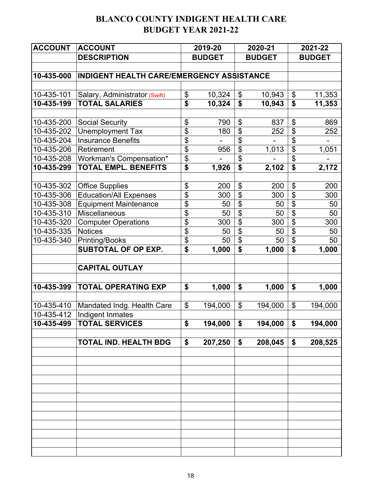# **BLANCO COUNTY INDIGENT HEALTH CARE BUDGET YEAR 2021-22**

| <b>ACCOUNT</b> | <b>ACCOUNT</b>                            |                             | 2019-20                  |                                      | 2020-21       | 2021-22                              |               |  |
|----------------|-------------------------------------------|-----------------------------|--------------------------|--------------------------------------|---------------|--------------------------------------|---------------|--|
|                | <b>DESCRIPTION</b>                        |                             | <b>BUDGET</b>            |                                      | <b>BUDGET</b> |                                      | <b>BUDGET</b> |  |
|                |                                           |                             |                          |                                      |               |                                      |               |  |
| 10-435-000     | INDIGENT HEALTH CARE/EMERGENCY ASSISTANCE |                             |                          |                                      |               |                                      |               |  |
|                |                                           |                             |                          |                                      |               |                                      |               |  |
| 10-435-101     | Salary, Administrator (Swift)             | \$                          | 10,324                   | \$                                   | 10,943        | \$                                   | 11,353        |  |
| 10-435-199     | <b>TOTAL SALARIES</b>                     | $\overline{\boldsymbol{s}}$ | 10,324                   | \$                                   | 10,943        | \$                                   | 11,353        |  |
|                |                                           |                             |                          |                                      |               |                                      |               |  |
| 10-435-200     | <b>Social Security</b>                    | \$                          | 790                      | \$                                   | 837           | \$                                   | 869           |  |
| 10-435-202     | <b>Unemployment Tax</b>                   | $\overline{\mathfrak{s}}$   | 180                      | \$                                   | 252           | $\overline{\mathfrak{s}}$            | 252           |  |
| 10-435-204     | <b>Insurance Benefits</b>                 | $\overline{\mathfrak{s}}$   | $\overline{\phantom{m}}$ | $\overline{\boldsymbol{\mathsf{S}}}$ |               | $\overline{\$}$                      | -             |  |
| 10-435-206     | Retirement                                | \$                          | 956                      | $\overline{\mathbf{S}}$              | 1,013         | $\overline{\mathfrak{s}}$            | 1,051         |  |
| 10-435-208     | Workman's Compensation*                   | \$                          |                          | \$                                   |               | \$                                   |               |  |
| 10-435-299     | <b>TOTAL EMPL. BENEFITS</b>               | \$                          | 1,926                    | $\overline{\$}$                      | 2,102         | $\overline{\boldsymbol{\mathsf{s}}}$ | 2,172         |  |
|                |                                           |                             |                          |                                      |               |                                      |               |  |
| 10-435-302     | <b>Office Supplies</b>                    | \$                          | 200                      | \$                                   | 200           | \$                                   | 200           |  |
| 10-435-306     | <b>Education/All Expenses</b>             | $\overline{\mathfrak{s}}$   | 300                      | $\overline{\mathbf{S}}$              | 300           | $\overline{\$}$                      | 300           |  |
| 10-435-308     | <b>Equipment Maintenance</b>              | $\overline{\mathfrak{s}}$   | 50                       | $\overline{\$}$                      | 50            | $\overline{\$}$                      | 50            |  |
| 10-435-310     | Miscellaneous                             | \$                          | 50                       | \$                                   | 50            | \$                                   | 50            |  |
| 10-435-320     | <b>Computer Operations</b>                | \$                          | 300                      | \$                                   | 300           | \$                                   | 300           |  |
| 10-435-335     | <b>Notices</b>                            | \$                          | 50                       | $\overline{\mathbf{S}}$              | 50            | $\overline{\$}$                      | 50            |  |
| 10-435-340     | <b>Printing/Books</b>                     | $\overline{\mathfrak{s}}$   | 50                       | $\overline{\$}$                      | 50            | $\overline{\$}$                      | 50            |  |
|                | <b>SUBTOTAL OF OP EXP.</b>                | \$                          | 1,000                    | \$                                   | 1,000         | \$                                   | 1,000         |  |
|                |                                           |                             |                          |                                      |               |                                      |               |  |
|                | <b>CAPITAL OUTLAY</b>                     |                             |                          |                                      |               |                                      |               |  |
|                |                                           |                             |                          |                                      |               |                                      |               |  |
| 10-435-399     | <b>TOTAL OPERATING EXP</b>                | \$                          | 1,000                    | \$                                   | 1,000         | \$                                   | 1,000         |  |
|                |                                           |                             |                          |                                      |               |                                      |               |  |
| 10-435-410     | Mandated Indg. Health Care                | \$                          | 194,000                  | $\boldsymbol{\mathsf{S}}$            | 194,000       | $\boldsymbol{\mathsf{S}}$            | 194,000       |  |
| 10-435-412     | Indigent Inmates                          |                             |                          |                                      |               |                                      |               |  |
| 10-435-499     | <b>TOTAL SERVICES</b>                     | \$                          | 194,000                  | \$                                   | 194,000       | \$                                   | 194,000       |  |
|                | <b>TOTAL IND. HEALTH BDG</b>              | \$                          | 207,250                  | \$                                   | 208,045       | \$                                   | 208,525       |  |
|                |                                           |                             |                          |                                      |               |                                      |               |  |
|                |                                           |                             |                          |                                      |               |                                      |               |  |
|                |                                           |                             |                          |                                      |               |                                      |               |  |
|                |                                           |                             |                          |                                      |               |                                      |               |  |
|                |                                           |                             |                          |                                      |               |                                      |               |  |
|                |                                           |                             |                          |                                      |               |                                      |               |  |
|                |                                           |                             |                          |                                      |               |                                      |               |  |
|                |                                           |                             |                          |                                      |               |                                      |               |  |
|                |                                           |                             |                          |                                      |               |                                      |               |  |
|                |                                           |                             |                          |                                      |               |                                      |               |  |
|                |                                           |                             |                          |                                      |               |                                      |               |  |
|                |                                           |                             |                          |                                      |               |                                      |               |  |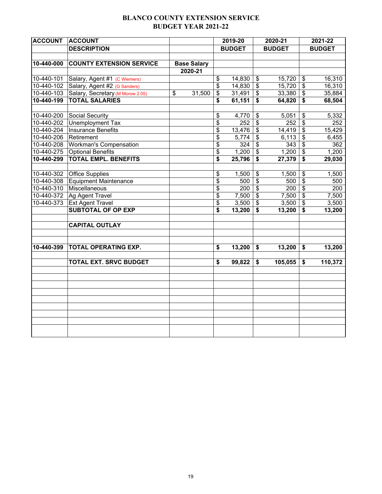## **BLANCO COUNTY EXTENSION SERVICE BUDGET YEAR 2021-22**

| <b>ACCOUNT</b> | <b>ACCOUNT</b>                   |                    |                         | 2019-20       |                                      | 2020-21       |                              | 2021-22       |
|----------------|----------------------------------|--------------------|-------------------------|---------------|--------------------------------------|---------------|------------------------------|---------------|
|                | <b>DESCRIPTION</b>               |                    |                         | <b>BUDGET</b> |                                      | <b>BUDGET</b> |                              | <b>BUDGET</b> |
|                |                                  |                    |                         |               |                                      |               |                              |               |
| 10-440-000     | <b>COUNTY EXTENSION SERVICE</b>  | <b>Base Salary</b> |                         |               |                                      |               |                              |               |
|                |                                  | 2020-21            |                         |               |                                      |               |                              |               |
| 10-440-101     | Salary, Agent #1 (C Wiemers)     |                    | \$                      | 14,830        | \$                                   | 15,720        | \$                           | 16,310        |
| 10-440-102     | Salary, Agent #2 (G Sanders)     |                    | \$                      | 14,830        | $\overline{\mathcal{S}}$             | 15,720        | $\sqrt[6]{3}$                | 16,310        |
| 10-440-103     | Salary, Secretary (M Morow 2.05) | \$<br>31,500       | \$                      | 31,491        | \$                                   | 33,380        | $\sqrt[6]{3}$                | 35,884        |
| 10-440-199     | <b>TOTAL SALARIES</b>            |                    | \$                      | 61,151        | \$                                   | 64,820        | \$                           | 68,504        |
|                |                                  |                    |                         |               |                                      |               |                              |               |
| 10-440-200     | Social Security                  |                    | \$                      | 4,770         | \$                                   | 5,051         | $\sqrt[6]{\frac{1}{2}}$      | 5,332         |
| 10-440-202     | <b>Unemployment Tax</b>          |                    | \$                      | 252           | $\boldsymbol{\mathsf{S}}$            | 252           | $\sqrt[6]{\frac{1}{2}}$      | 252           |
| 10-440-204     | Insurance Benefits               |                    | \$                      | 13,476        | $\sqrt[6]{\frac{1}{2}}$              | 14,419        | \$                           | 15,429        |
| 10-440-206     | Retirement                       |                    | \$                      | 5,774         | $\overline{\mathbf{3}}$              | 6,113         | $\overline{\mathbf{3}}$      | 6,455         |
| 10-440-208     | <b>Workman's Compensation</b>    |                    | \$                      | 324           | $\overline{\boldsymbol{\mathsf{s}}}$ | 343           | $\overline{\mathfrak{s}}$    | 362           |
| 10-440-275     | <b>Optional Benefits</b>         |                    | $\overline{\mathbf{e}}$ | 1,200         | $\overline{\$}$                      | 1,200         | $\overline{\mathcal{S}}$     | 1,200         |
| 10-440-299     | <b>TOTAL EMPL. BENEFITS</b>      |                    | \$                      | 25,796        | $\overline{\boldsymbol{\mathsf{s}}}$ | 27,379        | \$                           | 29,030        |
|                |                                  |                    |                         |               |                                      |               |                              |               |
| 10-440-302     | Office Supplies                  |                    | \$                      | 1,500         | \$                                   | 1,500         | $\boldsymbol{\hat{\theta}}$  | 1,500         |
| 10-440-308     | Equipment Maintenance            |                    | \$                      | 500           | \$                                   | 500           | $\boldsymbol{\hat{\varphi}}$ | 500           |
| 10-440-310     | Miscellaneous                    |                    | \$                      | 200           | $\overline{\$}$                      | 200           | $\overline{\mathbf{s}}$      | 200           |
| 10-440-372     | Ag Agent Travel                  |                    | \$                      | 7,500         | $\overline{\$}$                      | 7,500         | $\overline{\mathbf{s}}$      | 7,500         |
| 10-440-373     | <b>Ext Agent Travel</b>          |                    | \$                      | 3,500         | $\boldsymbol{\mathsf{S}}$            | 3,500         | $\sqrt[6]{3}$                | 3,500         |
|                | <b>SUBTOTAL OF OP EXP</b>        |                    | \$                      | 13,200        | \$                                   | 13,200        | \$                           | 13,200        |
|                |                                  |                    |                         |               |                                      |               |                              |               |
|                | <b>CAPITAL OUTLAY</b>            |                    |                         |               |                                      |               |                              |               |
|                |                                  |                    |                         |               |                                      |               |                              |               |
| 10-440-399     | <b>TOTAL OPERATING EXP.</b>      |                    | \$                      | 13,200        | \$                                   | 13,200        | \$                           | 13,200        |
|                |                                  |                    |                         |               |                                      |               |                              |               |
|                | <b>TOTAL EXT. SRVC BUDGET</b>    |                    | \$                      | 99,822        | \$                                   | 105,055       | \$                           | 110,372       |
|                |                                  |                    |                         |               |                                      |               |                              |               |
|                |                                  |                    |                         |               |                                      |               |                              |               |
|                |                                  |                    |                         |               |                                      |               |                              |               |
|                |                                  |                    |                         |               |                                      |               |                              |               |
|                |                                  |                    |                         |               |                                      |               |                              |               |
|                |                                  |                    |                         |               |                                      |               |                              |               |
|                |                                  |                    |                         |               |                                      |               |                              |               |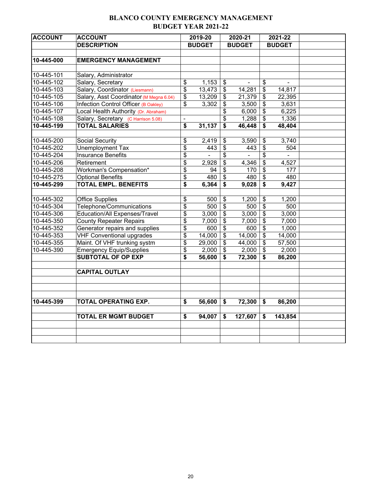## **BLANCO COUNTY EMERGENCY MANAGEMENT BUDGET YEAR 2021-22**

| <b>ACCOUNT</b> | <b>ACCOUNT</b>                          | 2019-20                              |               |                                      | 2020-21        | 2021-22                              |               |  |
|----------------|-----------------------------------------|--------------------------------------|---------------|--------------------------------------|----------------|--------------------------------------|---------------|--|
|                | <b>DESCRIPTION</b>                      |                                      | <b>BUDGET</b> |                                      | <b>BUDGET</b>  |                                      | <b>BUDGET</b> |  |
|                |                                         |                                      |               |                                      |                |                                      |               |  |
| 10-445-000     | <b>EMERGENCY MANAGEMENT</b>             |                                      |               |                                      |                |                                      |               |  |
|                |                                         |                                      |               |                                      |                |                                      |               |  |
| 10-445-101     | Salary, Administrator                   |                                      |               |                                      |                |                                      |               |  |
| 10-445-102     | Salary, Secretary                       | \$                                   | 1,153         | \$                                   |                | \$                                   |               |  |
| 10-445-103     | Salary, Coordinator (Liesmann)          | \$                                   | 13,473        | \$                                   | 14,281         | $\overline{\boldsymbol{\mathsf{s}}}$ | 14,817        |  |
| 10-445-105     | Salary, Asst Coordinator (M Megna 6.04) | \$                                   | 13,209        | $\overline{\mathbf{e}}$              | 21,379         | \$                                   | 22,395        |  |
| 10-445-106     | Infection Control Officer (B Oakley)    | \$                                   | 3,302         | \$                                   | 3,500          | \$                                   | 3,631         |  |
| 10-445-107     | Local Health Authority (Dr. Abraham)    |                                      |               | $\overline{\boldsymbol{\mathsf{S}}}$ | 6,000          | $\overline{\mathbf{S}}$              | 6,225         |  |
| 10-445-108     | Salary, Secretary (C Harrison 5.08)     | $\blacksquare$                       |               | $\overline{\mathbf{S}}$              | 1,288          | \$                                   | 1,336         |  |
| 10-445-199     | <b>TOTAL SALARIES</b>                   | $\overline{\bullet}$                 | 31,137        | $\overline{\boldsymbol{\mathsf{s}}}$ | 46,448         | \$                                   | 48,404        |  |
|                |                                         |                                      |               |                                      |                |                                      |               |  |
| 10-445-200     | Social Security                         | \$                                   | 2,419         | \$                                   | 3,590          | \$                                   | 3,740         |  |
| 10-445-202     | Unemployment Tax                        | $\overline{\boldsymbol{\mathsf{s}}}$ | 443           | $\overline{\boldsymbol{\mathsf{S}}}$ | 443            | \$                                   | 504           |  |
| 10-445-204     | <b>Insurance Benefits</b>               | \$                                   | $\mathbf{r}$  | \$                                   | $\blacksquare$ | \$                                   | $\mathbf{r}$  |  |
| 10-445-206     | Retirement                              | \$                                   | 2,928         | $\overline{\mathcal{E}}$             | 4,346          | \$                                   | 4,527         |  |
| 10-445-208     | Workman's Compensation*                 | $\overline{\boldsymbol{\mathsf{s}}}$ | 94            | $\overline{\boldsymbol{\mathsf{S}}}$ | 170            | \$                                   | 177           |  |
| 10-445-275     | <b>Optional Benefits</b>                | \$                                   | 480           | $\overline{\$}$                      | 480            | \$                                   | 480           |  |
| 10-445-299     | <b>TOTAL EMPL. BENEFITS</b>             | \$                                   | 6,364         | $\overline{\$}$                      | 9,028          | \$                                   | 9,427         |  |
|                |                                         |                                      |               |                                      |                |                                      |               |  |
| 10-445-302     | <b>Office Supplies</b>                  | \$                                   | 500           | \$                                   | 1,200          | \$                                   | 1,200         |  |
| 10-445-304     | Telephone/Communications                | \$                                   | 500           | \$                                   | 500            | $\overline{\mathbf{S}}$              | 500           |  |
| 10-445-306     | <b>Education/All Expenses/Travel</b>    | \$                                   | 3,000         | $\overline{\$}$                      | 3,000          | $\overline{\boldsymbol{\theta}}$     | 3,000         |  |
| 10-445-350     | <b>County Repeater Repairs</b>          | \$                                   | 7,000         | $\overline{\boldsymbol{\mathsf{S}}}$ | 7,000          | \$                                   | 7,000         |  |
| 10-445-352     | Generator repairs and supplies          | \$                                   | 600           | $\overline{\$}$                      | 600            | $\overline{\mathcal{L}}$             | 1,000         |  |
| 10-445-353     | <b>VHF Conventional upgrades</b>        | \$                                   | 14,000        | $\overline{\$}$                      | 14,000         | \$                                   | 14,000        |  |
| 10-445-355     | Maint. Of VHF trunking systm            | \$                                   | 29,000        | $\overline{\mathcal{L}}$             | 44,000         | \$                                   | 57,500        |  |
| 10-445-390     | <b>Emergency Equip/Supplies</b>         | \$                                   | 2,000         | \$                                   | 2,000          | \$                                   | 2,000         |  |
|                | <b>SUBTOTAL OF OP EXP</b>               | \$                                   | 56,600        | \$                                   | 72,300         | \$                                   | 86,200        |  |
|                |                                         |                                      |               |                                      |                |                                      |               |  |
|                | <b>CAPITAL OUTLAY</b>                   |                                      |               |                                      |                |                                      |               |  |
|                |                                         |                                      |               |                                      |                |                                      |               |  |
|                |                                         |                                      |               |                                      |                |                                      |               |  |
|                |                                         |                                      |               |                                      |                |                                      |               |  |
| 10-445-399     | TOTAL OPERATING EXP.                    | \$                                   | 56,600        | \$                                   | 72,300         | \$                                   | 86,200        |  |
|                |                                         |                                      |               |                                      |                |                                      |               |  |
|                | <b>TOTAL ER MGMT BUDGET</b>             | \$                                   | 94,007        | \$                                   | 127,607        | \$                                   | 143,854       |  |
|                |                                         |                                      |               |                                      |                |                                      |               |  |
|                |                                         |                                      |               |                                      |                |                                      |               |  |
|                |                                         |                                      |               |                                      |                |                                      |               |  |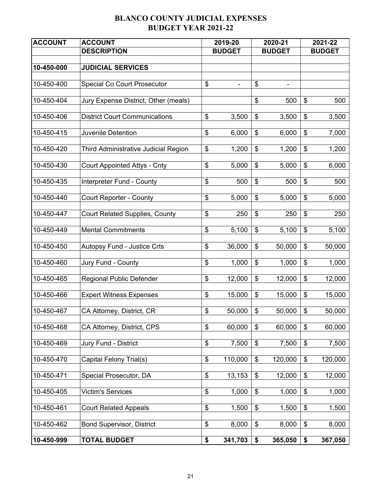## **BLANCO COUNTY JUDICIAL EXPENSES BUDGET YEAR 2021-22**

| <b>ACCOUNT</b>   | <b>ACCOUNT</b>                        | 2019-20                        |                           | 2020-21        |                           | 2021-22       |
|------------------|---------------------------------------|--------------------------------|---------------------------|----------------|---------------------------|---------------|
|                  | <b>DESCRIPTION</b>                    | <b>BUDGET</b>                  |                           | <b>BUDGET</b>  |                           | <b>BUDGET</b> |
|                  |                                       |                                |                           |                |                           |               |
| $10 - 450 - 000$ | <b>JUDICIAL SERVICES</b>              |                                |                           |                |                           |               |
| 10-450-400       | <b>Special Co Court Prosecutor</b>    | \$<br>$\overline{\phantom{0}}$ | \$                        | $\blacksquare$ |                           |               |
|                  |                                       |                                |                           |                |                           |               |
| 10-450-404       | Jury Expense District, Other (meals)  |                                | \$                        | 500            | $\boldsymbol{\mathsf{S}}$ | 500           |
| 10-450-406       | <b>District Court Communications</b>  | \$<br>3,500                    | \$                        | 3,500          | \$                        | 3,500         |
|                  |                                       |                                |                           |                |                           |               |
| 10-450-415       | Juvenile Detention                    | \$<br>6,000                    | $\$\$                     | 6,000          | $\frac{1}{2}$             | 7,000         |
| 10-450-420       | Third Administrative Judicial Region  | \$<br>1,200                    | \$                        | 1,200          | $\frac{1}{2}$             | 1,200         |
|                  |                                       |                                |                           |                |                           |               |
| 10-450-430       | <b>Court Appointed Attys - Cnty</b>   | \$<br>5,000                    | \$                        | 5,000          | \$                        | 6,000         |
| 10-450-435       | Interpreter Fund - County             | \$<br>500                      | \$                        | 500            | $\$\$                     | 500           |
|                  |                                       |                                |                           |                |                           |               |
| 10-450-440       | <b>Court Reporter - County</b>        | \$<br>5,000                    | $\boldsymbol{\mathsf{S}}$ | 5,000          | $\boldsymbol{\mathsf{S}}$ | 5,000         |
| 10-450-447       | <b>Court Related Supplies, County</b> | \$<br>250                      | \$                        | 250            | \$                        | 250           |
|                  |                                       |                                |                           |                |                           |               |
| 10-450-449       | <b>Mental Commitments</b>             | \$<br>5,100                    | \$                        | 5,100          | $\frac{1}{2}$             | 5,100         |
| 10-450-450       | <b>Autopsy Fund - Justice Crts</b>    | \$<br>36,000                   | \$                        | 50,000         | $\boldsymbol{\mathsf{S}}$ | 50,000        |
|                  |                                       |                                |                           |                |                           |               |
| 10-450-460       | Jury Fund - County                    | \$<br>1,000                    | \$                        | 1,000          | $\$\$                     | 1,000         |
| 10-450-465       | <b>Regional Public Defender</b>       | \$<br>12,000                   | \$                        | 12,000         | \$                        | 12,000        |
|                  |                                       |                                |                           |                |                           |               |
| 10-450-466       | <b>Expert Witness Expenses</b>        | \$<br>15,000                   | \$                        | 15,000         | $\boldsymbol{\mathsf{S}}$ | 15,000        |
| 10-450-467       | CA Attorney, District, CR             | \$<br>50,000                   | \$                        | 50,000         | \$                        | 50,000        |
|                  |                                       |                                |                           |                |                           |               |
| 10-450-468       | CA Attorney, District, CPS            | \$<br>60,000                   | \$                        | 60,000         | \$                        | 60,000        |
| 10-450-469       | Jury Fund - District                  | \$<br>7,500                    | \$                        | 7,500          | \$                        | 7,500         |
|                  |                                       |                                |                           |                |                           |               |
| 10-450-470       | Capital Felony Trial(s)               | \$<br>110,000                  | \$                        | 120,000        | \$                        | 120,000       |
| 10-450-471       | Special Prosecutor, DA                | \$<br>13,153                   | \$                        | 12,000         | \$                        | 12,000        |
|                  |                                       |                                |                           |                |                           |               |
| 10-450-405       | <b>Victim's Services</b>              | \$<br>1,000                    | \$                        | 1,000          | \$                        | 1,000         |
| 10-450-461       | <b>Court Related Appeals</b>          | \$<br>1,500                    | \$                        | 1,500          | \$                        | 1,500         |
|                  |                                       |                                |                           |                |                           |               |
| 10-450-462       | <b>Bond Supervisor, District</b>      | \$<br>8,000                    | \$                        | 8,000          | \$                        | 8,000         |
| 10-450-999       | <b>TOTAL BUDGET</b>                   | \$<br>341,703                  | \$                        | 365,050        | \$                        | 367,050       |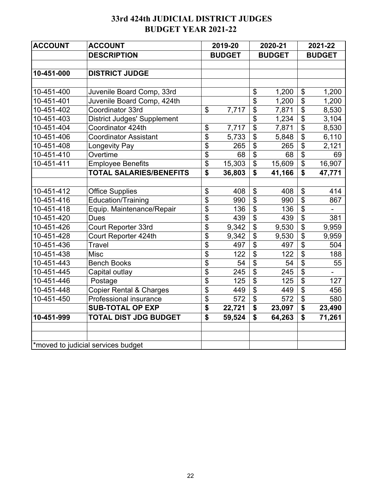# **33rd 424th JUDICIAL DISTRICT JUDGES BUDGET YEAR 2021-22**

| <b>ACCOUNT</b> | <b>ACCOUNT</b>                     |                | 2019-20       |                           | 2020-21       |                         | 2021-22       |
|----------------|------------------------------------|----------------|---------------|---------------------------|---------------|-------------------------|---------------|
|                | <b>DESCRIPTION</b>                 |                | <b>BUDGET</b> |                           | <b>BUDGET</b> |                         | <b>BUDGET</b> |
|                |                                    |                |               |                           |               |                         |               |
| 10-451-000     | <b>DISTRICT JUDGE</b>              |                |               |                           |               |                         |               |
|                |                                    |                |               |                           |               |                         |               |
| 10-451-400     | Juvenile Board Comp, 33rd          |                |               | \$                        | 1,200         | \$                      | 1,200         |
| 10-451-401     | Juvenile Board Comp, 424th         |                |               | \$                        | 1,200         | \$                      | 1,200         |
| 10-451-402     | Coordinator 33rd                   | $\mathfrak{S}$ | 7,717         | \$                        | 7,871         | $\mathfrak{S}$          | 8,530         |
| 10-451-403     | <b>District Judges' Supplement</b> |                |               | \$                        | 1,234         | $\mathfrak{S}$          | 3,104         |
| 10-451-404     | Coordinator 424th                  | \$             | 7,717         | \$                        | 7,871         | \$                      | 8,530         |
| 10-451-406     | <b>Coordinator Assistant</b>       | \$             | 5,733         | \$                        | 5,848         | \$                      | 6,110         |
| 10-451-408     | Longevity Pay                      | \$             | 265           | \$                        | 265           | \$                      | 2,121         |
| 10-451-410     | Overtime                           | \$             | 68            | \$                        | 68            | \$                      | 69            |
| 10-451-411     | <b>Employee Benefits</b>           | \$             | 15,303        | \$                        | 15,609        | \$                      | 16,907        |
|                | <b>TOTAL SALARIES/BENEFITS</b>     | \$             | 36,803        | \$                        | 41,166        | \$                      | 47,771        |
|                |                                    |                |               |                           |               |                         |               |
| 10-451-412     | <b>Office Supplies</b>             | \$             | 408           | $\boldsymbol{\mathsf{S}}$ | 408           | \$                      | 414           |
| 10-451-416     | Education/Training                 | \$             | 990           | \$                        | 990           | \$                      | 867           |
| 10-451-418     | Equip. Maintenance/Repair          | \$             | 136           | \$                        | 136           | \$                      |               |
| 10-451-420     | <b>Dues</b>                        | \$             | 439           | \$                        | 439           | $\overline{\mathbf{S}}$ | 381           |
| 10-451-426     | Court Reporter 33rd                | \$             | 9,342         | \$                        | 9,530         | \$                      | 9,959         |
| 10-451-428     | Court Reporter 424th               | \$             | 9,342         | \$                        | 9,530         | \$                      | 9,959         |
| 10-451-436     | <b>Travel</b>                      | \$             | 497           | \$                        | 497           | \$                      | 504           |
| 10-451-438     | <b>Misc</b>                        | \$             | 122           | \$                        | 122           | \$                      | 188           |
| 10-451-443     | <b>Bench Books</b>                 | \$             | 54            | \$                        | 54            | \$                      | 55            |
| 10-451-445     | Capital outlay                     | \$             | 245           | \$                        | 245           | \$                      | -             |
| 10-451-446     | Postage                            | \$             | 125           | \$                        | 125           | \$                      | 127           |
| 10-451-448     | <b>Copier Rental &amp; Charges</b> | \$             | 449           | \$                        | 449           | \$                      | 456           |
| 10-451-450     | Professional insurance             | \$             | 572           | \$                        | 572           | \$                      | 580           |
|                | <b>SUB-TOTAL OP EXP</b>            | \$             | 22,721        | \$                        | 23,097        | \$                      | 23,490        |
| 10-451-999     | <b>TOTAL DIST JDG BUDGET</b>       | \$             | 59,524        | \$                        | 64,263        | \$                      | 71,261        |
|                |                                    |                |               |                           |               |                         |               |
|                |                                    |                |               |                           |               |                         |               |
|                | *moved to judicial services budget |                |               |                           |               |                         |               |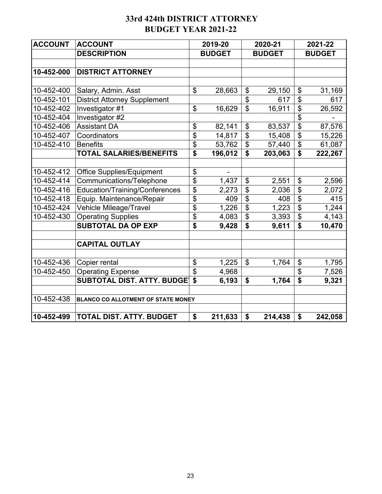## **33rd 424th DISTRICT ATTORNEY BUDGET YEAR 2021-22**

| <b>ACCOUNT</b> | <b>ACCOUNT</b>                      |                            | 2019-20       |                           | 2020-21       |                            | 2021-22       |
|----------------|-------------------------------------|----------------------------|---------------|---------------------------|---------------|----------------------------|---------------|
|                | <b>DESCRIPTION</b>                  |                            | <b>BUDGET</b> |                           | <b>BUDGET</b> |                            | <b>BUDGET</b> |
|                |                                     |                            |               |                           |               |                            |               |
| 10-452-000     | <b>DISTRICT ATTORNEY</b>            |                            |               |                           |               |                            |               |
|                |                                     |                            |               |                           |               |                            |               |
| 10-452-400     | Salary, Admin. Asst                 | \$                         | 28,663        | \$                        | 29,150        | \$                         | 31,169        |
| 10-452-101     | <b>District Attorney Supplement</b> |                            |               | \$                        | 617           | $\mathfrak{S}$             | 617           |
| 10-452-402     | Investigator #1                     | $\boldsymbol{\mathsf{\$}}$ | 16,629        | $\overline{\mathfrak{s}}$ | 16,911        | $\boldsymbol{\mathsf{\$}}$ | 26,592        |
| 10-452-404     | Investigator #2                     |                            |               |                           |               | \$                         |               |
| 10-452-406     | <b>Assistant DA</b>                 | \$                         | 82,141        | \$                        | 83,537        | \$                         | 87,576        |
| 10-452-407     | Coordinators                        | \$                         | 14,817        | \$                        | 15,408        | \$                         | 15,226        |
| 10-452-410     | <b>Benefits</b>                     | \$                         | 53,762        | \$                        | 57,440        | \$                         | 61,087        |
|                | <b>TOTAL SALARIES/BENEFITS</b>      | \$                         | 196,012       | \$                        | 203,063       | \$                         | 222,267       |
|                |                                     |                            |               |                           |               |                            |               |
| 10-452-412     | <b>Office Supplies/Equipment</b>    | $\boldsymbol{\theta}$      |               |                           |               |                            |               |
| 10-452-414     | Communications/Telephone            | \$                         | 1,437         | \$                        | 2,551         | \$                         | 2,596         |
| 10-452-416     | Education/Training/Conferences      | \$                         | 2,273         | $\boldsymbol{\mathsf{S}}$ | 2,036         | \$                         | 2,072         |
| 10-452-418     | Equip. Maintenance/Repair           | \$                         | 409           | $\overline{\mathbf{s}}$   | 408           | $\boldsymbol{\mathsf{S}}$  | 415           |
| 10-452-424     | Vehicle Mileage/Travel              | \$                         | 1,226         | \$                        | 1,223         | \$                         | 1,244         |
| 10-452-430     | <b>Operating Supplies</b>           | \$                         | 4,083         | $\overline{\$}$           | 3,393         | $\overline{\mathbf{S}}$    | 4,143         |
|                | <b>SUBTOTAL DA OP EXP</b>           | \$                         | 9,428         | \$                        | 9,611         | \$                         | 10,470        |
|                |                                     |                            |               |                           |               |                            |               |
|                | <b>CAPITAL OUTLAY</b>               |                            |               |                           |               |                            |               |
|                |                                     |                            |               |                           |               |                            |               |
| 10-452-436     | Copier rental                       | \$                         | 1,225         | $\boldsymbol{\mathsf{S}}$ | 1,764         | \$                         | 1,795         |
| 10-452-450     | <b>Operating Expense</b>            | \$                         | 4,968         |                           |               | \$                         | 7,526         |
|                | <b>SUBTOTAL DIST. ATTY. BUDGET</b>  | \$                         | 6,193         | \$                        | 1,764         | \$                         | 9,321         |
| 10-452-438     | BLANCO CO ALLOTMENT OF STATE MONEY  |                            |               |                           |               |                            |               |
|                |                                     |                            |               |                           |               |                            |               |
| 10-452-499     | <b>TOTAL DIST. ATTY. BUDGET</b>     | \$                         | 211,633       | $\boldsymbol{\mathsf{s}}$ | 214,438       | \$                         | 242,058       |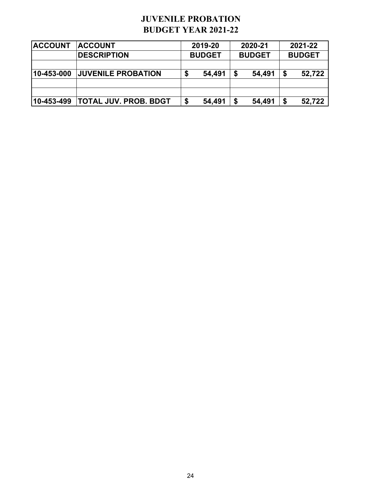# **JUVENILE PROBATION BUDGET YEAR 2021-22**

| <b>IACCOUNT</b>    | <b>ACCOUNT</b>               | 2019-20 |               | 2020-21       | 2021-22       |
|--------------------|------------------------------|---------|---------------|---------------|---------------|
|                    | <b>DESCRIPTION</b>           |         | <b>BUDGET</b> | <b>BUDGET</b> | <b>BUDGET</b> |
|                    |                              |         |               |               |               |
| 10-453-000         | <b>JUVENILE PROBATION</b>    | S       | 54,491        | 54,491        | \$<br>52,722  |
|                    |                              |         |               |               |               |
|                    |                              |         |               |               |               |
| $ 10 - 453 - 499 $ | <b>TOTAL JUV. PROB. BDGT</b> |         | 54,491        | 54,491        | \$<br>52,722  |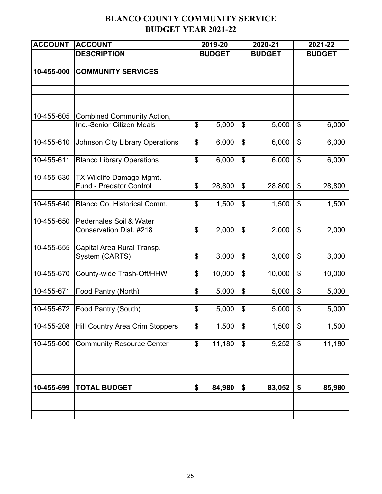# **BLANCO COUNTY COMMUNITY SERVICE BUDGET YEAR 2021-22**

| <b>ACCOUNT</b> | <b>ACCOUNT</b>                                             |    | 2019-20       |                            | 2020-21       | 2021-22                   |               |  |
|----------------|------------------------------------------------------------|----|---------------|----------------------------|---------------|---------------------------|---------------|--|
|                | <b>DESCRIPTION</b>                                         |    | <b>BUDGET</b> |                            | <b>BUDGET</b> |                           | <b>BUDGET</b> |  |
|                |                                                            |    |               |                            |               |                           |               |  |
| 10-455-000     | <b>COMMUNITY SERVICES</b>                                  |    |               |                            |               |                           |               |  |
|                |                                                            |    |               |                            |               |                           |               |  |
|                |                                                            |    |               |                            |               |                           |               |  |
|                |                                                            |    |               |                            |               |                           |               |  |
| 10-455-605     | <b>Combined Community Action,</b>                          |    |               |                            |               |                           |               |  |
|                | Inc.-Senior Citizen Meals                                  | \$ | 5,000         | \$                         | 5,000         | $\boldsymbol{\mathsf{S}}$ | 6,000         |  |
| 10-455-610     | <b>Johnson City Library Operations</b>                     | \$ | 6,000         | $\boldsymbol{\mathsf{\$}}$ | 6,000         | \$                        | 6,000         |  |
|                |                                                            |    |               |                            |               |                           |               |  |
| 10-455-611     | <b>Blanco Library Operations</b>                           | \$ | 6,000         | \$                         | 6,000         | \$                        | 6,000         |  |
|                |                                                            |    |               |                            |               |                           |               |  |
| 10-455-630     | TX Wildlife Damage Mgmt.<br><b>Fund - Predator Control</b> | \$ | 28,800        | \$                         |               | \$                        |               |  |
|                |                                                            |    |               |                            | 28,800        |                           | 28,800        |  |
| 10-455-640     | Blanco Co. Historical Comm.                                | \$ | 1,500         | $\boldsymbol{\mathsf{\$}}$ | 1,500         | \$                        | 1,500         |  |
|                |                                                            |    |               |                            |               |                           |               |  |
| 10-455-650     | Pedernales Soil & Water                                    |    |               |                            |               |                           |               |  |
|                | Conservation Dist. #218                                    | \$ | 2,000         | \$                         | 2,000         | \$                        | 2,000         |  |
| 10-455-655     | Capital Area Rural Transp.                                 |    |               |                            |               |                           |               |  |
|                | System (CARTS)                                             | \$ | 3,000         | $\boldsymbol{\mathsf{\$}}$ | 3,000         | $\boldsymbol{\mathsf{S}}$ | 3,000         |  |
|                |                                                            |    |               |                            |               |                           |               |  |
| 10-455-670     | County-wide Trash-Off/HHW                                  | \$ | 10,000        | \$                         | 10,000        | $\boldsymbol{\mathsf{S}}$ | 10,000        |  |
| 10-455-671     | Food Pantry (North)                                        | \$ | 5,000         | \$                         | 5,000         | \$                        |               |  |
|                |                                                            |    |               |                            |               |                           | 5,000         |  |
| 10-455-672     | Food Pantry (South)                                        | \$ | 5,000         | \$                         | 5,000         | \$                        | 5,000         |  |
|                |                                                            |    |               |                            |               |                           |               |  |
| 10-455-208     | <b>Hill Country Area Crim Stoppers</b>                     | \$ | 1,500         | \$                         | 1,500         | \$                        | 1,500         |  |
| 10-455-600     | <b>Community Resource Center</b>                           | \$ | 11,180        | \$                         |               | \$                        |               |  |
|                |                                                            |    |               |                            | 9,252         |                           | 11,180        |  |
|                |                                                            |    |               |                            |               |                           |               |  |
|                |                                                            |    |               |                            |               |                           |               |  |
| 10-455-699     | <b>TOTAL BUDGET</b>                                        | \$ | 84,980        | \$                         | 83,052        | \$                        | 85,980        |  |
|                |                                                            |    |               |                            |               |                           |               |  |
|                |                                                            |    |               |                            |               |                           |               |  |
|                |                                                            |    |               |                            |               |                           |               |  |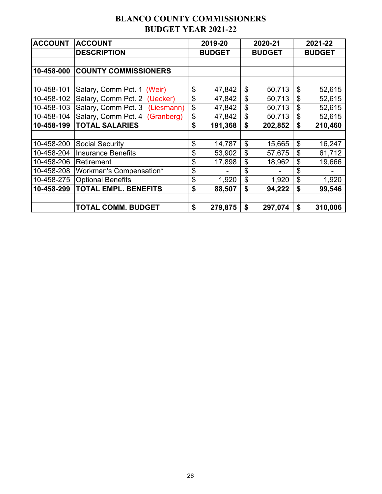# **BLANCO COUNTY COMMISSIONERS BUDGET YEAR 2021-22**

| <b>ACCOUNT</b> | <b>ACCOUNT</b>                    | 2019-20       | 2020-21       | 2021-22       |
|----------------|-----------------------------------|---------------|---------------|---------------|
|                | <b>DESCRIPTION</b>                | <b>BUDGET</b> | <b>BUDGET</b> | <b>BUDGET</b> |
|                |                                   |               |               |               |
| 10-458-000     | <b>COUNTY COMMISSIONERS</b>       |               |               |               |
|                |                                   |               |               |               |
| 10-458-101     | Salary, Comm Pct. 1<br>(Weir)     | \$<br>47,842  | \$<br>50,713  | \$<br>52,615  |
| 10-458-102     | Salary, Comm Pct. 2 (Uecker)      | \$<br>47,842  | \$<br>50,713  | \$<br>52,615  |
| 10-458-103     | Salary, Comm Pct. 3<br>(Liesmann) | \$<br>47,842  | \$<br>50,713  | \$<br>52,615  |
| 10-458-104     | Salary, Comm Pct. 4<br>(Granberg) | \$<br>47,842  | \$<br>50,713  | \$<br>52,615  |
| 10-458-199     | <b>TOTAL SALARIES</b>             | \$<br>191,368 | \$<br>202,852 | \$<br>210,460 |
|                |                                   |               |               |               |
| 10-458-200     | <b>Social Security</b>            | \$<br>14,787  | \$<br>15,665  | \$<br>16,247  |
| 10-458-204     | <b>Insurance Benefits</b>         | \$<br>53,902  | \$<br>57,675  | \$<br>61,712  |
| 10-458-206     | Retirement                        | \$<br>17,898  | \$<br>18,962  | \$<br>19,666  |
| 10-458-208     | Workman's Compensation*           | \$            | \$            | \$            |
| 10-458-275     | <b>Optional Benefits</b>          | \$<br>1,920   | \$<br>1,920   | \$<br>1,920   |
| 10-458-299     | <b>TOTAL EMPL. BENEFITS</b>       | \$<br>88,507  | \$<br>94,222  | \$<br>99,546  |
|                |                                   |               |               |               |
|                | <b>TOTAL COMM. BUDGET</b>         | \$<br>279,875 | \$<br>297,074 | \$<br>310,006 |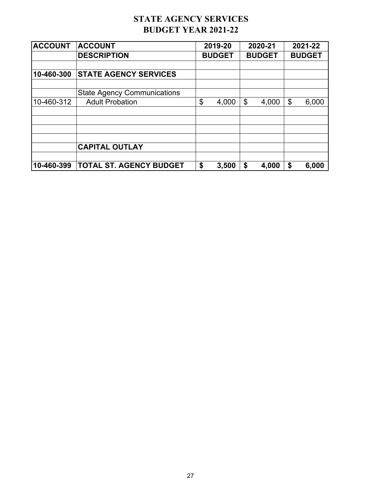# **STATE AGENCY SERVICES BUDGET YEAR 2021-22**

| <b>ACCOUNT</b> | <b>ACCOUNT</b>                     |    | 2019-20       |    | 2020-21       |               | 2021-22 |  |
|----------------|------------------------------------|----|---------------|----|---------------|---------------|---------|--|
|                | <b>DESCRIPTION</b>                 |    | <b>BUDGET</b> |    | <b>BUDGET</b> | <b>BUDGET</b> |         |  |
|                |                                    |    |               |    |               |               |         |  |
| 10-460-300     | <b>STATE AGENCY SERVICES</b>       |    |               |    |               |               |         |  |
|                | <b>State Agency Communications</b> |    |               |    |               |               |         |  |
| 10-460-312     | <b>Adult Probation</b>             | \$ | 4,000         | \$ | 4,000         | \$            | 6,000   |  |
|                |                                    |    |               |    |               |               |         |  |
|                |                                    |    |               |    |               |               |         |  |
|                | <b>CAPITAL OUTLAY</b>              |    |               |    |               |               |         |  |
| 10-460-399     | <b>TOTAL ST. AGENCY BUDGET</b>     | \$ | 3,500         | \$ | 4,000         | \$            | 6,000   |  |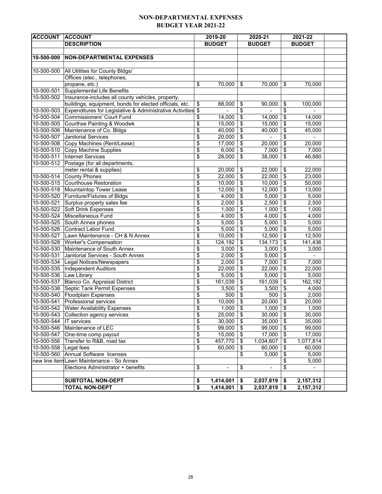#### **NON-DEPARTMENTAL EXPENSES BUDGET YEAR 2021-22**

| <b>ACCOUNT</b>           | <b>ACCOUNT</b>                                              | 2019-20              |                         | 2020-21                  |                                  | 2021-22        |  |
|--------------------------|-------------------------------------------------------------|----------------------|-------------------------|--------------------------|----------------------------------|----------------|--|
|                          | <b>DESCRIPTION</b>                                          | <b>BUDGET</b>        |                         | <b>BUDGET</b>            |                                  | <b>BUDGET</b>  |  |
|                          |                                                             |                      |                         |                          |                                  |                |  |
| 10-500-000               | <b>NON-DEPARTMENTAL EXPENSES</b>                            |                      |                         |                          |                                  |                |  |
|                          |                                                             |                      |                         |                          |                                  |                |  |
| 10-500-500               | All Utilities for County Bldgs/                             |                      |                         |                          |                                  |                |  |
|                          | Offices (elec., telephones,                                 |                      |                         |                          |                                  |                |  |
|                          | propane, etc.)                                              | \$<br>70,000         | \$                      | 70,000                   | \$                               | 70,000         |  |
| 10-500-501               | Supplemental Life Benefits                                  |                      |                         |                          |                                  |                |  |
| 10-500-502               | Insurance-includes all county vehicles, property,           |                      |                         |                          |                                  |                |  |
|                          | buildings, equipment, bonds for elected officials, etc.     | \$<br>88,000         | \$                      | 90,000                   | \$                               | 100,000        |  |
| 10-500-503               | Expenditures for Legislative & Administrative Activities \$ | ÷,                   | \$                      | $\blacksquare$           | \$                               | $\blacksquare$ |  |
| 10-500-504               | Commissioners' Court Fund                                   | \$<br>14,000         | \$                      | 14,000                   | \$                               | 14,000         |  |
| 10-500-505               | Courthse Painting & Woodwk                                  | \$<br>15,000         | \$                      | 15,000                   | $\sqrt[6]{\frac{1}{2}}$          | 15,000         |  |
| 10-500-506               | Maintenance of Co. Bldgs                                    | \$<br>40,000         | \$                      | 40,000                   | \$                               | 45,000         |  |
| 10-500-507               | <b>Janitorial Services</b>                                  | \$<br>20,000         | \$                      |                          | \$                               |                |  |
|                          | 10-500-508 Copy Machines (Rent/Lease)                       | \$<br>17,000         | \$                      | 20,000                   | $\overline{\boldsymbol{\theta}}$ | 20,000         |  |
| 10-500-510               | Copy Machine Supplies                                       | \$<br>6,000          | \$                      | 7,000                    | \$                               | 7,000          |  |
| $10 - 500 - 511$         | <b>Internet Services</b>                                    | \$<br>28,000         | $\overline{\mathbf{S}}$ | 38,000                   | \$                               | 46,880         |  |
| 10-500-512               | Postage (for all departments,                               |                      |                         |                          |                                  |                |  |
|                          | meter rental & supplies)                                    | \$<br>20,000         | \$                      | 22,000                   | \$                               | 22,000         |  |
| 10-500-514               | <b>County Phones</b>                                        | \$<br>22.000         | \$                      | 22,000                   | \$                               | 23,000         |  |
| 10-500-515               | Courthouse Restoration                                      | \$<br>10,000         | \$                      | 10,000                   | $\overline{\mathbf{e}}$          | 50,000         |  |
| 10-500-518               | Mountaintop Tower Lease                                     | \$<br>12,000         | $\overline{\mathbf{e}}$ | 12,000                   | $\overline{\mathbf{e}}$          | 13,000         |  |
| 10-500-520               | Furniture/Fixtures of Bldgs                                 | \$<br>4,000          | \$                      | 5,000                    | $\overline{\mathbf{s}}$          | 5,000          |  |
| 10-500-521               | Surplus property sales fee                                  | \$<br>2,000          | \$                      | 2,500                    | \$                               | 2,500          |  |
| 10-500-522               | Soft Drink Expenses                                         | \$<br>1,000          | \$                      | 1,000                    | $\overline{\mathcal{L}}$         | 1,000          |  |
| 10-500-524               | Miscellaneous Fund                                          | \$<br>4,000          | \$                      | 4,000                    | $\overline{\mathbf{e}}$          | 4,000          |  |
| 10-500-525               | South Annex phones                                          | \$<br>5,000          | \$                      | 5,000                    | $\overline{\mathbf{e}}$          | 5,000          |  |
| 10-500-526               | Contract Labor Fund                                         | \$<br>5,000          | \$                      | 5,000                    | \$                               | 5,000          |  |
| 10-500-527               | Lawn Maintenance - CH & N Annex                             | \$<br>10,000         | \$                      | 12,500                   | $\overline{\boldsymbol{\theta}}$ | 12,500         |  |
|                          | 10-500-528 Worker's Compensation                            | \$<br>124,192        | \$                      | 134,173                  | $\overline{\mathbf{e}}$          | 141,436        |  |
| 10-500-530               | Maintenance of South Annex                                  | \$<br>3,000          | \$                      | 3,000                    | $\overline{\mathbf{e}}$          | 3,000          |  |
| 10-500-531               | Janitorial Services - South Annex                           | \$<br>2,000          | \$                      | 5,000                    | \$                               |                |  |
| 10-500-534               | Legal Notices/Newspapers                                    | \$<br>2,000          | \$                      | 7,000                    | $\overline{\boldsymbol{\theta}}$ | 7,000          |  |
|                          | 10-500-535  Independent Auditors                            | \$<br>22,000         | $\overline{\mathbf{S}}$ | 22,000                   | $\overline{\mathbf{e}}$          | 22,000         |  |
| 10-500-536 Law Library   |                                                             | \$<br>5,000          | \$                      | 5,000                    | $\overline{\mathbf{e}}$          | 5,000          |  |
| 10-500-537               | Blanco Co. Appraisal District                               | \$<br>161,039        | \$                      | 161,039                  | \$                               | 162,182        |  |
| 10-500-538               | Septic Tank Permit Expenses                                 | \$<br>3,500          | \$                      | 3,500                    | \$                               | 4,000          |  |
| $\overline{10}$ -500-540 | Floodplain Expenses                                         | \$<br>500            | \$                      | 500                      | \$                               | 2,000          |  |
| 10-500-541               | Professional services                                       | \$<br>10,000         | \$                      | 20,000                   | \$                               | 20,000         |  |
|                          | 10-500-542 Water Availability Expenses                      | \$<br>1,000          | \$                      | 1,000                    | \$                               | 1,000          |  |
|                          | 10-500-543 Collection agency services                       | \$<br>25,000         | - \$                    | 30,000   \$              |                                  | 30,000         |  |
| 10-500-544               | <b>IT</b> services                                          | \$<br>30,000         | \$                      | 35,000                   | $\sqrt[6]{\frac{1}{2}}$          | 35,000         |  |
| 10-500-546               | Maintenance of LEC                                          | \$<br>99,000         | \$                      | 99,000                   | \$                               | 99,000         |  |
| 10-500-547               | One-time comp payout                                        | \$<br>15,000         | \$                      | 17,000                   | $\sqrt[6]{\frac{1}{2}}$          | 17,000         |  |
| 10-500-556               | Transfer to R&B, road tax                                   | \$<br>457,770        | \$                      | 1,034,607                | \$                               | 1,077,814      |  |
| 10-500-558               | Legal fees                                                  | \$<br>60,000         | \$                      | 60,000                   | \$                               | 60,000         |  |
| 10-500-560               | Annual Software licenses                                    |                      | \$                      | 5,000                    | $\,$                             | 5,000          |  |
|                          | new line item Lawn Maintenance - So Annex                   |                      |                         |                          | \$                               | 5,000          |  |
|                          | Elections Administrator + benefits                          | \$<br>$\blacksquare$ | \$                      | $\overline{\phantom{a}}$ | \$                               | $\blacksquare$ |  |
|                          |                                                             |                      |                         |                          |                                  |                |  |
|                          | <b>SUBTOTAL NON-DEPT</b>                                    | \$<br>1,414,001      | \$                      | 2,037,819                | \$                               | 2,157,312      |  |
|                          | <b>TOTAL NON-DEPT</b>                                       | \$<br>1,414,001      | \$                      | 2,037,819                | \$                               | 2,157,312      |  |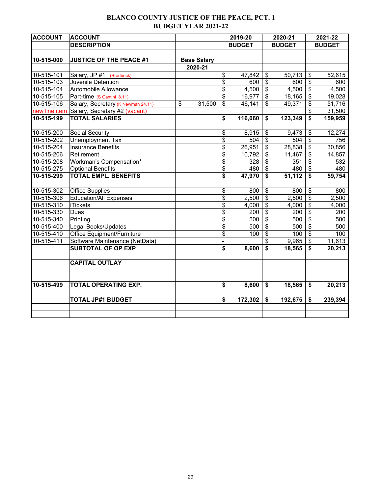## **BLANCO COUNTY JUSTICE OF THE PEACE, PCT. 1 BUDGET YEAR 2021-22**

| <b>ACCOUNT</b> | <b>ACCOUNT</b>                     |                    | 2019-20        |               | 2020-21                              |               | 2021-22                   |               |
|----------------|------------------------------------|--------------------|----------------|---------------|--------------------------------------|---------------|---------------------------|---------------|
|                | <b>DESCRIPTION</b>                 |                    |                | <b>BUDGET</b> |                                      | <b>BUDGET</b> |                           | <b>BUDGET</b> |
|                |                                    |                    |                |               |                                      |               |                           |               |
| 10-515-000     | <b>JUSTICE OF THE PEACE #1</b>     | <b>Base Salary</b> |                |               |                                      |               |                           |               |
|                |                                    | 2020-21            |                |               |                                      |               |                           |               |
| 10-515-101     | Salary, JP #1 (Brodbeck)           |                    | \$             | 47,842        | $\boldsymbol{\mathsf{S}}$            | 50,713        | \$                        | 52,615        |
| 10-515-103     | Juvenile Detention                 |                    | \$             | 600           | $\boldsymbol{\mathsf{S}}$            | 600           | $\boldsymbol{\mathsf{S}}$ | 600           |
| 10-515-104     | Automobile Allowance               |                    | \$             | 4,500         | $\boldsymbol{\mathsf{S}}$            | 4,500         | $\overline{\mathbf{e}}$   | 4,500         |
| 10-515-105     | Part-time (S Cantini 8.11)         |                    | \$             | 16,977        | $\boldsymbol{\hat{\varphi}}$         | 18,165        | $\boldsymbol{\$}$         | 19,028        |
| 10-515-106     | Salary, Secretary (K Newman 24.11) | \$<br>31,500       | \$             | 46,141        | $\overline{\mathbf{s}}$              | 49,371        | $\overline{\$}$           | 51,716        |
| new line item  | Salary, Secretary #2 (vacant)      |                    |                |               |                                      |               | $\overline{\mathbf{e}}$   | 31,500        |
| 10-515-199     | <b>TOTAL SALARIES</b>              |                    | \$             | 116,060       | \$                                   | 123,349       | \$                        | 159,959       |
|                |                                    |                    |                |               |                                      |               |                           |               |
| 10-515-200     | Social Security                    |                    | \$             | 8,915         | $\boldsymbol{\theta}$                | 9,473         | \$                        | 12,274        |
| 10-515-202     | Unemployment Tax                   |                    | \$             | 504           | $\overline{\$}$                      | 504           | $\overline{\mathbf{e}}$   | 756           |
| 10-515-204     | <b>Insurance Benefits</b>          |                    | \$             | 26,951        | \$                                   | 28,838        | $\overline{\mathbf{e}}$   | 30,856        |
| 10-515-206     | Retirement                         |                    | \$             | 10,792        | \$                                   | 11,467        | $\overline{\mathbf{S}}$   | 14,857        |
| 10-515-208     | Workman's Compensation*            |                    | \$             | 328           | $\overline{\boldsymbol{\mathsf{s}}}$ | 351           | $\overline{\$}$           | 532           |
| 10-515-275     | <b>Optional Benefits</b>           |                    | \$             | 480           | $\boldsymbol{\theta}$                | 480           | $\boldsymbol{\$}$         | 480           |
| 10-515-299     | <b>TOTAL EMPL. BENEFITS</b>        |                    | \$             | 47,970        | \$                                   | 51,112        | $\mathbf{\$}$             | 59,754        |
|                |                                    |                    |                |               |                                      |               |                           |               |
| 10-515-302     | <b>Office Supplies</b>             |                    | \$             | 800           | \$                                   | 800           | \$                        | 800           |
| 10-515-306     | <b>Education/All Expenses</b>      |                    | \$             | 2,500         | \$                                   | 2,500         | \$                        | 2,500         |
| 10-515-310     | <b>iTickets</b>                    |                    | \$             | 4,000         | \$                                   | 4,000         | $\boldsymbol{\mathsf{S}}$ | 4,000         |
| 10-515-330     | Dues                               |                    | \$             | 200           | $\overline{\$}$                      | 200           | $\overline{\$}$           | 200           |
| 10-515-340     | Printing                           |                    | \$             | 500           | $\overline{\mathbf{S}}$              | 500           | $\overline{\$}$           | 500           |
| 10-515-400     | Legal Books/Updates                |                    | \$             | 500           | $\overline{\mathbf{S}}$              | 500           | $\overline{\$}$           | 500           |
| 10-515-410     | <b>Office Equipment/Furniture</b>  |                    | \$             | 100           | $\boldsymbol{\mathsf{S}}$            | 100           | \$                        | 100           |
| 10-515-411     | Software Maintenance (NetData)     |                    | $\blacksquare$ |               | \$                                   | 9,965         | $\overline{\mathbf{e}}$   | 11,613        |
|                | <b>SUBTOTAL OF OP EXP</b>          |                    | \$             | 8,600         | \$                                   | 18,565        | \$                        | 20,213        |
|                |                                    |                    |                |               |                                      |               |                           |               |
|                | <b>CAPITAL OUTLAY</b>              |                    |                |               |                                      |               |                           |               |
|                |                                    |                    |                |               |                                      |               |                           |               |
|                |                                    |                    |                |               |                                      |               |                           |               |
| 10-515-499     | TOTAL OPERATING EXP.               |                    | \$             | 8,600         | \$                                   | 18,565        | \$                        | 20,213        |
|                | <b>TOTAL JP#1 BUDGET</b>           |                    | \$             | 172,302       | \$                                   | 192,675       | \$                        | 239,394       |
|                |                                    |                    |                |               |                                      |               |                           |               |
|                |                                    |                    |                |               |                                      |               |                           |               |
|                |                                    |                    |                |               |                                      |               |                           |               |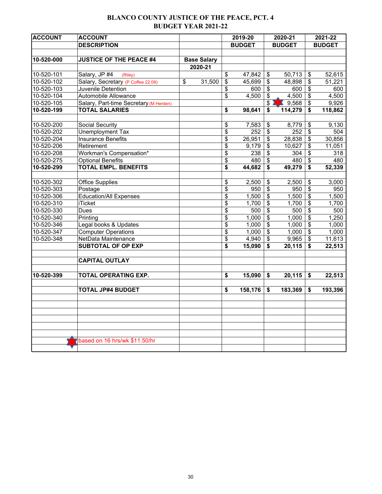## **BLANCO COUNTY JUSTICE OF THE PEACE, PCT. 4 BUDGET YEAR 2021-22**

| <b>ACCOUNT</b>   | <b>ACCOUNT</b>                         |               |                    | 2019-20 |               | 2020-21                   |                 | 2021-22                 |               |
|------------------|----------------------------------------|---------------|--------------------|---------|---------------|---------------------------|-----------------|-------------------------|---------------|
|                  | <b>DESCRIPTION</b>                     |               |                    |         | <b>BUDGET</b> |                           | <b>BUDGET</b>   |                         | <b>BUDGET</b> |
|                  |                                        |               |                    |         |               |                           |                 |                         |               |
| 10-520-000       | <b>JUSTICE OF THE PEACE #4</b>         |               | <b>Base Salary</b> |         |               |                           |                 |                         |               |
|                  |                                        |               | 2020-21            |         |               |                           |                 |                         |               |
| 10-520-101       | Salary, JP #4<br>(Riley)               |               |                    | \$      | 47,842        | \$                        | 50,713          | \$                      | 52,615        |
| 10-520-102       | Salary, Secretary (P Coffee 22.09)     | $\mathsf{\$}$ | 31,500             | \$      | 45,699        | $\boldsymbol{\mathsf{S}}$ | 48,898          | \$                      | 51,221        |
| 10-520-103       | Juvenile Detention                     |               |                    | \$      | 600           | $\overline{\mathbf{3}}$   | 600             | \$                      | 600           |
| 10-520-104       | Automobile Allowance                   |               |                    | \$      | 4,500         | \$                        | 4,500           | \$                      | 4,500         |
| 10-520-105       | Salary, Part-time Secretary (M Herden) |               |                    |         |               | $\sqrt{2}$                | $\bullet$ 9,568 | \$                      | 9,926         |
| 10-520-199       | <b>TOTAL SALARIES</b>                  |               |                    | \$      | 98,641        | \$                        | 114,279         | \$                      | 118,862       |
|                  |                                        |               |                    |         |               |                           |                 |                         |               |
| 10-520-200       | Social Security                        |               |                    | \$      | 7,583         | \$                        | 8,779           | \$                      | 9,130         |
| 10-520-202       | Unemployment Tax                       |               |                    | \$      | 252           | $\boldsymbol{\mathsf{S}}$ | 252             | $\overline{\mathbf{e}}$ | 504           |
| $10 - 520 - 204$ | <b>Insurance Benefits</b>              |               |                    | \$      | 26,951        | \$                        | 28,838          | $\overline{\$}$         | 30,856        |
| 10-520-206       | Retirement                             |               |                    | \$      | 9,179         | $\overline{\mathbf{e}}$   | 10,627          | $\overline{\mathbf{S}}$ | 11,051        |
| 10-520-208       | Workman's Compensation*                |               |                    | \$      | 238           | $\overline{\mathbf{s}}$   | 304             | $\overline{\mathbf{S}}$ | 318           |
| $10 - 520 - 275$ | <b>Optional Benefits</b>               |               |                    | \$      | 480           | \$                        | 480             | $\overline{\mathbf{e}}$ | 480           |
| 10-520-299       | <b>TOTAL EMPL. BENEFITS</b>            |               |                    | \$      | 44,682        | \$                        | 49,279          | \$                      | 52,339        |
|                  |                                        |               |                    |         |               |                           |                 |                         |               |
| 10-520-302       | <b>Office Supplies</b>                 |               |                    | \$      | 2,500         | $\boldsymbol{\mathsf{S}}$ | 2,500           | \$                      | 3,000         |
| 10-520-303       | Postage                                |               |                    | \$      | 950           | $\boldsymbol{\mathsf{S}}$ | 950             | \$                      | 950           |
| 10-520-306       | <b>Education/All Expenses</b>          |               |                    | \$      | 1,500         | \$                        | 1,500           | $\overline{\mathbf{e}}$ | 1,500         |
| 10-520-310       | <b>iTicket</b>                         |               |                    | \$      | 1,700         | $\boldsymbol{\mathsf{S}}$ | 1,700           | \$                      | 1,700         |
| 10-520-330       | Dues                                   |               |                    | \$      | 500           | \$                        | 500             | $\overline{\mathbf{S}}$ | 500           |
| 10-520-340       | Printing                               |               |                    | \$      | 1,000         | $\boldsymbol{\mathsf{S}}$ | 1,000           | \$                      | 1,250         |
| 10-520-346       | Legal books & Updates                  |               |                    | \$      | 1,000         | $\overline{\mathbf{3}}$   | 1,000           | $\overline{\mathbf{e}}$ | 1,000         |
| 10-520-347       | <b>Computer Operations</b>             |               |                    | \$      | 1,000         | \$                        | 1,000           | \$                      | 1,000         |
| 10-520-348       | NetData Maintenance                    |               |                    | \$      | 4,940         | \$                        | 9,965           | $\overline{\mathbf{e}}$ | 11,613        |
|                  | <b>SUBTOTAL OF OP EXP</b>              |               |                    | \$      | 15,090        | \$                        | 20,115          | \$                      | 22,513        |
|                  |                                        |               |                    |         |               |                           |                 |                         |               |
|                  | <b>CAPITAL OUTLAY</b>                  |               |                    |         |               |                           |                 |                         |               |
| 10-520-399       | TOTAL OPERATING EXP.                   |               |                    | \$      | 15,090        | \$                        | 20,115          | \$                      | 22,513        |
|                  |                                        |               |                    |         |               |                           |                 |                         |               |
|                  | <b>TOTAL JP#4 BUDGET</b>               |               |                    | \$      | 158,176       | \$                        | 183,369         | \$                      | 193,396       |
|                  |                                        |               |                    |         |               |                           |                 |                         |               |
|                  |                                        |               |                    |         |               |                           |                 |                         |               |
|                  |                                        |               |                    |         |               |                           |                 |                         |               |
|                  | based on 16 hrs/wk \$11.50/hr          |               |                    |         |               |                           |                 |                         |               |
|                  |                                        |               |                    |         |               |                           |                 |                         |               |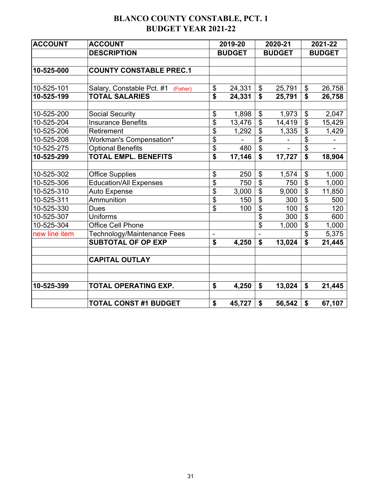# **BLANCO COUNTY CONSTABLE, PCT. 1 BUDGET YEAR 2021-22**

| <b>ACCOUNT</b> | <b>ACCOUNT</b>                        |                | 2019-20       |                          | 2020-21       | 2021-22                   |               |  |
|----------------|---------------------------------------|----------------|---------------|--------------------------|---------------|---------------------------|---------------|--|
|                | <b>DESCRIPTION</b>                    |                | <b>BUDGET</b> |                          | <b>BUDGET</b> |                           | <b>BUDGET</b> |  |
|                |                                       |                |               |                          |               |                           |               |  |
| 10-525-000     | <b>COUNTY CONSTABLE PREC.1</b>        |                |               |                          |               |                           |               |  |
|                |                                       |                |               |                          |               |                           |               |  |
| 10-525-101     | Salary, Constable Pct. #1<br>(Fisher) | \$             | 24,331        | $\boldsymbol{\theta}$    | 25,791        | $\boldsymbol{\mathsf{S}}$ | 26,758        |  |
| 10-525-199     | <b>TOTAL SALARIES</b>                 | \$             | 24,331        | $\mathbf{\$}$            | 25,791        | $\mathbf S$               | 26,758        |  |
|                |                                       |                |               |                          |               |                           |               |  |
| 10-525-200     | <b>Social Security</b>                | \$             | 1,898         | \$                       | 1,973         | \$                        | 2,047         |  |
| 10-525-204     | <b>Insurance Benefits</b>             | \$             | 13,476        | $\overline{\mathbf{S}}$  | 14,419        | \$                        | 15,429        |  |
| 10-525-206     | Retirement                            | \$             | 1,292         | $\overline{\mathbf{S}}$  | 1,335         | \$                        | 1,429         |  |
| 10-525-208     | Workman's Compensation*               | \$             |               | $\overline{\mathbf{S}}$  |               | \$                        |               |  |
| 10-525-275     | <b>Optional Benefits</b>              | \$             | 480           | $\overline{\$}$          |               | \$                        |               |  |
| 10-525-299     | <b>TOTAL EMPL. BENEFITS</b>           | \$             | 17,146        | \$                       | 17,727        | \$                        | 18,904        |  |
|                |                                       |                |               |                          |               |                           |               |  |
| 10-525-302     | <b>Office Supplies</b>                | \$             | 250           | \$                       | 1,574         | \$                        | 1,000         |  |
| 10-525-306     | <b>Education/All Expenses</b>         | \$             | 750           | $\overline{\mathcal{G}}$ | 750           | $\overline{\mathcal{S}}$  | 1,000         |  |
| 10-525-310     | Auto Expense                          | \$             | 3,000         | $\overline{\mathbf{S}}$  | 9,000         | \$                        | 11,850        |  |
| 10-525-311     | Ammunition                            | \$             | 150           | $\overline{\mathbf{S}}$  | 300           | \$                        | 500           |  |
| 10-525-330     | <b>Dues</b>                           | \$             | 100           | $\overline{\mathbf{S}}$  | 100           | \$                        | 120           |  |
| 10-525-307     | <b>Uniforms</b>                       |                |               | \$                       | 300           | \$                        | 600           |  |
| 10-525-304     | <b>Office Cell Phone</b>              |                |               | \$                       | 1,000         | \$                        | 1,000         |  |
| new line item  | Technology/Maintenance Fees           | $\overline{a}$ |               |                          |               | \$                        | 5,375         |  |
|                | <b>SUBTOTAL OF OP EXP</b>             | \$             | 4,250         | \$                       | 13,024        | \$                        | 21,445        |  |
|                |                                       |                |               |                          |               |                           |               |  |
|                | <b>CAPITAL OUTLAY</b>                 |                |               |                          |               |                           |               |  |
| 10-525-399     | TOTAL OPERATING EXP.                  | \$             | 4,250         | \$                       | 13,024        | \$                        | 21,445        |  |
|                | <b>TOTAL CONST #1 BUDGET</b>          | \$             | 45,727        | \$                       | 56,542        | \$                        | 67,107        |  |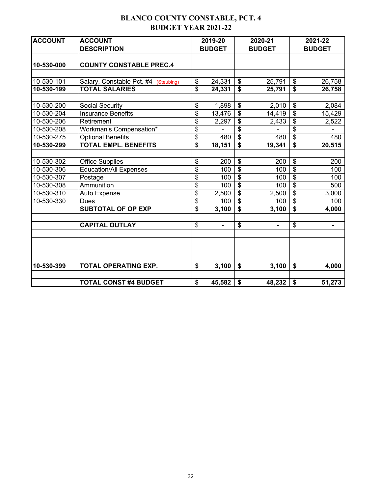## **BLANCO COUNTY CONSTABLE, PCT. 4 BUDGET YEAR 2021-22**

| <b>ACCOUNT</b> | <b>ACCOUNT</b>                       |    | 2019-20       |                         | 2020-21       | 2021-22                   |               |  |  |
|----------------|--------------------------------------|----|---------------|-------------------------|---------------|---------------------------|---------------|--|--|
|                | <b>DESCRIPTION</b>                   |    | <b>BUDGET</b> |                         | <b>BUDGET</b> |                           | <b>BUDGET</b> |  |  |
|                |                                      |    |               |                         |               |                           |               |  |  |
| 10-530-000     | <b>COUNTY CONSTABLE PREC.4</b>       |    |               |                         |               |                           |               |  |  |
|                |                                      |    |               |                         |               |                           |               |  |  |
| 10-530-101     | Salary, Constable Pct. #4 (Steubing) | \$ | 24,331        | $\frac{1}{2}$           | 25,791        | $\boldsymbol{\mathsf{S}}$ | 26,758        |  |  |
| 10-530-199     | <b>TOTAL SALARIES</b>                | \$ | 24,331        | \$                      | 25,791        | \$                        | 26,758        |  |  |
|                |                                      |    |               |                         |               |                           |               |  |  |
| 10-530-200     | <b>Social Security</b>               | \$ | 1,898         | $\frac{1}{2}$           | 2,010         | $\boldsymbol{\mathsf{S}}$ | 2,084         |  |  |
| 10-530-204     | <b>Insurance Benefits</b>            | \$ | 13,476        | \$                      | 14,419        | \$                        | 15,429        |  |  |
| 10-530-206     | Retirement                           | \$ | 2,297         | \$                      | 2,433         | $\boldsymbol{\mathsf{S}}$ | 2,522         |  |  |
| 10-530-208     | Workman's Compensation*              | \$ |               | \$                      |               | \$                        |               |  |  |
| 10-530-275     | <b>Optional Benefits</b>             | \$ | 480           | \$                      | 480           | $\boldsymbol{\mathsf{S}}$ | 480           |  |  |
| 10-530-299     | <b>TOTAL EMPL. BENEFITS</b>          | \$ | 18,151        | \$                      | 19,341        | \$                        | 20,515        |  |  |
|                |                                      |    |               |                         |               |                           |               |  |  |
| 10-530-302     | <b>Office Supplies</b>               | \$ | 200           | \$                      | 200           | \$                        | 200           |  |  |
| 10-530-306     | <b>Education/All Expenses</b>        | \$ | 100           | $\overline{\mathbf{S}}$ | 100           | \$                        | 100           |  |  |
| 10-530-307     | Postage                              | \$ | 100           | \$                      | 100           | \$                        | 100           |  |  |
| 10-530-308     | Ammunition                           | \$ | 100           | $\overline{\mathbf{S}}$ | 100           | $\mathfrak s$             | 500           |  |  |
| 10-530-310     | Auto Expense                         | \$ | 2,500         | $\mathfrak{S}$          | 2,500         | \$                        | 3,000         |  |  |
| 10-530-330     | <b>Dues</b>                          | \$ | 100           | \$                      | 100           | $\mathfrak{S}$            | 100           |  |  |
|                | <b>SUBTOTAL OF OP EXP</b>            | \$ | 3,100         | $\overline{\mathbf{s}}$ | 3,100         | \$                        | 4,000         |  |  |
|                | <b>CAPITAL OUTLAY</b>                | \$ |               | \$                      |               | \$                        |               |  |  |
|                |                                      |    |               |                         |               |                           |               |  |  |
|                |                                      |    |               |                         |               |                           |               |  |  |
|                |                                      |    |               |                         |               |                           |               |  |  |
| 10-530-399     | <b>TOTAL OPERATING EXP.</b>          | \$ | 3,100         | \$                      | 3,100         | \$                        | 4,000         |  |  |
|                | <b>TOTAL CONST #4 BUDGET</b>         | \$ | 45,582        | \$                      | 48,232        | \$                        | 51,273        |  |  |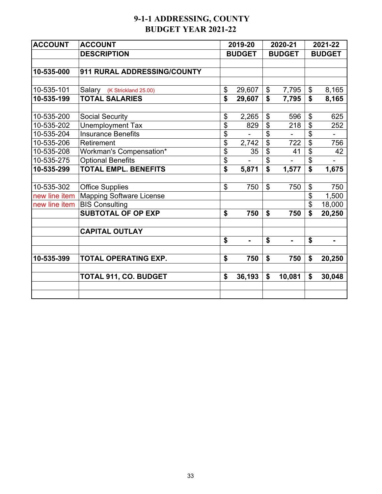# **9-1-1 ADDRESSING, COUNTY BUDGET YEAR 2021-22**

| <b>ACCOUNT</b> | <b>ACCOUNT</b>                  |                | 2019-20       | 2020-21              | 2021-22                              |               |  |
|----------------|---------------------------------|----------------|---------------|----------------------|--------------------------------------|---------------|--|
|                | <b>DESCRIPTION</b>              |                | <b>BUDGET</b> | <b>BUDGET</b>        |                                      | <b>BUDGET</b> |  |
|                |                                 |                |               |                      |                                      |               |  |
| 10-535-000     | 911 RURAL ADDRESSING/COUNTY     |                |               |                      |                                      |               |  |
|                |                                 |                |               |                      |                                      |               |  |
| 10-535-101     | Salary (K Strickland 25.00)     | \$             | 29,607        | \$<br>7,795          | \$                                   | 8,165         |  |
| 10-535-199     | <b>TOTAL SALARIES</b>           | \$             | 29,607        | \$<br>7,795          | $\overline{\boldsymbol{\mathsf{s}}}$ | 8,165         |  |
|                |                                 |                |               |                      |                                      |               |  |
| 10-535-200     | <b>Social Security</b>          | \$             | 2,265         | \$<br>596            | \$                                   | 625           |  |
| 10-535-202     | <b>Unemployment Tax</b>         | \$             | 829           | \$<br>218            | \$                                   | 252           |  |
| 10-535-204     | <b>Insurance Benefits</b>       | \$             |               | \$                   | \$                                   |               |  |
| 10-535-206     | Retirement                      | \$             | 2,742         | \$<br>722            | \$                                   | 756           |  |
| 10-535-208     | Workman's Compensation*         | \$             | 35            | \$<br>41             | \$                                   | 42            |  |
| 10-535-275     | <b>Optional Benefits</b>        | \$             |               | \$                   | \$                                   |               |  |
| 10-535-299     | <b>TOTAL EMPL. BENEFITS</b>     | \$             | 5,871         | \$<br>1,577          | \$                                   | 1,675         |  |
|                |                                 |                |               |                      |                                      |               |  |
| 10-535-302     | <b>Office Supplies</b>          | $\mathfrak{S}$ | 750           | \$<br>750            | \$                                   | 750           |  |
| new line item  | <b>Mapping Software License</b> |                |               |                      | \$                                   | 1,500         |  |
| new line item  | <b>BIS Consulting</b>           |                |               |                      | \$                                   | 18,000        |  |
|                | <b>SUBTOTAL OF OP EXP</b>       | \$             | 750           | \$<br>750            | \$                                   | 20,250        |  |
|                |                                 |                |               |                      |                                      |               |  |
|                | <b>CAPITAL OUTLAY</b>           |                |               |                      |                                      |               |  |
|                |                                 | \$             | ۰             | \$<br>$\blacksquare$ | \$                                   |               |  |
|                |                                 |                |               |                      |                                      |               |  |
| 10-535-399     | <b>TOTAL OPERATING EXP.</b>     | \$             | 750           | \$<br>750            | \$                                   | 20,250        |  |
|                | <b>TOTAL 911, CO. BUDGET</b>    | \$             | 36,193        | \$<br>10,081         | \$                                   | 30,048        |  |
|                |                                 |                |               |                      |                                      |               |  |
|                |                                 |                |               |                      |                                      |               |  |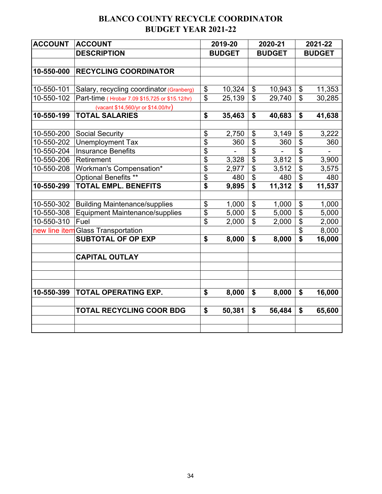# **BLANCO COUNTY RECYCLE COORDINATOR BUDGET YEAR 2021-22**

| <b>ACCOUNT</b> | <b>ACCOUNT</b>                                 |                             | 2019-20       | 2020-21                    |               | 2021-22                    |               |
|----------------|------------------------------------------------|-----------------------------|---------------|----------------------------|---------------|----------------------------|---------------|
|                | <b>DESCRIPTION</b>                             |                             | <b>BUDGET</b> |                            | <b>BUDGET</b> |                            | <b>BUDGET</b> |
|                |                                                |                             |               |                            |               |                            |               |
| 10-550-000     | <b>RECYCLING COORDINATOR</b>                   |                             |               |                            |               |                            |               |
|                |                                                |                             |               |                            |               |                            |               |
| 10-550-101     | Salary, recycling coordinator (Granberg)       | \$                          | 10,324        | $\boldsymbol{\mathsf{\$}}$ | 10,943        | $\boldsymbol{\mathsf{\$}}$ | 11,353        |
| 10-550-102     | Part-time (Hrobar 7.09 \$15,725 or \$15.12/hr) | $\overline{\mathfrak{s}}$   | 25,139        | $\mathfrak{S}$             | 29,740        | $\mathfrak{S}$             | 30,285        |
|                | (vacant \$14,560/yr or \$14.00/hr)             |                             |               |                            |               |                            |               |
| 10-550-199     | <b>TOTAL SALARIES</b>                          | \$                          | 35,463        | $\boldsymbol{\mathsf{s}}$  | 40,683        | $\boldsymbol{\mathsf{s}}$  | 41,638        |
|                |                                                |                             |               |                            |               |                            |               |
| 10-550-200     | <b>Social Security</b>                         | \$                          | 2,750         | \$                         | 3,149         | \$                         | 3,222         |
| 10-550-202     | <b>Unemployment Tax</b>                        | $\overline{\mathbf{S}}$     | 360           | \$                         | 360           | \$                         | 360           |
| 10-550-204     | <b>Insurance Benefits</b>                      | \$                          |               | \$                         |               | \$                         |               |
| 10-550-206     | Retirement                                     | \$                          | 3,328         | $\overline{\mathcal{S}}$   | 3,812         | $\overline{\mathbf{S}}$    | 3,900         |
| 10-550-208     | Workman's Compensation*                        | \$                          | 2,977         | \$                         | 3,512         | \$                         | 3,575         |
|                | Optional Benefits **                           | $\overline{\$}$             | 480           | $\overline{\mathcal{S}}$   | 480           | \$                         | 480           |
| 10-550-299     | <b>TOTAL EMPL. BENEFITS</b>                    | $\overline{\boldsymbol{s}}$ | 9,895         | $\overline{\mathbf{s}}$    | 11,312        | \$                         | 11,537        |
|                |                                                |                             |               |                            |               |                            |               |
| 10-550-302     | <b>Building Maintenance/supplies</b>           | \$                          | 1,000         | \$                         | 1,000         | \$                         | 1,000         |
| 10-550-308     | <b>Equipment Maintenance/supplies</b>          | \$                          | 5,000         | $\boldsymbol{\mathsf{S}}$  | 5,000         | \$                         | 5,000         |
| 10-550-310     | Fuel                                           | \$                          | 2,000         | $\mathfrak{S}$             | 2,000         | \$                         | 2,000         |
|                | new line item Glass Transportation             |                             |               |                            |               | \$                         | 8,000         |
|                | <b>SUBTOTAL OF OP EXP</b>                      | \$                          | 8,000         | \$                         | 8,000         | \$                         | 16,000        |
|                | <b>CAPITAL OUTLAY</b>                          |                             |               |                            |               |                            |               |
|                |                                                |                             |               |                            |               |                            |               |
| 10-550-399     | TOTAL OPERATING EXP.                           | \$                          | 8,000         | \$                         | 8,000         | \$                         | 16,000        |
|                | <b>TOTAL RECYCLING COOR BDG</b>                | \$                          | 50,381        | \$                         | 56,484        | \$                         | 65,600        |
|                |                                                |                             |               |                            |               |                            |               |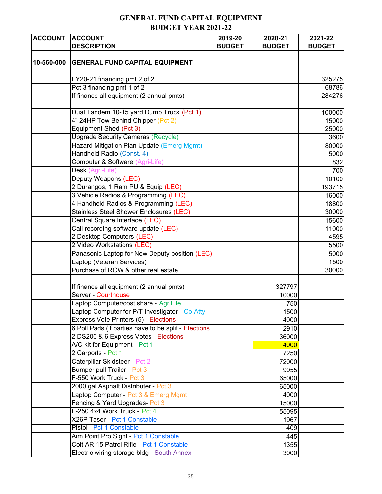## **GENERAL FUND CAPITAL EQUIPMENT BUDGET YEAR 2021-22**

| <b>ACCOUNT</b> | <b>ACCOUNT</b>                                       | 2019-20       | 2020-21       | 2021-22       |
|----------------|------------------------------------------------------|---------------|---------------|---------------|
|                | <b>DESCRIPTION</b>                                   | <b>BUDGET</b> | <b>BUDGET</b> | <b>BUDGET</b> |
|                |                                                      |               |               |               |
| 10-560-000     | <b>GENERAL FUND CAPITAL EQUIPMENT</b>                |               |               |               |
|                |                                                      |               |               |               |
|                | FY20-21 financing pmt 2 of 2                         |               |               | 325275        |
|                | Pct 3 financing pmt 1 of 2                           |               |               | 68786         |
|                | If finance all equipment (2 annual pmts)             |               |               | 284276        |
|                |                                                      |               |               |               |
|                | Dual Tandem 10-15 yard Dump Truck (Pct 1)            |               |               | 100000        |
|                | 4" 24HP Tow Behind Chipper (Pct 2)                   |               |               | 15000         |
|                | Equipment Shed (Pct 3)                               |               |               | 25000         |
|                | <b>Upgrade Security Cameras (Recycle)</b>            |               |               | 3600          |
|                | Hazard Mitigation Plan Update (Emerg Mgmt)           |               |               | 80000         |
|                | Handheld Radio (Const. 4)                            |               |               | 5000          |
|                | Computer & Software (Agri-Life)                      |               |               | 832           |
|                | Desk (Agri-Life)                                     |               |               | 700           |
|                | Deputy Weapons (LEC)                                 |               |               | 10100         |
|                | 2 Durangos, 1 Ram PU & Equip (LEC)                   |               |               | 193715        |
|                | 3 Vehicle Radios & Programming (LEC)                 |               |               | 16000         |
|                | 4 Handheld Radios & Programming (LEC)                |               |               | 18800         |
|                | <b>Stainless Steel Shower Enclosures (LEC)</b>       |               |               | 30000         |
|                | Central Square Interface (LEC)                       |               |               | 15600         |
|                | Call recording software update (LEC)                 |               |               | 11000         |
|                | 2 Desktop Computers (LEC)                            |               |               | 4595          |
|                | 2 Video Workstations (LEC)                           |               |               | 5500          |
|                | Panasonic Laptop for New Deputy position (LEC)       |               |               | 5000          |
|                | Laptop (Veteran Services)                            |               |               | 1500          |
|                | Purchase of ROW & other real estate                  |               |               | 30000         |
|                |                                                      |               |               |               |
|                | If finance all equipment (2 annual pmts)             |               | 327797        |               |
|                | <b>Server - Courthouse</b>                           |               | 10000         |               |
|                | Laptop Computer/cost share - AgriLife                |               | 750           |               |
|                | Laptop Computer for P/T Investigator - Co Atty       |               | 1500          |               |
|                | Express Vote Printers (5) - Elections                |               | 4000          |               |
|                | 6 Poll Pads (if parties have to be split - Elections |               | 2910          |               |
|                | 2 DS200 & 6 Express Votes - Elections                |               | 36000         |               |
|                | A/C kit for Equipment - Pct 1                        |               | 4000          |               |
|                | 2 Carports - Pct 1                                   |               | 7250          |               |
|                | Caterpillar Skidsteer - Pct 2                        |               | 72000         |               |
|                | Bumper pull Trailer - Pct 3                          |               | 9955          |               |
|                | F-550 Work Truck - Pct 3                             |               | 65000         |               |
|                | 2000 gal Asphalt Distributer - Pct 3                 |               | 65000         |               |
|                | Laptop Computer - Pct 3 & Emerg Mgmt                 |               | 4000          |               |
|                | Fencing & Yard Upgrades- Pct 3                       |               | 15000         |               |
|                | F-250 4x4 Work Truck - Pct 4                         |               | 55095         |               |
|                | X26P Taser - Pct 1 Constable                         |               | 1967          |               |
|                | Pistol - Pct 1 Constable                             |               | 409           |               |
|                | Aim Point Pro Sight - Pct 1 Constable                |               | 445           |               |
|                | Colt AR-15 Patrol Rifle - Pct 1 Constable            |               | 1355          |               |
|                | Electric wiring storage bldg - South Annex           |               | 3000          |               |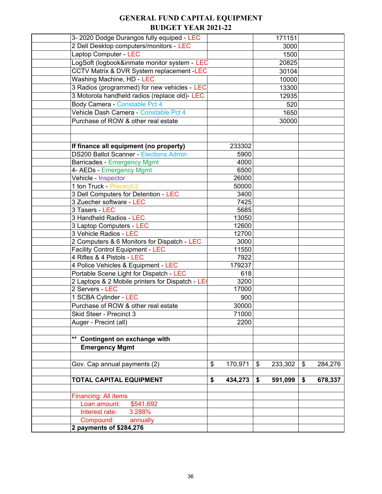## **GENERAL FUND CAPITAL EQUIPMENT BUDGET YEAR 2021-22**

| 3-2020 Dodge Durangos fully equiped - LEC            |               | 171151        |               |
|------------------------------------------------------|---------------|---------------|---------------|
| 2 Dell Desktop computers/monitors - LEC              |               | 3000          |               |
| Laptop Computer - LEC                                |               | 1500          |               |
| LogSoft (logbook&inmate monitor system - LEC         |               | 20825         |               |
| <b>CCTV Matrix &amp; DVR System replacement -LEC</b> |               | 30104         |               |
| <b>Washing Machine, HD - LEC</b>                     |               | 10000         |               |
| 3 Radios (programmed) for new vehicles - LEC         |               | 13300         |               |
| 3 Motorola handheld radios (replace old)- LEC        |               | 12935         |               |
| Body Camera - Constable Pct 4                        |               | 520           |               |
| Vehicle Dash Camera - Constable Pct 4                |               | 1650          |               |
| Purchase of ROW & other real estate                  |               | 30000         |               |
|                                                      |               |               |               |
|                                                      |               |               |               |
| If finance all equipment (no property)               | 233302        |               |               |
| <b>DS200 Ballot Scanner - Elections Admin</b>        | 5900          |               |               |
| <b>Barricades - Emergency Mgmt</b>                   | 4000          |               |               |
| 4- AEDs - Emergency Mgmt                             | 6500          |               |               |
| Vehicle - Inspector                                  | 26000         |               |               |
| 1 ton Truck - Precinct 2                             | 50000         |               |               |
| 3 Dell Computers for Detention - LEC                 | 3400          |               |               |
| 3 Zuecher software - LEC                             | 7425          |               |               |
| 3 Tasers - LEC                                       | 5685          |               |               |
| 3 Handheld Radios - LEC                              | 13050         |               |               |
| 3 Laptop Computers - LEC                             | 12600         |               |               |
| 3 Vehicle Radios - LEC                               | 12700         |               |               |
| 2 Computers & 6 Monitors for Dispatch - LEC          | 3000          |               |               |
| <b>Facility Control Equipment - LEC</b>              | 11550         |               |               |
| 4 Rifles & 4 Pistols - LEC                           | 7922          |               |               |
| 4 Police Vehicles & Equipment - LEC                  | 179237        |               |               |
| Portable Scene Light for Dispatch - LEC              | 618           |               |               |
| 2 Laptops & 2 Mobile printers for Dispatch - LE      | 3200          |               |               |
| 2 Servers - LEC                                      | 17000         |               |               |
| 1 SCBA Cylinder - LEC                                | 900           |               |               |
| Purchase of ROW & other real estate                  | 30000         |               |               |
| Skid Steer - Precinct 3                              | 71000         |               |               |
| Auger - Precint (all)                                | 2200          |               |               |
|                                                      |               |               |               |
| ** Contingent on exchange with                       |               |               |               |
| <b>Emergency Mgmt</b>                                |               |               |               |
|                                                      |               |               |               |
| Gov. Cap annual payments (2)                         | \$<br>170,971 | \$<br>233,302 | \$<br>284,276 |
|                                                      |               |               |               |
| <b>TOTAL CAPITAL EQUIPMENT</b>                       | \$<br>434,273 | \$<br>591,099 | \$<br>678,337 |
|                                                      |               |               |               |
| <b>Financing: All items</b>                          |               |               |               |
| Loan amount:<br>\$541,692                            |               |               |               |
| Interest rate:<br>3.288%                             |               |               |               |
| Compound:<br>annually                                |               |               |               |
| 2 payments of \$284,276                              |               |               |               |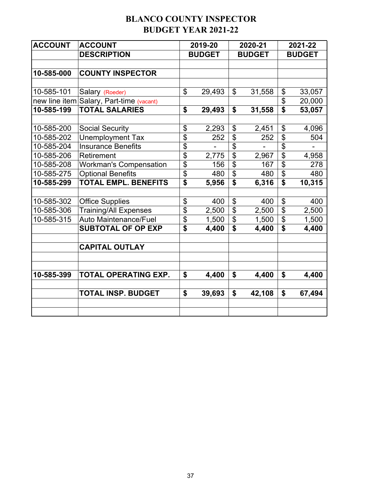## **BLANCO COUNTY INSPECTOR BUDGET YEAR 2021-22**

| <b>ACCOUNT</b> | <b>ACCOUNT</b>                           |                           | 2019-20       | 2020-21       |                           | 2021-22       |
|----------------|------------------------------------------|---------------------------|---------------|---------------|---------------------------|---------------|
|                | <b>DESCRIPTION</b>                       |                           | <b>BUDGET</b> | <b>BUDGET</b> |                           | <b>BUDGET</b> |
|                |                                          |                           |               |               |                           |               |
| 10-585-000     | <b>COUNTY INSPECTOR</b>                  |                           |               |               |                           |               |
|                |                                          |                           |               |               |                           |               |
| 10-585-101     | Salary (Roeder)                          | \$                        | 29,493        | \$<br>31,558  | \$                        | 33,057        |
|                | new line item Salary, Part-time (vacant) |                           |               |               | \$                        | 20,000        |
| 10-585-199     | <b>TOTAL SALARIES</b>                    | \$                        | 29,493        | \$<br>31,558  | \$                        | 53,057        |
|                |                                          |                           |               |               |                           |               |
| 10-585-200     | <b>Social Security</b>                   | \$                        | 2,293         | \$<br>2,451   | \$                        | 4,096         |
| 10-585-202     | <b>Unemployment Tax</b>                  | $\overline{\$}$           | 252           | \$<br>252     | $\overline{\mathfrak{s}}$ | 504           |
| 10-585-204     | <b>Insurance Benefits</b>                | \$                        |               | \$            | \$                        |               |
| 10-585-206     | Retirement                               | $\overline{\mathfrak{s}}$ | 2,775         | \$<br>2,967   | $\overline{\mathfrak{s}}$ | 4,958         |
| 10-585-208     | <b>Workman's Compensation</b>            | \$                        | 156           | \$<br>167     | $\overline{\mathfrak{s}}$ | 278           |
| 10-585-275     | <b>Optional Benefits</b>                 | \$                        | 480           | \$<br>480     | \$                        | 480           |
| 10-585-299     | <b>TOTAL EMPL. BENEFITS</b>              | \$                        | 5,956         | \$<br>6,316   | \$                        | 10,315        |
|                |                                          |                           |               |               |                           |               |
| 10-585-302     | <b>Office Supplies</b>                   | \$                        | 400           | \$<br>400     | $\boldsymbol{\mathsf{S}}$ | 400           |
| 10-585-306     | <b>Training/All Expenses</b>             | $\overline{\mathfrak{s}}$ | 2,500         | \$<br>2,500   | \$                        | 2,500         |
| 10-585-315     | <b>Auto Maintenance/Fuel</b>             | \$                        | 1,500         | \$<br>1,500   | $\overline{\mathbf{S}}$   | 1,500         |
|                | <b>SUBTOTAL OF OP EXP</b>                | $\overline{\mathbf{s}}$   | 4,400         | \$<br>4,400   | \$                        | 4,400         |
|                |                                          |                           |               |               |                           |               |
|                | <b>CAPITAL OUTLAY</b>                    |                           |               |               |                           |               |
|                |                                          |                           |               |               |                           |               |
|                |                                          |                           |               |               |                           |               |
| 10-585-399     | TOTAL OPERATING EXP.                     | \$                        | 4,400         | \$<br>4,400   | \$                        | 4,400         |
|                | <b>TOTAL INSP. BUDGET</b>                | \$                        | 39,693        | \$<br>42,108  | \$                        | 67,494        |
|                |                                          |                           |               |               |                           |               |
|                |                                          |                           |               |               |                           |               |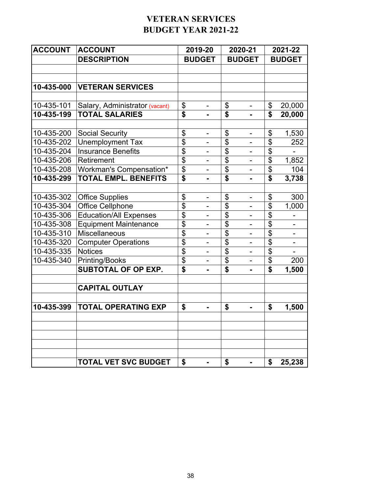## **VETERAN SERVICES BUDGET YEAR 2021-22**

| <b>ACCOUNT</b> | <b>ACCOUNT</b>                 |                           | 2019-20                      |                           | 2020-21                  |                             | 2021-22       |
|----------------|--------------------------------|---------------------------|------------------------------|---------------------------|--------------------------|-----------------------------|---------------|
|                | <b>DESCRIPTION</b>             |                           | <b>BUDGET</b>                |                           | <b>BUDGET</b>            |                             | <b>BUDGET</b> |
|                |                                |                           |                              |                           |                          |                             |               |
|                |                                |                           |                              |                           |                          |                             |               |
| 10-435-000     | <b>VETERAN SERVICES</b>        |                           |                              |                           |                          |                             |               |
|                |                                |                           |                              |                           |                          |                             |               |
| 10-435-101     | Salary, Administrator (vacant) | \$                        | $\blacksquare$               | \$                        | -                        | \$                          | 20,000        |
| 10-435-199     | <b>TOTAL SALARIES</b>          | $\overline{\$}$           | $\blacksquare$               | \$                        | $\blacksquare$           | \$                          | 20,000        |
|                |                                |                           |                              |                           |                          |                             |               |
| 10-435-200     | <b>Social Security</b>         | \$                        | $\qquad \qquad \blacksquare$ | \$                        | $\blacksquare$           | \$                          | 1,530         |
| 10-435-202     | <b>Unemployment Tax</b>        | $\overline{\$}$           |                              | \$                        |                          | \$                          | 252           |
| 10-435-204     | <b>Insurance Benefits</b>      | $\overline{\mathfrak{s}}$ | $\overline{\phantom{0}}$     | \$                        | $\overline{a}$           | \$                          |               |
| 10-435-206     | Retirement                     | $\overline{\mathfrak{s}}$ | $\qquad \qquad \blacksquare$ | \$                        | $\overline{\phantom{0}}$ | \$                          | 1,852         |
| 10-435-208     | Workman's Compensation*        | $\overline{\$}$           | $\overline{\phantom{0}}$     | $\overline{\mathfrak{s}}$ | $\blacksquare$           | $\overline{\mathcal{S}}$    | 104           |
| 10-435-299     | <b>TOTAL EMPL. BENEFITS</b>    | $\overline{\mathbf{s}}$   |                              | \$                        |                          | $\overline{\boldsymbol{s}}$ | 3,738         |
|                |                                |                           |                              |                           |                          |                             |               |
| 10-435-302     | <b>Office Supplies</b>         | \$                        | $\qquad \qquad \blacksquare$ | \$                        | $\overline{\phantom{0}}$ | \$                          | 300           |
| 10-435-304     | <b>Office Cellphone</b>        | $\overline{\$}$           | $\qquad \qquad \blacksquare$ | \$                        | $\frac{1}{2}$            | $\boldsymbol{\mathsf{S}}$   | 1,000         |
| 10-435-306     | <b>Education/All Expenses</b>  | \$                        | $\overline{a}$               | \$                        | $\overline{\phantom{0}}$ | \$                          |               |
| 10-435-308     | <b>Equipment Maintenance</b>   | \$                        |                              | \$                        | $\overline{\phantom{0}}$ | \$                          |               |
| 10-435-310     | <b>Miscellaneous</b>           | $\overline{\$}$           |                              | \$                        |                          | \$                          |               |
| 10-435-320     | <b>Computer Operations</b>     | $\overline{\mathfrak{s}}$ | $\blacksquare$               | \$                        | $\overline{a}$           | \$                          | $\frac{1}{2}$ |
| 10-435-335     | <b>Notices</b>                 | $\overline{\mathfrak{s}}$ | $\qquad \qquad \blacksquare$ | \$                        | $\frac{1}{2}$            | $\boldsymbol{\mathsf{S}}$   |               |
| 10-435-340     | Printing/Books                 | $\overline{\$}$           | $\overline{\phantom{0}}$     | $\overline{\mathfrak{s}}$ | $\blacksquare$           | $\overline{\mathbf{e}}$     | 200           |
|                | <b>SUBTOTAL OF OP EXP.</b>     | $\overline{\mathbf{s}}$   |                              | \$                        |                          | \$                          | 1,500         |
|                | <b>CAPITAL OUTLAY</b>          |                           |                              |                           |                          |                             |               |
| 10-435-399     | <b>TOTAL OPERATING EXP</b>     | \$                        |                              | \$                        |                          | \$                          | 1,500         |
|                |                                |                           |                              |                           |                          |                             |               |
|                |                                |                           |                              |                           |                          |                             |               |
|                | <b>TOTAL VET SVC BUDGET</b>    | \$                        | $\blacksquare$               | \$                        | $\blacksquare$           | \$                          | 25,238        |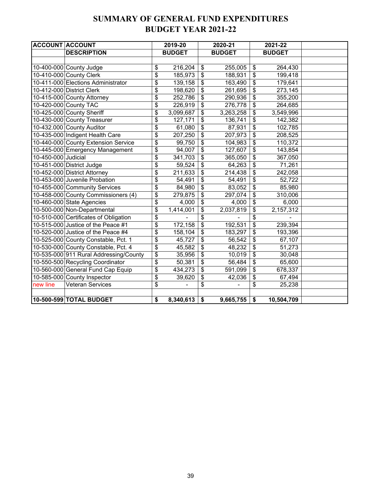#### **SUMMARY OF GENERAL FUND EXPENDITURES BUDGET YEAR 2021-22**

| <b>ACCOUNT ACCOUNT</b> |                                        |                                      | 2019-20       |               | 2020-21       | 2021-22          |  |
|------------------------|----------------------------------------|--------------------------------------|---------------|---------------|---------------|------------------|--|
|                        | <b>DESCRIPTION</b>                     |                                      | <b>BUDGET</b> |               | <b>BUDGET</b> | <b>BUDGET</b>    |  |
|                        |                                        |                                      |               |               |               |                  |  |
|                        | 10-400-000 County Judge                | \$                                   | 216,204       | $\frac{1}{2}$ | 255,005       | \$<br>264,430    |  |
|                        | 10-410-000 County Clerk                | \$                                   | 185,973       | $\frac{1}{2}$ | 188,931       | \$<br>199,418    |  |
|                        | 10-411-000 Elections Administrator     | \$                                   | 139,158       | \$            | 163,490       | \$<br>179,641    |  |
|                        | 10-412-000 District Clerk              | \$                                   | 198,620       | \$            | 261,695       | \$<br>273,145    |  |
|                        | 10-415-000 County Attorney             | \$                                   | 252,786       | \$            | 290,936       | \$<br>355,200    |  |
|                        | 10-420-000 County TAC                  | \$                                   | 226,919       | \$            | 276,778       | \$<br>264,685    |  |
|                        | 10-425-000 County Sheriff              | \$                                   | 3,099,687     | \$            | 3,263,258     | \$<br>3,549,996  |  |
|                        | 10-430-000 County Treasurer            | \$                                   | 127,171       | \$            | 136,741       | \$<br>142,382    |  |
|                        | 10-432.000 County Auditor              | \$                                   | 61,080        | \$            | 87,931        | \$<br>102,785    |  |
|                        | 10-435-000 Indigent Health Care        | \$                                   | 207,250       | \$            | 207,973       | \$<br>208,525    |  |
|                        | 10-440-000 County Extension Service    | \$                                   | 99,750        | \$            | 104,983       | \$<br>110,372    |  |
|                        | 10-445-000 Emergency Management        | \$                                   | 94,007        | \$            | 127,607       | \$<br>143,854    |  |
| 10-450-000 Judicial    |                                        | \$                                   | 341,703       | \$            | 365,050       | \$<br>367,050    |  |
|                        | 10-451-000 District Judge              | \$                                   | 59,524        | \$            | 64,263        | \$<br>71,261     |  |
|                        | 10-452-000 District Attorney           | \$                                   | 211,633       | \$            | 214,438       | \$<br>242,058    |  |
|                        | 10-453-000 Juvenile Probation          | \$                                   | 54,491        | \$            | 54,491        | \$<br>52,722     |  |
|                        | 10-455-000 Community Services          | \$                                   | 84,980        | \$            | 83,052        | \$<br>85,980     |  |
|                        | 10-458-000 County Commissioners (4)    | \$                                   | 279,875       | \$            | 297,074       | \$<br>310,006    |  |
|                        | 10-460-000 State Agencies              | \$                                   | 4,000         | \$            | 4,000         | \$<br>6,000      |  |
|                        | 10-500-000 Non-Departmental            | \$                                   | 1,414,001     | \$            | 2,037,819     | \$<br>2,157,312  |  |
|                        | 10-510-000 Certificates of Obligation  | \$                                   |               | \$            |               | \$               |  |
|                        | 10-515-000 Justice of the Peace #1     | \$                                   | 172,158       | \$            | 192,531       | \$<br>239,394    |  |
|                        | 10-520-000 Justice of the Peace #4     | \$                                   | 158,104       | \$            | 183,297       | \$<br>193,396    |  |
|                        | 10-525-000 County Constable, Pct. 1    | \$                                   | 45,727        | \$            | 56,542        | \$<br>67,107     |  |
|                        | 10-530-000 County Constable, Pct. 4    | $\overline{\boldsymbol{\mathsf{s}}}$ | 45,582        | \$            | 48,232        | \$<br>51,273     |  |
|                        | 10-535-000 911 Rural Addressing/County | \$                                   | 35,956        | \$            | 10,019        | \$<br>30,048     |  |
|                        | 10-550-500 Recycling Coordinator       | \$                                   | 50,381        | \$            | 56,484        | \$<br>65,600     |  |
|                        | 10-560-000 General Fund Cap Equip      | \$                                   | 434,273       | \$            | 591,099       | \$<br>678,337    |  |
|                        | 10-585-000 County Inspector            | \$                                   | 39,620        | \$            | 42,036        | \$<br>67,494     |  |
| new line               | <b>Veteran Services</b>                | \$                                   |               | \$            |               | \$<br>25,238     |  |
|                        |                                        |                                      |               |               |               |                  |  |
|                        | 10-500-599 TOTAL BUDGET                | \$                                   | 8,340,613     | \$            | 9,665,755     | \$<br>10,504,709 |  |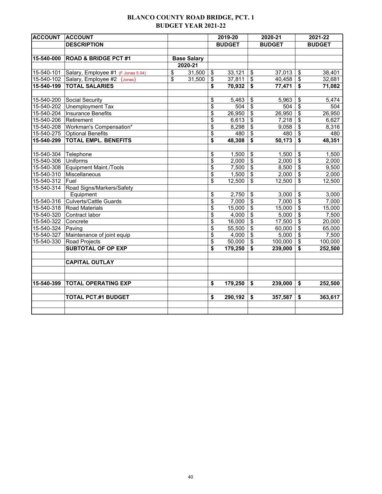#### **BLANCO COUNTY ROAD BRIDGE, PCT. 1 BUDGET YEAR 2021-22**

| <b>ACCOUNT ACCOUNT</b> |                                               |                    | 2019-20       |                          | 2020-21       |                                  | 2021-22       |
|------------------------|-----------------------------------------------|--------------------|---------------|--------------------------|---------------|----------------------------------|---------------|
|                        | <b>DESCRIPTION</b>                            |                    | <b>BUDGET</b> |                          | <b>BUDGET</b> |                                  | <b>BUDGET</b> |
|                        |                                               |                    |               |                          |               |                                  |               |
| 15-540-000             | <b>ROAD &amp; BRIDGE PCT #1</b>               | <b>Base Salary</b> |               |                          |               |                                  |               |
|                        |                                               | 2020-21            |               |                          |               |                                  |               |
|                        | 15-540-101 Salary, Employee #1 (F Jones 5.04) | \$<br>31,500       | \$<br>33,121  | \$                       | 37,013        | \$                               | 38,401        |
|                        | 15-540-102 Salary, Employee #2 (Jones)        | \$<br>31,500       | \$<br>37,811  | \$                       | 40,458        | \$                               | 32,681        |
| 15-540-199             | <b>TOTAL SALARIES</b>                         |                    | \$<br>70,932  | \$                       | 77,471        | \$                               | 71,082        |
|                        |                                               |                    |               |                          |               |                                  |               |
| 15-540-200             | Social Security                               |                    | \$<br>5,463   | \$                       | 5,963         | \$                               | 5,474         |
| 15-540-202             | Unemployment Tax                              |                    | \$<br>504     | $\overline{\mathbf{S}}$  | 504           | $\boldsymbol{\mathsf{S}}$        | 504           |
| 15-540-204             | <b>Insurance Benefits</b>                     |                    | \$<br>26,950  | \$                       | 26,950        | \$                               | 26,950        |
| 15-540-206 Retirement  |                                               |                    | \$<br>6,613   | \$                       | 7,218         | $\overline{\mathcal{S}}$         | 6,627         |
|                        | 15-540-208 Workman's Compensation*            |                    | \$<br>8,298   | \$                       | 9,058         | $\overline{\mathcal{L}}$         | 8,316         |
|                        | 15-540-275 Optional Benefits                  |                    | \$<br>480     | \$                       | 480           | \$                               | 480           |
| 15-540-299             | <b>TOTAL EMPL. BENEFITS</b>                   |                    | \$<br>48,308  | \$                       | 50,173        | $\overline{\mathbf{s}}$          | 48,351        |
|                        |                                               |                    |               |                          |               |                                  |               |
| 15-540-304 Telephone   |                                               |                    | \$<br>1,500   | \$                       | 1,500         | \$                               | 1,500         |
| 15-540-306 Uniforms    |                                               |                    | \$<br>2,000   | $\overline{\mathcal{L}}$ | 2,000         | $\overline{\mathcal{S}}$         | 2,000         |
|                        | 15-540-308 Equipment Maint./Tools             |                    | \$<br>7,500   | \$                       | 8,500         | \$                               | 9,500         |
|                        | 15-540-310 Miscellaneous                      |                    | \$<br>1,500   | \$                       | 2,000         | $\overline{\mathbf{s}}$          | 2,000         |
| 15-540-312             | Fuel                                          |                    | \$<br>12,500  | \$                       | 12,500        | \$                               | 12,500        |
| 15-540-314             | Road Signs/Markers/Safety                     |                    |               |                          |               |                                  |               |
|                        | Equipment                                     |                    | \$<br>2,750   | \$                       | 3,000         | \$                               | 3,000         |
| 15-540-316             | <b>Culverts/Cattle Guards</b>                 |                    | \$<br>7,000   | \$                       | 7,000         | $\boldsymbol{\mathsf{S}}$        | 7,000         |
|                        | 15-540-318 Road Materials                     |                    | \$<br>15,000  | \$                       | 15,000        | \$                               | 15,000        |
| 15-540-320             | Contract labor                                |                    | \$<br>4,000   | \$                       | 5,000         | \$                               | 7,500         |
| 15-540-322 Concrete    |                                               |                    | \$<br>16,000  | \$                       | 17,500        | $\overline{\boldsymbol{\theta}}$ | 20,000        |
| 15-540-324 Paving      |                                               |                    | \$<br>55,500  | \$                       | 60,000        | \$                               | 65,000        |
|                        | 15-540-327 Maintenance of joint equip         |                    | \$<br>4,000   | \$                       | 5,000         | $\sqrt[6]{\frac{1}{2}}$          | 7,500         |
|                        | 15-540-330 Road Projects                      |                    | \$<br>50,000  | \$                       | 100,000       | $\sqrt[6]{\frac{1}{2}}$          | 100,000       |
|                        | <b>SUBTOTAL OF OP EXP</b>                     |                    | \$<br>179,250 | \$                       | 239,000       | \$                               | 252,500       |
|                        |                                               |                    |               |                          |               |                                  |               |
|                        | <b>CAPITAL OUTLAY</b>                         |                    |               |                          |               |                                  |               |
|                        |                                               |                    |               |                          |               |                                  |               |
|                        |                                               |                    |               |                          |               |                                  |               |
| 15-540-399             | <b>TOTAL OPERATING EXP</b>                    |                    | \$<br>179,250 | \$                       | 239,000       | \$                               | 252,500       |
|                        | <b>TOTAL PCT.#1 BUDGET</b>                    |                    | \$<br>290,192 | \$                       | 357,587       | \$                               | 363,617       |
|                        |                                               |                    |               |                          |               |                                  |               |
|                        |                                               |                    |               |                          |               |                                  |               |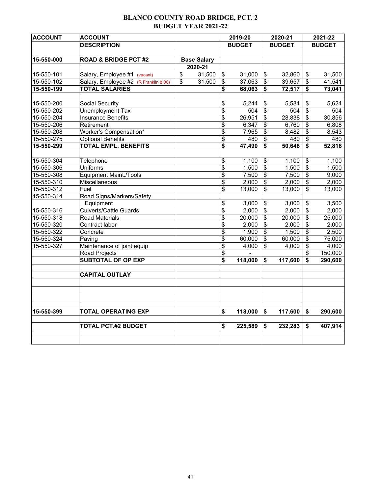#### **BLANCO COUNTY ROAD BRIDGE, PCT. 2 BUDGET YEAR 2021-22**

| <b>ACCOUNT</b> | <b>ACCOUNT</b>                        |                          |                    |                          | 2019-20          |                         | 2020-21       |                         | 2021-22       |
|----------------|---------------------------------------|--------------------------|--------------------|--------------------------|------------------|-------------------------|---------------|-------------------------|---------------|
|                | <b>DESCRIPTION</b>                    |                          |                    |                          | <b>BUDGET</b>    |                         | <b>BUDGET</b> |                         | <b>BUDGET</b> |
|                |                                       |                          |                    |                          |                  |                         |               |                         |               |
| 15-550-000     | <b>ROAD &amp; BRIDGE PCT #2</b>       |                          | <b>Base Salary</b> |                          |                  |                         |               |                         |               |
|                |                                       |                          | 2020-21            |                          |                  |                         |               |                         |               |
| 15-550-101     | Salary, Employee #1 (vacant)          | $\overline{\mathbf{S}}$  | 31,500             | \$                       | 31,000           | \$                      | 32,860        | \$                      | 31,500        |
| 15-550-102     | Salary, Employee #2 (R Franklin 8.00) | $\overline{\mathcal{S}}$ | 31,500             | \$                       | 37,063           | \$                      | 39,657        | \$                      | 41,541        |
| 15-550-199     | <b>TOTAL SALARIES</b>                 |                          |                    | \$                       | 68,063           | \$                      | 72,517        | \$                      | 73,041        |
|                |                                       |                          |                    |                          |                  |                         |               |                         |               |
| 15-550-200     | Social Security                       |                          |                    | \$                       | 5,244            | \$                      | 5,584         | \$                      | 5,624         |
| 15-550-202     | <b>Unemployment Tax</b>               |                          |                    | $\overline{\mathcal{S}}$ | $\overline{504}$ | $\overline{\$}$         | 504           | $\overline{\$}$         | 504           |
| 15-550-204     | <b>Insurance Benefits</b>             |                          |                    | \$                       | 26,951           | \$                      | 28,838        | \$                      | 30,856        |
| 15-550-206     | Retirement                            |                          |                    | \$                       | 6,347            | \$                      | 6,760         | \$                      | 6,808         |
| 15-550-208     | Worker's Compensation*                |                          |                    | $\overline{\mathbf{S}}$  | 7,965            | \$                      | 8,482         | $\overline{\mathbf{e}}$ | 8,543         |
| 15-550-275     | <b>Optional Benefits</b>              |                          |                    | \$                       | 480              | \$                      | 480           | $\overline{\mathbf{e}}$ | 480           |
| 15-550-299     | <b>TOTAL EMPL. BENEFITS</b>           |                          |                    | \$                       | 47,490           | \$                      | 50,648        | \$                      | 52,816        |
| 15-550-304     | Telephone                             |                          |                    | \$                       | 1,100            | \$                      | 1,100         | \$                      | 1,100         |
| 15-550-306     | <b>Uniforms</b>                       |                          |                    | \$                       | 1,500            | \$                      | 1,500         | \$                      | 1,500         |
| 15-550-308     | <b>Equipment Maint./Tools</b>         |                          |                    | $\overline{\mathbf{e}}$  | 7,500            | $\overline{\mathbf{e}}$ | 7,500         | \$                      | 9,000         |
| 15-550-310     | Miscellaneous                         |                          |                    | \$                       | 2,000            | $\overline{\mathbf{s}}$ | 2,000         | $\overline{\mathbf{e}}$ | 2,000         |
| 15-550-312     | Fuel                                  |                          |                    | \$                       | 13,000           | $\overline{\mathbf{S}}$ | 13,000        | $\overline{\mathbf{S}}$ | 13,000        |
| 15-550-314     | Road Signs/Markers/Safety             |                          |                    |                          |                  |                         |               |                         |               |
|                | Equipment                             |                          |                    | \$                       | 3,000            | \$                      | 3,000         | \$                      | 3,500         |
| 15-550-316     | <b>Culverts/Cattle Guards</b>         |                          |                    | \$                       | 2,000            | \$                      | 2,000         | $\overline{\$}$         | 2,000         |
| 15-550-318     | <b>Road Materials</b>                 |                          |                    | \$                       | 20,000           | \$                      | 20,000        | \$                      | 25,000        |
| 15-550-320     | Contract labor                        |                          |                    | \$                       | 2,000            | \$                      | 2,000         | \$                      | 2,000         |
| 15-550-322     | Concrete                              |                          |                    | \$                       | 1,900            | \$                      | 1,500         | \$                      | 2,500         |
| 15-550-324     | Paving                                |                          |                    | \$                       | 60,000           | \$                      | 60,000        | \$                      | 75,000        |
| 15-550-327     | Maintenance of joint equip            |                          |                    | $\overline{\mathbf{S}}$  | 4,000            | \$                      | 4,000         | $\overline{\mathbf{S}}$ | 4,000         |
|                | Road Projects                         |                          |                    | \$                       |                  |                         |               | \$                      | 150,000       |
|                | <b>SUBTOTAL OF OP EXP</b>             |                          |                    | \$                       | 118,000          | \$                      | 117,600       | \$                      | 290,600       |
|                | <b>CAPITAL OUTLAY</b>                 |                          |                    |                          |                  |                         |               |                         |               |
|                |                                       |                          |                    |                          |                  |                         |               |                         |               |
|                |                                       |                          |                    |                          |                  |                         |               |                         |               |
|                |                                       |                          |                    |                          |                  |                         |               |                         |               |
| 15-550-399     | <b>TOTAL OPERATING EXP</b>            |                          |                    | \$                       | 118,000          | \$                      | 117,600       | \$                      | 290,600       |
|                |                                       |                          |                    |                          |                  |                         |               |                         |               |
|                | <b>TOTAL PCT.#2 BUDGET</b>            |                          |                    | \$                       | 225,589          | \$                      | 232,283       | \$                      | 407,914       |
|                |                                       |                          |                    |                          |                  |                         |               |                         |               |
|                |                                       |                          |                    |                          |                  |                         |               |                         |               |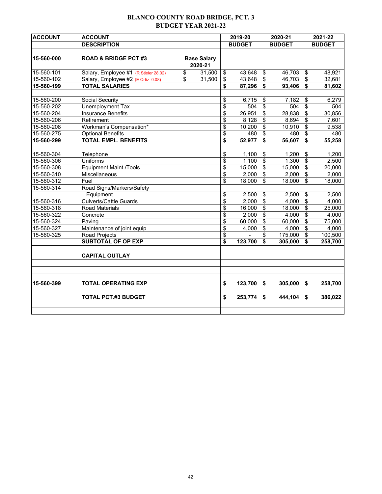#### **BLANCO COUNTY ROAD BRIDGE, PCT. 3 BUDGET YEAR 2021-22**

| <b>ACCOUNT</b> | <b>ACCOUNT</b>                        |                         |                    |                          | 2019-20       |                           | 2020-21       |                                      | 2021-22       |
|----------------|---------------------------------------|-------------------------|--------------------|--------------------------|---------------|---------------------------|---------------|--------------------------------------|---------------|
|                | <b>DESCRIPTION</b>                    |                         |                    |                          | <b>BUDGET</b> |                           | <b>BUDGET</b> |                                      | <b>BUDGET</b> |
|                |                                       |                         |                    |                          |               |                           |               |                                      |               |
| 15-560-000     | <b>ROAD &amp; BRIDGE PCT #3</b>       |                         | <b>Base Salary</b> |                          |               |                           |               |                                      |               |
|                |                                       |                         | 2020-21            |                          |               |                           |               |                                      |               |
| 15-560-101     | Salary, Employee #1 (R Stieler 28.02) | \$                      | 31,500             | \$                       | 43,648        | \$                        | 46,703        | \$                                   | 48,921        |
| 15-560-102     | Salary, Employee #2 (E Ortiz 0.08)    | $\overline{\mathbf{s}}$ | 31,500             | \$                       | 43,648        | $\boldsymbol{\mathsf{S}}$ | 46,703        | \$                                   | 32,681        |
| 15-560-199     | <b>TOTAL SALARIES</b>                 |                         |                    | \$                       | 87,296        | \$                        | 93,406        | \$                                   | 81,602        |
|                |                                       |                         |                    |                          |               |                           |               |                                      |               |
| 15-560-200     | Social Security                       |                         |                    | \$                       | 6,715         | \$                        | 7,182         | \$                                   | 6,279         |
| 15-560-202     | <b>Unemployment Tax</b>               |                         |                    | $\overline{\mathcal{S}}$ | 504           | \$                        | 504           | $\overline{\boldsymbol{\mathsf{s}}}$ | 504           |
| 15-560-204     | <b>Insurance Benefits</b>             |                         |                    | \$                       | 26,951        | \$                        | 28,838        | \$                                   | 30,856        |
| 15-560-206     | Retirement                            |                         |                    | \$                       | 8,128         | \$                        | 8,694         | \$                                   | 7,601         |
| 15-560-208     | Workman's Compensation*               |                         |                    | $\overline{\$}$          | 10,200        | \$                        | 10,910        | $\overline{\$}$                      | 9,538         |
| 15-560-275     | <b>Optional Benefits</b>              |                         |                    | \$                       | 480           | \$                        | 480           | \$                                   | 480           |
| 15-560-299     | <b>TOTAL EMPL. BENEFITS</b>           |                         |                    | \$                       | 52,977        | \$                        | 56,607        | \$                                   | 55,258        |
|                |                                       |                         |                    |                          |               |                           |               |                                      |               |
| 15-560-304     | Telephone                             |                         |                    | $\frac{1}{2}$            | 1,100         | \$                        | 1,200         | \$                                   | 1,200         |
| 15-560-306     | <b>Uniforms</b>                       |                         |                    | \$                       | 1,100         | $\overline{\mathbf{S}}$   | 1,300         | $\overline{\$}$                      | 2,500         |
| 15-560-308     | <b>Equipment Maint./Tools</b>         |                         |                    | $\overline{\mathcal{E}}$ | 15,000        | \$                        | 15,000        | $\overline{\mathbf{S}}$              | 20,000        |
| 15-560-310     | Miscellaneous                         |                         |                    | \$                       | 2,000         | \$                        | 2,000         | \$                                   | 2,000         |
| 15-560-312     | Fuel                                  |                         |                    | \$                       | 18,000        | \$                        | 18,000        | \$                                   | 18,000        |
| 15-560-314     | Road Signs/Markers/Safety             |                         |                    |                          |               |                           |               |                                      |               |
|                | Equipment                             |                         |                    | \$                       | 2,500         | \$                        | 2,500         | \$                                   | 2,500         |
| 15-560-316     | <b>Culverts/Cattle Guards</b>         |                         |                    | $\overline{\mathcal{S}}$ | 2,000         | $\overline{\$}$           | 4,000         | $\overline{\mathfrak{s}}$            | 4,000         |
| 15-560-318     | <b>Road Materials</b>                 |                         |                    | \$                       | 16,000        | \$                        | 18,000        | \$                                   | 25,000        |
| 15-560-322     | Concrete                              |                         |                    | \$                       | 2,000         | \$                        | 4,000         | \$                                   | 4,000         |
| 15-560-324     | Paving                                |                         |                    | $\frac{1}{2}$            | 60,000        | \$                        | 60,000        | \$                                   | 75,000        |
| 15-560-327     | Maintenance of joint equip            |                         |                    |                          | 4,000         | \$                        | 4,000         | $\overline{\mathfrak{s}}$            | 4,000         |
| 15-560-325     | Road Projects                         |                         |                    | \$                       |               | \$                        | 175,000       | \$                                   | 100,500       |
|                | <b>SUBTOTAL OF OP EXP</b>             |                         |                    | \$                       | 123,700       | \$                        | 305,000       | \$                                   | 258,700       |
|                |                                       |                         |                    |                          |               |                           |               |                                      |               |
|                | <b>CAPITAL OUTLAY</b>                 |                         |                    |                          |               |                           |               |                                      |               |
|                |                                       |                         |                    |                          |               |                           |               |                                      |               |
|                |                                       |                         |                    |                          |               |                           |               |                                      |               |
|                |                                       |                         |                    |                          |               |                           |               |                                      |               |
| 15-560-399     | <b>TOTAL OPERATING EXP</b>            |                         |                    | \$                       | 123,700       | \$                        | 305,000       | \$                                   | 258,700       |
|                | <b>TOTAL PCT.#3 BUDGET</b>            |                         |                    | \$                       | 253,774       | \$                        | 444,104       | \$                                   | 386,022       |
|                |                                       |                         |                    |                          |               |                           |               |                                      |               |
|                |                                       |                         |                    |                          |               |                           |               |                                      |               |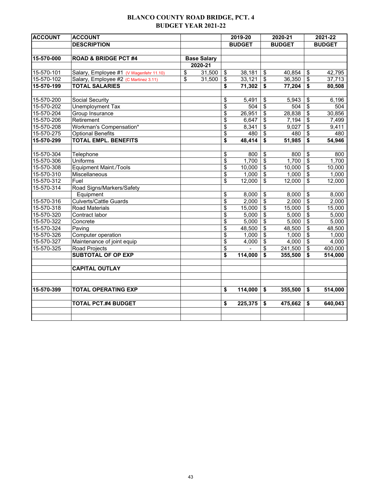#### **BLANCO COUNTY ROAD BRIDGE, PCT. 4 BUDGET YEAR 2021-22**

| <b>ACCOUNT</b> | <b>ACCOUNT</b>                          |                    |                          | 2019-20       |                         | 2020-21       |                                  | 2021-22            |
|----------------|-----------------------------------------|--------------------|--------------------------|---------------|-------------------------|---------------|----------------------------------|--------------------|
|                | <b>DESCRIPTION</b>                      |                    |                          | <b>BUDGET</b> |                         | <b>BUDGET</b> |                                  | <b>BUDGET</b>      |
|                |                                         |                    |                          |               |                         |               |                                  |                    |
| 15-570-000     | <b>ROAD &amp; BRIDGE PCT #4</b>         | <b>Base Salary</b> |                          |               |                         |               |                                  |                    |
|                |                                         | 2020-21            |                          |               |                         |               |                                  |                    |
| 15-570-101     | Salary, Employee #1 (V Wagenfehr 11.10) | \$<br>31,500       | \$                       | 38,181        | \$                      | 40,854        | \$                               | 42,795             |
| 15-570-102     | Salary, Employee #2 (C Martinez 3.11)   | \$<br>31,500       | $\overline{\mathcal{S}}$ | 33,121        | $\overline{\mathbf{S}}$ | 36,350        | \$                               | 37,713             |
| 15-570-199     | <b>TOTAL SALARIES</b>                   |                    | \$                       | 71,302        | \$                      | 77,204        | \$                               | 80,508             |
|                |                                         |                    |                          |               |                         |               |                                  |                    |
| 15-570-200     | Social Security                         |                    | \$                       | 5,491         | \$                      | 5,943         | \$                               | 6,196              |
| 15-570-202     | <b>Unemployment Tax</b>                 |                    | $\overline{\mathcal{S}}$ | 504           | $\overline{\mathbf{S}}$ | 504           | \$                               | 504                |
| 15-570-204     | Group Insurance                         |                    | $\overline{\mathcal{S}}$ | 26,951        | \$                      | 28,838        | $\overline{\mathbf{S}}$          | 30,856             |
| 15-570-206     | Retirement                              |                    | \$                       | 6,647         | \$                      | 7,194         | \$                               | 7,499              |
| 15-570-208     | Workman's Compensation*                 |                    | \$                       | 8,341         | \$                      | 9,027         | \$                               | 9,411              |
| 15-570-275     | <b>Optional Benefits</b>                |                    | \$                       | 480           | \$                      | 480           | \$                               | 480                |
| 15-570-299     | <b>TOTAL EMPL. BENEFITS</b>             |                    | \$                       | 48,414        | \$                      | 51,985        | $\overline{\mathbf{s}}$          | 54,946             |
|                |                                         |                    |                          |               |                         |               |                                  |                    |
| 15-570-304     | Telephone                               |                    | \$                       | 800           | \$                      | 800           | \$                               | 800                |
| 15-570-306     | <b>Uniforms</b>                         |                    | \$                       | 1,700         | \$                      | 1,700         | $\overline{\boldsymbol{\theta}}$ | 1,700              |
| 15-570-308     | <b>Equipment Maint./Tools</b>           |                    | \$                       | 10,000        | \$                      | 10,000        | \$                               | 10,000             |
| 15-570-310     | Miscellaneous                           |                    | \$                       | 1,000         | \$                      | 1,000         | $\overline{\$}$                  | 1,000              |
| 15-570-312     | Fuel                                    |                    | \$                       | 12,000        | \$                      | 12,000        | $\overline{\mathcal{S}}$         | 12,000             |
| 15-570-314     | Road Signs/Markers/Safety               |                    |                          |               |                         |               |                                  |                    |
|                | Equipment                               |                    | \$                       | 8,000         | \$                      | 8,000         | \$                               | 8,000              |
| 15-570-316     | <b>Culverts/Cattle Guards</b>           |                    | \$                       | 2,000         | \$                      | 2,000         | $\overline{\mathbf{S}}$          | 2,000              |
| 15-570-318     | Road Materials                          |                    | \$                       | 15,000        | \$                      | 15,000        | \$                               | 15,000             |
| 15-570-320     | Contract labor                          |                    | \$                       | 5,000         | \$                      | 5,000         | \$                               | $\overline{5,000}$ |
| 15-570-322     | Concrete                                |                    | $\overline{\mathcal{S}}$ | 5,000         | \$                      | 5,000         | \$                               | 5,000              |
| 15-570-324     | Paving                                  |                    | \$                       | 48,500        | \$                      | 48,500        | $\overline{\$}$                  | 48,500             |
| 15-570-326     | Computer operation                      |                    | \$                       | 1,000         | \$                      | 1,000         | \$                               | 1,000              |
| 15-570-327     | Maintenance of joint equip              |                    | \$                       | 4,000         | \$                      | 4,000         | \$                               | 4,000              |
| 15-570-325     | Road Projects                           |                    | \$                       |               | \$                      | 241,500       | \$                               | 400,000            |
|                | <b>SUBTOTAL OF OP EXP</b>               |                    | \$                       | 114,000       | \$                      | 355,500       | \$                               | 514,000            |
|                | <b>CAPITAL OUTLAY</b>                   |                    |                          |               |                         |               |                                  |                    |
|                |                                         |                    |                          |               |                         |               |                                  |                    |
| 15-570-399     | <b>TOTAL OPERATING EXP</b>              |                    | \$                       | 114,000       | \$                      | 355,500       | \$                               | 514,000            |
|                | <b>TOTAL PCT.#4 BUDGET</b>              |                    | \$                       | 225,375       | \$                      | 475,662       | \$                               | 640,043            |
|                |                                         |                    |                          |               |                         |               |                                  |                    |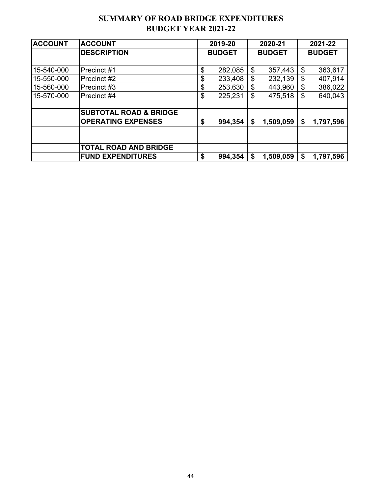#### **SUMMARY OF ROAD BRIDGE EXPENDITURES BUDGET YEAR 2021-22**

| <b>ACCOUNT</b> | <b>ACCOUNT</b>                    | 2019-20       |    | 2020-21       | 2021-22         |
|----------------|-----------------------------------|---------------|----|---------------|-----------------|
|                | <b>DESCRIPTION</b>                | <b>BUDGET</b> |    | <b>BUDGET</b> | <b>BUDGET</b>   |
|                |                                   |               |    |               |                 |
| 15-540-000     | Precinct #1                       | \$<br>282,085 | \$ | 357,443       | \$<br>363,617   |
| 15-550-000     | Precinct #2                       | \$<br>233,408 | \$ | 232,139       | \$<br>407,914   |
| 15-560-000     | Precinct #3                       | \$<br>253,630 | \$ | 443,960       | \$<br>386,022   |
| 15-570-000     | Precinct #4                       | \$<br>225,231 | \$ | 475,518       | \$<br>640,043   |
|                |                                   |               |    |               |                 |
|                | <b>SUBTOTAL ROAD &amp; BRIDGE</b> |               |    |               |                 |
|                | <b>OPERATING EXPENSES</b>         | \$<br>994,354 | \$ | 1,509,059     | \$<br>1,797,596 |
|                |                                   |               |    |               |                 |
|                | <b>TOTAL ROAD AND BRIDGE</b>      |               |    |               |                 |
|                | <b>FUND EXPENDITURES</b>          | \$<br>994,354 | \$ | 1,509,059     | \$<br>1,797,596 |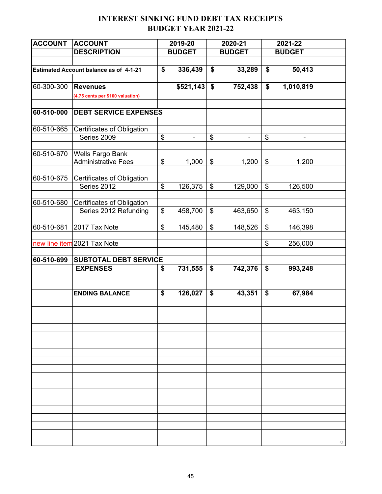#### **INTEREST SINKING FUND DEBT TAX RECEIPTS BUDGET YEAR 2021-22**

| <b>ACCOUNT</b> | <b>ACCOUNT</b>                                | 2019-20              |                           | 2020-21        |                            | 2021-22       |  |
|----------------|-----------------------------------------------|----------------------|---------------------------|----------------|----------------------------|---------------|--|
|                | <b>DESCRIPTION</b>                            | <b>BUDGET</b>        |                           | <b>BUDGET</b>  |                            | <b>BUDGET</b> |  |
|                |                                               |                      |                           |                |                            |               |  |
|                | <b>Estimated Account balance as of 4-1-21</b> | \$<br>336,439        | \$                        | 33,289         | \$                         | 50,413        |  |
|                |                                               |                      |                           |                |                            |               |  |
| 60-300-300     | <b>Revenues</b>                               | \$521,143            | \$                        | 752,438        | \$                         | 1,010,819     |  |
|                | (4.75 cents per \$100 valuation)              |                      |                           |                |                            |               |  |
|                |                                               |                      |                           |                |                            |               |  |
| 60-510-000     | <b>DEBT SERVICE EXPENSES</b>                  |                      |                           |                |                            |               |  |
| 60-510-665     |                                               |                      |                           |                |                            |               |  |
|                | Certificates of Obligation<br>Series 2009     | \$<br>$\overline{a}$ | \$                        | $\blacksquare$ | \$                         |               |  |
|                |                                               |                      |                           |                |                            |               |  |
| 60-510-670     | <b>Wells Fargo Bank</b>                       |                      |                           |                |                            |               |  |
|                | <b>Administrative Fees</b>                    | \$<br>1,000          | \$                        | 1,200          | \$                         | 1,200         |  |
|                |                                               |                      |                           |                |                            |               |  |
| 60-510-675     | Certificates of Obligation                    |                      |                           |                |                            |               |  |
|                | Series 2012                                   | \$<br>126,375        | $\boldsymbol{\mathsf{S}}$ | 129,000        | $\boldsymbol{\mathsf{\$}}$ | 126,500       |  |
|                |                                               |                      |                           |                |                            |               |  |
| 60-510-680     | Certificates of Obligation                    |                      |                           |                |                            |               |  |
|                | Series 2012 Refunding                         | \$<br>458,700        | \$                        | 463,650        | \$                         | 463,150       |  |
| 60-510-681     | 2017 Tax Note                                 | \$<br>145,480        | \$                        | 148,526        | \$                         | 146,398       |  |
|                |                                               |                      |                           |                |                            |               |  |
|                | new line item 2021 Tax Note                   |                      |                           |                | \$                         | 256,000       |  |
|                |                                               |                      |                           |                |                            |               |  |
| 60-510-699     | <b>SUBTOTAL DEBT SERVICE</b>                  |                      |                           |                |                            |               |  |
|                | <b>EXPENSES</b>                               | \$<br>731,555        | \$                        | 742,376        | \$                         | 993,248       |  |
|                |                                               |                      |                           |                |                            |               |  |
|                |                                               |                      |                           |                |                            |               |  |
|                | <b>ENDING BALANCE</b>                         | \$<br>126,027        | \$                        | 43,351         | \$                         | 67,984        |  |
|                |                                               |                      |                           |                |                            |               |  |
|                |                                               |                      |                           |                |                            |               |  |
|                |                                               |                      |                           |                |                            |               |  |
|                |                                               |                      |                           |                |                            |               |  |
|                |                                               |                      |                           |                |                            |               |  |
|                |                                               |                      |                           |                |                            |               |  |
|                |                                               |                      |                           |                |                            |               |  |
|                |                                               |                      |                           |                |                            |               |  |
|                |                                               |                      |                           |                |                            |               |  |
|                |                                               |                      |                           |                |                            |               |  |
|                |                                               |                      |                           |                |                            |               |  |
|                |                                               |                      |                           |                |                            |               |  |
|                |                                               |                      |                           |                |                            |               |  |
|                |                                               |                      |                           |                |                            |               |  |
|                |                                               |                      |                           |                |                            |               |  |
|                |                                               |                      |                           |                |                            |               |  |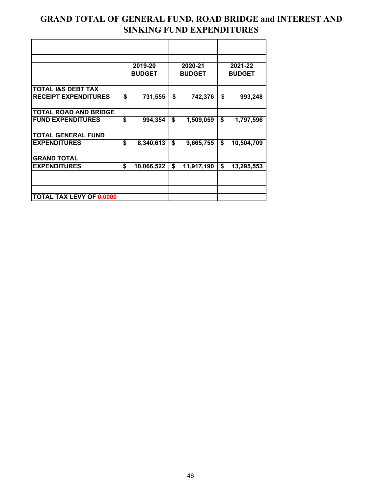#### **GRAND TOTAL OF GENERAL FUND, ROAD BRIDGE and INTEREST AND SINKING FUND EXPENDITURES**

|                                 | 2019-20          |               | 2020-21    | 2021-22          |
|---------------------------------|------------------|---------------|------------|------------------|
|                                 | <b>BUDGET</b>    | <b>BUDGET</b> |            | <b>BUDGET</b>    |
|                                 |                  |               |            |                  |
| <b>TOTAL I&amp;S DEBT TAX</b>   |                  |               |            |                  |
| <b>RECEIPT EXPENDITURES</b>     | \$<br>731,555    | \$            | 742,376    | \$<br>993,248    |
|                                 |                  |               |            |                  |
| <b>TOTAL ROAD AND BRIDGE</b>    |                  |               |            |                  |
| <b>FUND EXPENDITURES</b>        | \$<br>994,354    | \$            | 1,509,059  | \$<br>1,797,596  |
|                                 |                  |               |            |                  |
| <b>TOTAL GENERAL FUND</b>       |                  |               |            |                  |
| <b>EXPENDITURES</b>             | \$<br>8,340,613  | \$            | 9,665,755  | \$<br>10,504,709 |
|                                 |                  |               |            |                  |
| <b>GRAND TOTAL</b>              |                  |               |            |                  |
| <b>EXPENDITURES</b>             | \$<br>10,066,522 | \$            | 11,917,190 | \$<br>13,295,553 |
|                                 |                  |               |            |                  |
|                                 |                  |               |            |                  |
|                                 |                  |               |            |                  |
| <b>TOTAL TAX LEVY OF 0.0000</b> |                  |               |            |                  |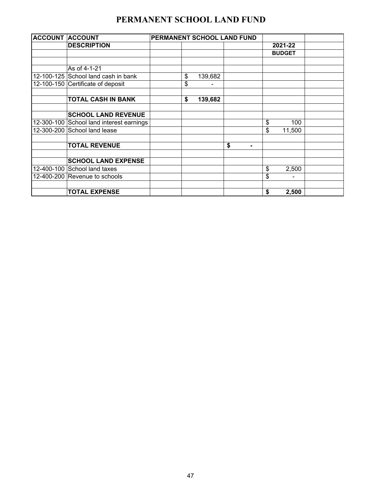## **PERMANENT SCHOOL LAND FUND**

| <b>ACCOUNT ACCOUNT</b>                   |    |         | PERMANENT SCHOOL LAND FUND |               |  |
|------------------------------------------|----|---------|----------------------------|---------------|--|
| <b>DESCRIPTION</b>                       |    |         |                            | 2021-22       |  |
|                                          |    |         |                            | <b>BUDGET</b> |  |
|                                          |    |         |                            |               |  |
| As of 4-1-21                             |    |         |                            |               |  |
| 12-100-125 School land cash in bank      | \$ | 139,682 |                            |               |  |
| 12-100-150 Certificate of deposit        | \$ |         |                            |               |  |
|                                          |    |         |                            |               |  |
| <b>TOTAL CASH IN BANK</b>                | \$ | 139,682 |                            |               |  |
|                                          |    |         |                            |               |  |
| <b>SCHOOL LAND REVENUE</b>               |    |         |                            |               |  |
| 12-300-100 School land interest earnings |    |         |                            | \$<br>100     |  |
| 12-300-200 School land lease             |    |         |                            | \$<br>11,500  |  |
|                                          |    |         |                            |               |  |
| <b>TOTAL REVENUE</b>                     |    |         | \$<br>$\blacksquare$       |               |  |
|                                          |    |         |                            |               |  |
| <b>SCHOOL LAND EXPENSE</b>               |    |         |                            |               |  |
| 12-400-100 School land taxes             |    |         |                            | \$<br>2,500   |  |
| 12-400-200 Revenue to schools            |    |         |                            | \$            |  |
|                                          |    |         |                            |               |  |
| <b>TOTAL EXPENSE</b>                     |    |         |                            | \$<br>2,500   |  |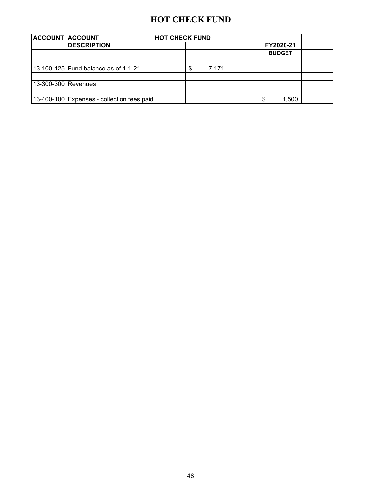#### **HOT CHECK FUND**

| <b>ACCOUNT ACCOUNT</b> |                                            | <b>HOT CHECK FUND</b> |    |       |  |               |  |
|------------------------|--------------------------------------------|-----------------------|----|-------|--|---------------|--|
|                        | <b>DESCRIPTION</b>                         |                       |    |       |  | FY2020-21     |  |
|                        |                                            |                       |    |       |  | <b>BUDGET</b> |  |
|                        |                                            |                       |    |       |  |               |  |
|                        | 13-100-125 Fund balance as of 4-1-21       |                       | \$ | 7.171 |  |               |  |
|                        |                                            |                       |    |       |  |               |  |
| 13-300-300 Revenues    |                                            |                       |    |       |  |               |  |
|                        |                                            |                       |    |       |  |               |  |
|                        | 13-400-100 Expenses - collection fees paid |                       |    |       |  | 1,500         |  |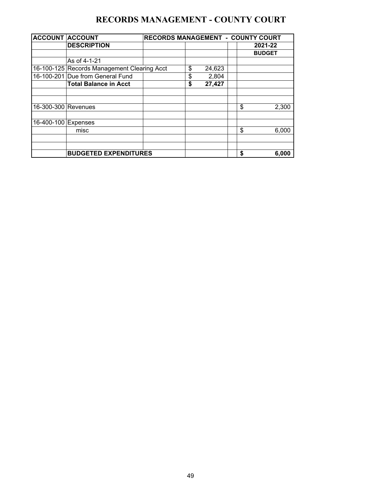### **RECORDS MANAGEMENT - COUNTY COURT**

| <b>ACCOUNT ACCOUNT</b> |                                             | <b>RECORDS MANAGEMENT - COUNTY COURT</b> |              |               |
|------------------------|---------------------------------------------|------------------------------------------|--------------|---------------|
|                        | <b>DESCRIPTION</b>                          |                                          |              | 2021-22       |
|                        |                                             |                                          |              | <b>BUDGET</b> |
|                        | As of 4-1-21                                |                                          |              |               |
|                        | 16-100-125 Records Management Clearing Acct |                                          | \$<br>24,623 |               |
|                        | 16-100-201 Due from General Fund            |                                          | \$<br>2,804  |               |
|                        | <b>Total Balance in Acct</b>                |                                          | \$<br>27,427 |               |
|                        |                                             |                                          |              |               |
| 16-300-300 Revenues    |                                             |                                          |              | \$<br>2,300   |
| 16-400-100 Expenses    |                                             |                                          |              |               |
|                        | misc                                        |                                          |              | \$<br>6,000   |
|                        |                                             |                                          |              |               |
|                        | <b>BUDGETED EXPENDITURES</b>                |                                          |              | \$<br>6.000   |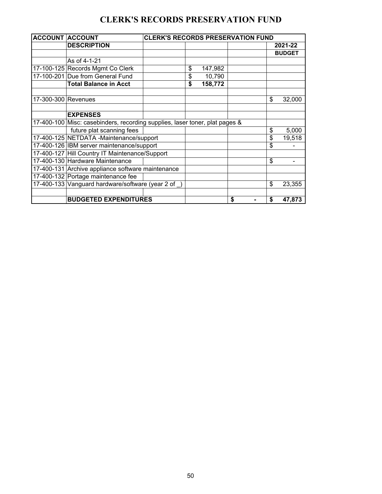### **CLERK'S RECORDS PRESERVATION FUND**

| <b>ACCOUNT ACCOUNT</b> |                                                                             | <b>CLERK'S RECORDS PRESERVATION FUND</b> |               |          |               |
|------------------------|-----------------------------------------------------------------------------|------------------------------------------|---------------|----------|---------------|
|                        | <b>DESCRIPTION</b>                                                          |                                          |               |          | 2021-22       |
|                        |                                                                             |                                          |               |          | <b>BUDGET</b> |
|                        | As of 4-1-21                                                                |                                          |               |          |               |
|                        | 17-100-125 Records Mgmt Co Clerk                                            |                                          | \$<br>147,982 |          |               |
|                        | 17-100-201 Due from General Fund                                            |                                          | \$<br>10,790  |          |               |
|                        | <b>Total Balance in Acct</b>                                                |                                          | \$<br>158,772 |          |               |
|                        |                                                                             |                                          |               |          |               |
| 17-300-300 Revenues    |                                                                             |                                          |               | \$       | 32,000        |
|                        |                                                                             |                                          |               |          |               |
|                        | <b>EXPENSES</b>                                                             |                                          |               |          |               |
|                        | 17-400-100 Misc: casebinders, recording supplies, laser toner, plat pages & |                                          |               |          |               |
|                        | future plat scanning fees                                                   |                                          |               | \$       | 5,000         |
|                        | 17-400-125 NETDATA -Maintenance/support                                     |                                          |               | \$       | 19,518        |
|                        | 17-400-126 IBM server maintenance/support                                   |                                          |               | \$       |               |
|                        | 17-400-127 Hill Country IT Maintenance/Support                              |                                          |               |          |               |
|                        | 17-400-130 Hardware Maintenance                                             |                                          |               | \$       |               |
|                        | 17-400-131 Archive appliance software maintenance                           |                                          |               |          |               |
|                        | 17-400-132 Portage maintenance fee                                          |                                          |               |          |               |
|                        | 17-400-133 Vanguard hardware/software (year 2 of                            |                                          |               | \$       | 23,355        |
|                        |                                                                             |                                          |               |          |               |
|                        | <b>BUDGETED EXPENDITURES</b>                                                |                                          |               | \$<br>\$ | 47,873        |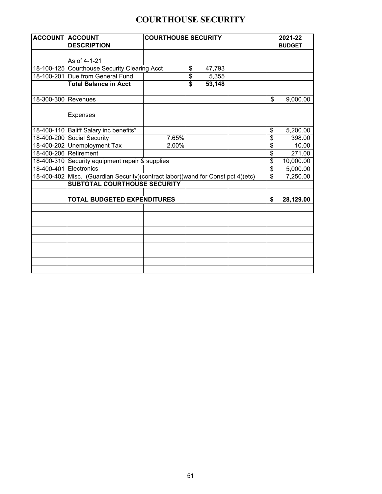# **COURTHOUSE SECURITY**

| <b>ACCOUNT ACCOUNT</b> |                                                                                 |       | <b>COURTHOUSE SECURITY</b> |        |  |                         |               |
|------------------------|---------------------------------------------------------------------------------|-------|----------------------------|--------|--|-------------------------|---------------|
|                        | <b>DESCRIPTION</b>                                                              |       |                            |        |  |                         | <b>BUDGET</b> |
|                        |                                                                                 |       |                            |        |  |                         |               |
|                        | As of 4-1-21                                                                    |       |                            |        |  |                         |               |
|                        | 18-100-125 Courthouse Security Clearing Acct                                    |       | \$                         | 47,793 |  |                         |               |
|                        | 18-100-201 Due from General Fund                                                |       | \$                         | 5,355  |  |                         |               |
|                        | <b>Total Balance in Acct</b>                                                    |       | $\overline{\$}$            | 53,148 |  |                         |               |
|                        |                                                                                 |       |                            |        |  |                         |               |
| 18-300-300 Revenues    |                                                                                 |       |                            |        |  | \$                      | 9,000.00      |
|                        |                                                                                 |       |                            |        |  |                         |               |
|                        | <b>Expenses</b>                                                                 |       |                            |        |  |                         |               |
|                        |                                                                                 |       |                            |        |  |                         |               |
|                        | 18-400-110 Baliff Salary inc benefits*                                          |       |                            |        |  | \$                      | 5,200.00      |
|                        | 18-400-200 Social Security                                                      | 7.65% |                            |        |  | \$                      | 398.00        |
|                        | 18-400-202 Unemployment Tax                                                     | 2.00% |                            |        |  | \$                      | 10.00         |
|                        | 18-400-206 Retirement                                                           |       |                            |        |  | \$                      | 271.00        |
|                        | 18-400-310 Security equipment repair & supplies                                 |       |                            |        |  | $\overline{\mathbf{S}}$ | 10,000.00     |
| 18-400-401 Electronics |                                                                                 |       |                            |        |  | \$                      | 5,000.00      |
|                        | 18-400-402 Misc. (Guardian Security)(contract labor)(wand for Const pct 4)(etc) |       |                            |        |  | \$                      | 7,250.00      |
|                        | <b>SUBTOTAL COURTHOUSE SECURITY</b>                                             |       |                            |        |  |                         |               |
|                        |                                                                                 |       |                            |        |  |                         |               |
|                        | <b>TOTAL BUDGETED EXPENDITURES</b>                                              |       |                            |        |  | \$                      | 28,129.00     |
|                        |                                                                                 |       |                            |        |  |                         |               |
|                        |                                                                                 |       |                            |        |  |                         |               |
|                        |                                                                                 |       |                            |        |  |                         |               |
|                        |                                                                                 |       |                            |        |  |                         |               |
|                        |                                                                                 |       |                            |        |  |                         |               |
|                        |                                                                                 |       |                            |        |  |                         |               |
|                        |                                                                                 |       |                            |        |  |                         |               |
|                        |                                                                                 |       |                            |        |  |                         |               |
|                        |                                                                                 |       |                            |        |  |                         |               |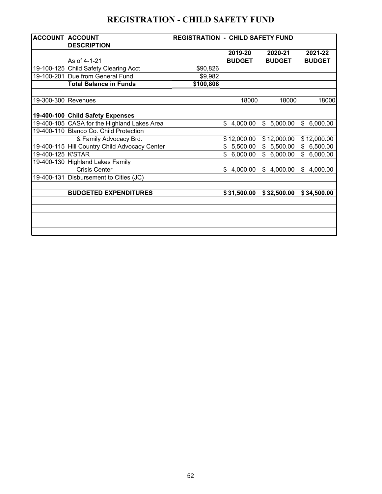## **REGISTRATION - CHILD SAFETY FUND**

| <b>ACCOUNT</b> | <b>ACCOUNT</b>                              | <b>REGISTRATION - CHILD SAFETY FUND</b> |                |                          |                |
|----------------|---------------------------------------------|-----------------------------------------|----------------|--------------------------|----------------|
|                | <b>DESCRIPTION</b>                          |                                         |                |                          |                |
|                |                                             |                                         | 2019-20        | 2020-21                  | 2021-22        |
|                | As of 4-1-21                                |                                         | <b>BUDGET</b>  | <b>BUDGET</b>            | <b>BUDGET</b>  |
|                | 19-100-125 Child Safety Clearing Acct       | \$90,826                                |                |                          |                |
| 19-100-201     | Due from General Fund                       | \$9,982                                 |                |                          |                |
|                | <b>Total Balance in Funds</b>               | \$100,808                               |                |                          |                |
|                |                                             |                                         |                |                          |                |
| 19-300-300     | Revenues                                    |                                         | 18000          | 18000                    | 18000          |
|                |                                             |                                         |                |                          |                |
|                | 19-400-100 Child Safety Expenses            |                                         |                |                          |                |
|                | 19-400-105 CASA for the Highland Lakes Area |                                         | 4,000.00<br>\$ | \$5,000.00               | 6,000.00<br>\$ |
|                | 19-400-110 Blanco Co. Child Protection      |                                         |                |                          |                |
|                | & Family Advocacy Brd.                      |                                         | \$12,000.00    | \$12,000.00              | \$12,000.00    |
| 19-400-115     | Hill Country Child Advocacy Center          |                                         | 5,500.00<br>\$ | 5,500.00<br>\$           | 6,500.00<br>\$ |
| 19-400-125     | <b>K'STAR</b>                               |                                         | \$<br>6,000.00 | $\mathbb{S}$<br>6,000.00 | \$<br>6,000.00 |
| 19-400-130     | <b>Highland Lakes Family</b>                |                                         |                |                          |                |
|                | <b>Crisis Center</b>                        |                                         | \$<br>4,000.00 | \$4,000.00               | 4,000.00<br>\$ |
|                | 19-400-131 Disbursement to Cities (JC)      |                                         |                |                          |                |
|                |                                             |                                         |                |                          |                |
|                | <b>BUDGETED EXPENDITURES</b>                |                                         | \$31,500.00    | \$32,500.00              | \$34,500.00    |
|                |                                             |                                         |                |                          |                |
|                |                                             |                                         |                |                          |                |
|                |                                             |                                         |                |                          |                |
|                |                                             |                                         |                |                          |                |
|                |                                             |                                         |                |                          |                |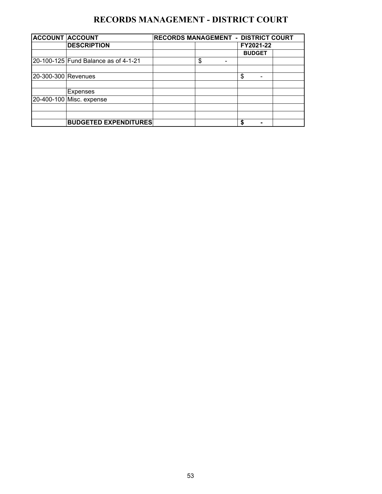# **RECORDS MANAGEMENT - DISTRICT COURT**

| <b>ACCOUNT ACCOUNT</b> |                                      | RECORDS MANAGEMENT - DISTRICT COURT |                                |               |  |  |  |  |  |  |
|------------------------|--------------------------------------|-------------------------------------|--------------------------------|---------------|--|--|--|--|--|--|
|                        | <b>DESCRIPTION</b>                   |                                     |                                | FY2021-22     |  |  |  |  |  |  |
|                        |                                      |                                     |                                | <b>BUDGET</b> |  |  |  |  |  |  |
|                        | 20-100-125 Fund Balance as of 4-1-21 |                                     | \$<br>$\overline{\phantom{0}}$ |               |  |  |  |  |  |  |
|                        |                                      |                                     |                                |               |  |  |  |  |  |  |
| 20-300-300 Revenues    |                                      |                                     |                                | \$            |  |  |  |  |  |  |
|                        |                                      |                                     |                                |               |  |  |  |  |  |  |
|                        | Expenses                             |                                     |                                |               |  |  |  |  |  |  |
|                        | 20-400-100 Misc. expense             |                                     |                                |               |  |  |  |  |  |  |
|                        |                                      |                                     |                                |               |  |  |  |  |  |  |
|                        |                                      |                                     |                                |               |  |  |  |  |  |  |
|                        | <b>BUDGETED EXPENDITURES</b>         |                                     |                                | S             |  |  |  |  |  |  |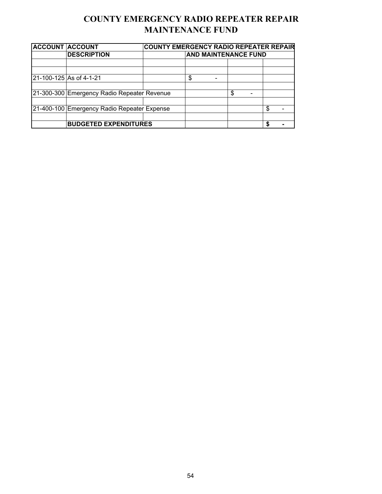## **COUNTY EMERGENCY RADIO REPEATER REPAIR MAINTENANCE FUND**

| <b>ACCOUNT ACCOUNT</b> |                                             | <b>COUNTY EMERGENCY RADIO REPEATER REPAIR</b> |                             |  |   |  |   |  |  |
|------------------------|---------------------------------------------|-----------------------------------------------|-----------------------------|--|---|--|---|--|--|
|                        | <b>DESCRIPTION</b>                          |                                               | <b>AND MAINTENANCE FUND</b> |  |   |  |   |  |  |
|                        |                                             |                                               |                             |  |   |  |   |  |  |
|                        |                                             |                                               |                             |  |   |  |   |  |  |
|                        | 21-100-125 As of 4-1-21                     |                                               | \$                          |  |   |  |   |  |  |
|                        |                                             |                                               |                             |  |   |  |   |  |  |
|                        | 21-300-300 Emergency Radio Repeater Revenue |                                               |                             |  | S |  |   |  |  |
|                        |                                             |                                               |                             |  |   |  |   |  |  |
|                        | 21-400-100 Emergency Radio Repeater Expense |                                               |                             |  |   |  | S |  |  |
|                        |                                             |                                               |                             |  |   |  |   |  |  |
|                        | <b>BUDGETED EXPENDITURES</b>                |                                               |                             |  |   |  |   |  |  |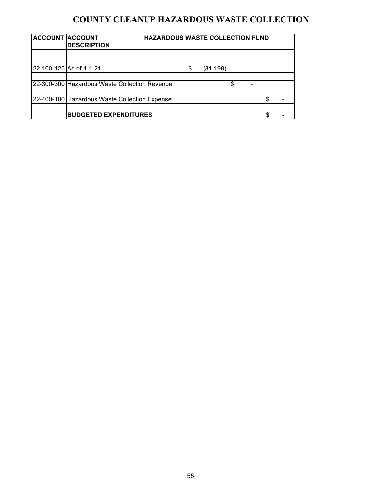## **COUNTY CLEANUP HAZARDOUS WASTE COLLECTION**

| <b>ACCOUNT ACCOUNT</b> |                                               | <b>HAZARDOUS WASTE COLLECTION FUND</b> |                 |    |   |  |
|------------------------|-----------------------------------------------|----------------------------------------|-----------------|----|---|--|
|                        | <b>DESCRIPTION</b>                            |                                        |                 |    |   |  |
|                        |                                               |                                        |                 |    |   |  |
|                        |                                               |                                        |                 |    |   |  |
|                        | 22-100-125 As of 4-1-21                       |                                        | \$<br>(31, 198) |    |   |  |
|                        |                                               |                                        |                 |    |   |  |
|                        | 22-300-300 Hazardous Waste Collection Revenue |                                        |                 | \$ |   |  |
|                        |                                               |                                        |                 |    |   |  |
|                        | 22-400-100 Hazardous Waste Collection Expense |                                        |                 |    | c |  |
|                        |                                               |                                        |                 |    |   |  |
|                        | <b>BUDGETED EXPENDITURES</b>                  |                                        |                 |    |   |  |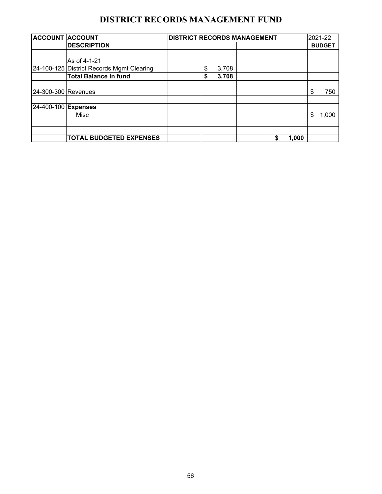## **DISTRICT RECORDS MANAGEMENT FUND**

| <b>ACCOUNT ACCOUNT</b> |                                           |    |       | <b>DISTRICT RECORDS MANAGEMENT</b> |   |       | 2021-22       |
|------------------------|-------------------------------------------|----|-------|------------------------------------|---|-------|---------------|
|                        | <b>DESCRIPTION</b>                        |    |       |                                    |   |       | <b>BUDGET</b> |
|                        |                                           |    |       |                                    |   |       |               |
|                        | As of 4-1-21                              |    |       |                                    |   |       |               |
|                        | 24-100-125 District Records Mgmt Clearing | \$ | 3,708 |                                    |   |       |               |
|                        | <b>Total Balance in fund</b>              | \$ | 3,708 |                                    |   |       |               |
|                        |                                           |    |       |                                    |   |       |               |
| 24-300-300 Revenues    |                                           |    |       |                                    |   |       | \$<br>750     |
| 24-400-100 Expenses    |                                           |    |       |                                    |   |       |               |
|                        | Misc                                      |    |       |                                    |   |       | \$<br>1,000   |
|                        |                                           |    |       |                                    |   |       |               |
|                        |                                           |    |       |                                    |   |       |               |
|                        | <b>TOTAL BUDGETED EXPENSES</b>            |    |       |                                    | S | 1,000 |               |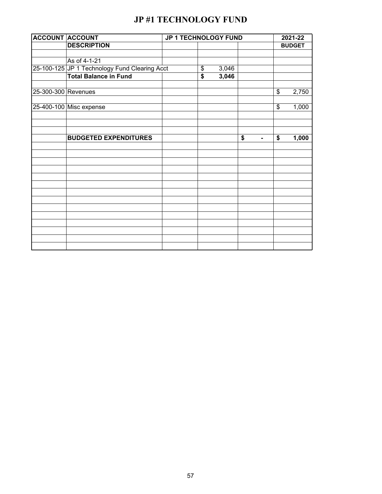# **JP #1 TECHNOLOGY FUND**

| <b>ACCOUNT ACCOUNT</b> |                                               | JP 1 TECHNOLOGY FUND |    |       |    |    |    | 2021-22       |  |  |
|------------------------|-----------------------------------------------|----------------------|----|-------|----|----|----|---------------|--|--|
|                        | <b>DESCRIPTION</b>                            |                      |    |       |    |    |    | <b>BUDGET</b> |  |  |
|                        |                                               |                      |    |       |    |    |    |               |  |  |
|                        | As of 4-1-21                                  |                      |    |       |    |    |    |               |  |  |
|                        | 25-100-125 JP 1 Technology Fund Clearing Acct |                      | \$ | 3,046 |    |    |    |               |  |  |
|                        | <b>Total Balance in Fund</b>                  |                      | \$ | 3,046 |    |    |    |               |  |  |
|                        |                                               |                      |    |       |    |    |    |               |  |  |
| 25-300-300 Revenues    |                                               |                      |    |       |    |    | \$ | 2,750         |  |  |
|                        | 25-400-100 Misc expense                       |                      |    |       |    |    | \$ | 1,000         |  |  |
|                        |                                               |                      |    |       |    |    |    |               |  |  |
|                        |                                               |                      |    |       |    |    |    |               |  |  |
|                        | <b>BUDGETED EXPENDITURES</b>                  |                      |    |       | \$ |    | \$ | 1,000         |  |  |
|                        |                                               |                      |    |       |    | Ξ. |    |               |  |  |
|                        |                                               |                      |    |       |    |    |    |               |  |  |
|                        |                                               |                      |    |       |    |    |    |               |  |  |
|                        |                                               |                      |    |       |    |    |    |               |  |  |
|                        |                                               |                      |    |       |    |    |    |               |  |  |
|                        |                                               |                      |    |       |    |    |    |               |  |  |
|                        |                                               |                      |    |       |    |    |    |               |  |  |
|                        |                                               |                      |    |       |    |    |    |               |  |  |
|                        |                                               |                      |    |       |    |    |    |               |  |  |
|                        |                                               |                      |    |       |    |    |    |               |  |  |
|                        |                                               |                      |    |       |    |    |    |               |  |  |
|                        |                                               |                      |    |       |    |    |    |               |  |  |
|                        |                                               |                      |    |       |    |    |    |               |  |  |
|                        |                                               |                      |    |       |    |    |    |               |  |  |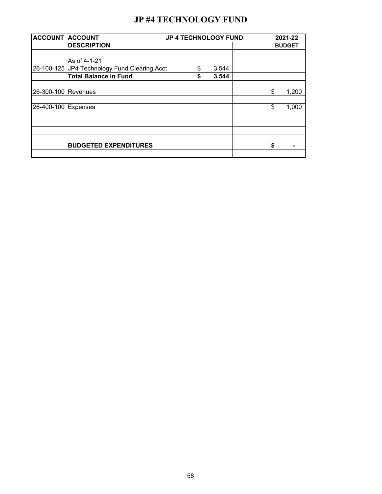### **JP #4 TECHNOLOGY FUND**

| <b>ACCOUNT ACCOUNT</b> |                                              | <b>JP 4 TECHNOLOGY FUND</b> |             |    | 2021-22       |
|------------------------|----------------------------------------------|-----------------------------|-------------|----|---------------|
|                        | <b>DESCRIPTION</b>                           |                             |             |    | <b>BUDGET</b> |
|                        |                                              |                             |             |    |               |
|                        | As of 4-1-21                                 |                             |             |    |               |
|                        | 26-100-125 JP4 Technology Fund Clearing Acct |                             | \$<br>3,544 |    |               |
|                        | <b>Total Balance in Fund</b>                 |                             | \$<br>3,544 |    |               |
| 26-300-100 Revenues    |                                              |                             |             | \$ | 1,200         |
| 26-400-100 Expenses    |                                              |                             |             | \$ | 1,000         |
|                        |                                              |                             |             |    |               |
|                        |                                              |                             |             |    |               |
|                        | <b>BUDGETED EXPENDITURES</b>                 |                             |             | \$ |               |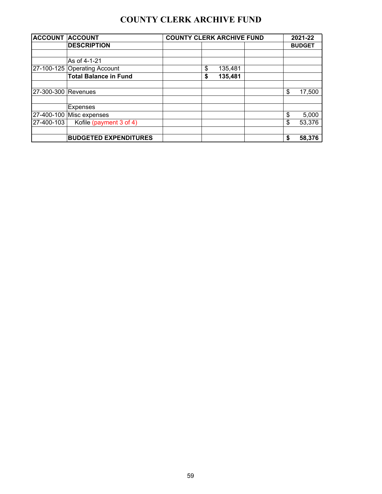### **COUNTY CLERK ARCHIVE FUND**

| <b>ACCOUNT ACCOUNT</b> |                              | <b>COUNTY CLERK ARCHIVE FUND</b> |         |  |    |               |  |  |  |
|------------------------|------------------------------|----------------------------------|---------|--|----|---------------|--|--|--|
|                        | <b>DESCRIPTION</b>           |                                  |         |  |    | <b>BUDGET</b> |  |  |  |
|                        |                              |                                  |         |  |    |               |  |  |  |
|                        | As of 4-1-21                 |                                  |         |  |    |               |  |  |  |
|                        | 27-100-125 Operating Account | \$                               | 135,481 |  |    |               |  |  |  |
|                        | <b>Total Balance in Fund</b> | \$                               | 135,481 |  |    |               |  |  |  |
| 27-300-300 Revenues    |                              |                                  |         |  | \$ | 17,500        |  |  |  |
|                        | Expenses                     |                                  |         |  |    |               |  |  |  |
|                        | 27-400-100 Misc expenses     |                                  |         |  | \$ | 5,000         |  |  |  |
| 27-400-103             | Kofile (payment 3 of 4)      |                                  |         |  | \$ | 53,376        |  |  |  |
|                        | <b>BUDGETED EXPENDITURES</b> |                                  |         |  | \$ | 58,376        |  |  |  |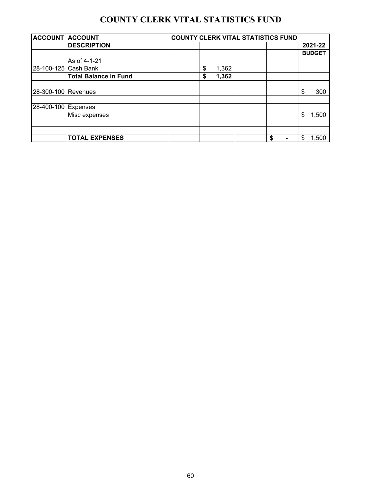# **COUNTY CLERK VITAL STATISTICS FUND**

| <b>ACCOUNT ACCOUNT</b> |                              | <b>COUNTY CLERK VITAL STATISTICS FUND</b> |  |    |                |    |               |  |  |  |  |  |
|------------------------|------------------------------|-------------------------------------------|--|----|----------------|----|---------------|--|--|--|--|--|
|                        | <b>DESCRIPTION</b>           |                                           |  |    |                |    | 2021-22       |  |  |  |  |  |
|                        |                              |                                           |  |    |                |    | <b>BUDGET</b> |  |  |  |  |  |
|                        | As of 4-1-21                 |                                           |  |    |                |    |               |  |  |  |  |  |
| 28-100-125 Cash Bank   |                              | \$<br>1,362                               |  |    |                |    |               |  |  |  |  |  |
|                        | <b>Total Balance in Fund</b> | \$<br>1,362                               |  |    |                |    |               |  |  |  |  |  |
| 28-300-100 Revenues    |                              |                                           |  |    |                | \$ | 300           |  |  |  |  |  |
| 28-400-100 Expenses    |                              |                                           |  |    |                |    |               |  |  |  |  |  |
|                        | Misc expenses                |                                           |  |    |                | \$ | 1,500         |  |  |  |  |  |
|                        |                              |                                           |  |    |                |    |               |  |  |  |  |  |
|                        |                              |                                           |  |    |                |    |               |  |  |  |  |  |
|                        | <b>TOTAL EXPENSES</b>        |                                           |  | \$ | $\blacksquare$ | \$ | 1,500         |  |  |  |  |  |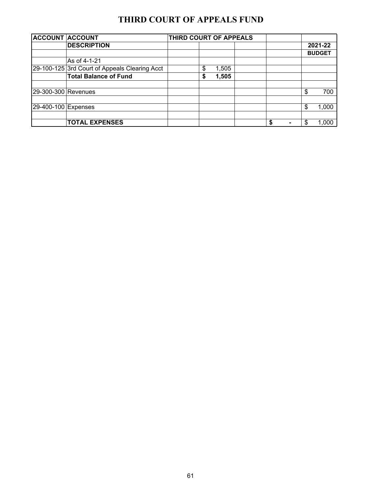### **THIRD COURT OF APPEALS FUND**

| <b>ACCOUNT ACCOUNT</b> |                                               | THIRD COURT OF APPEALS |  |    |  |   |               |  |
|------------------------|-----------------------------------------------|------------------------|--|----|--|---|---------------|--|
|                        | <b>DESCRIPTION</b>                            |                        |  |    |  |   | 2021-22       |  |
|                        |                                               |                        |  |    |  |   | <b>BUDGET</b> |  |
|                        | As of 4-1-21                                  |                        |  |    |  |   |               |  |
|                        | 29-100-125 3rd Court of Appeals Clearing Acct | \$<br>1,505            |  |    |  |   |               |  |
|                        | <b>Total Balance of Fund</b>                  | \$<br>1,505            |  |    |  |   |               |  |
| 29-300-300 Revenues    |                                               |                        |  |    |  | S | 700           |  |
| 29-400-100 Expenses    |                                               |                        |  |    |  | S | 1,000         |  |
|                        | <b>TOTAL EXPENSES</b>                         |                        |  | \$ |  |   | 1,000         |  |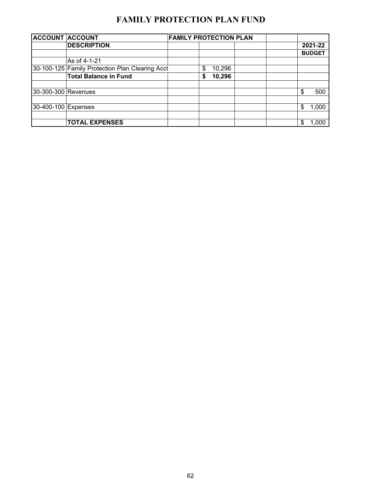# **FAMILY PROTECTION PLAN FUND**

| <b>ACCOUNT ACCOUNT</b> |                                                 | <b>FAMILY PROTECTION PLAN</b> |    |        |  |               |
|------------------------|-------------------------------------------------|-------------------------------|----|--------|--|---------------|
|                        | <b>DESCRIPTION</b>                              |                               |    |        |  | 2021-22       |
|                        |                                                 |                               |    |        |  | <b>BUDGET</b> |
|                        | As of 4-1-21                                    |                               |    |        |  |               |
|                        | 30-100-125 Family Protection Plan Clearing Acct |                               | \$ | 10,296 |  |               |
|                        | <b>Total Balance in Fund</b>                    |                               | S  | 10,296 |  |               |
|                        |                                                 |                               |    |        |  |               |
| 30-300-300 Revenues    |                                                 |                               |    |        |  | \$<br>500     |
|                        |                                                 |                               |    |        |  |               |
| 30-400-100 Expenses    |                                                 |                               |    |        |  | \$<br>1,000   |
|                        |                                                 |                               |    |        |  |               |
|                        | <b>TOTAL EXPENSES</b>                           |                               |    |        |  | \$<br>1,000   |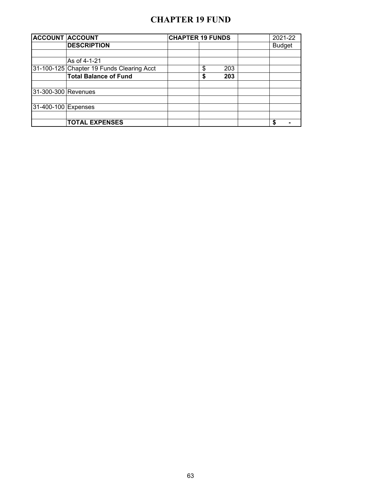#### **CHAPTER 19 FUND**

|                     | <b>ACCOUNT ACCOUNT</b>                    | <b>CHAPTER 19 FUNDS</b> |           | 2021-22             |
|---------------------|-------------------------------------------|-------------------------|-----------|---------------------|
|                     | <b>DESCRIPTION</b>                        |                         |           | <b>Budget</b>       |
|                     | As of 4-1-21                              |                         |           |                     |
|                     |                                           |                         |           |                     |
|                     | 31-100-125 Chapter 19 Funds Clearing Acct |                         | \$<br>203 |                     |
|                     | <b>Total Balance of Fund</b>              |                         | \$<br>203 |                     |
| 31-300-300 Revenues |                                           |                         |           |                     |
| 31-400-100 Expenses |                                           |                         |           |                     |
|                     | <b>TOTAL EXPENSES</b>                     |                         |           | S<br>$\blacksquare$ |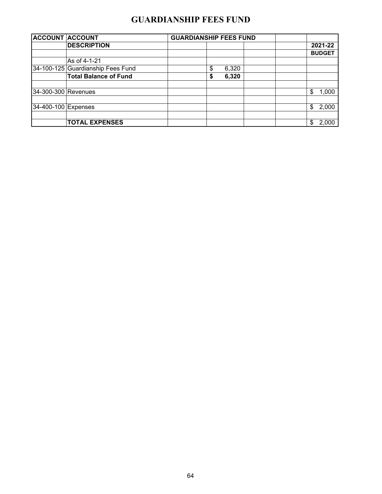#### **GUARDIANSHIP FEES FUND**

| <b>ACCOUNT ACCOUNT</b> |                                   | <b>GUARDIANSHIP FEES FUND</b> |               |
|------------------------|-----------------------------------|-------------------------------|---------------|
|                        | <b>DESCRIPTION</b>                |                               | 2021-22       |
|                        |                                   |                               | <b>BUDGET</b> |
|                        | As of 4-1-21                      |                               |               |
|                        | 34-100-125 Guardianship Fees Fund | 6,320<br>S                    |               |
|                        | <b>Total Balance of Fund</b>      | 6,320<br>\$                   |               |
| 34-300-300 Revenues    |                                   |                               | 1,000<br>\$   |
| 34-400-100 Expenses    |                                   |                               | 2,000<br>\$   |
|                        | <b>TOTAL EXPENSES</b>             |                               | 2,000<br>\$   |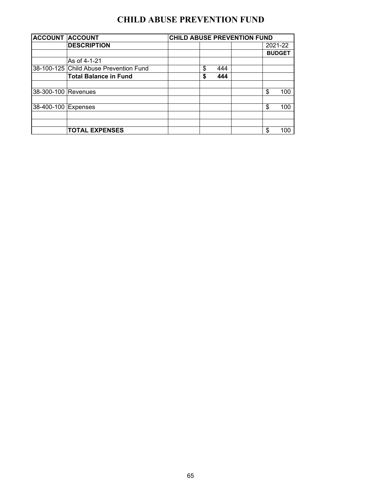# **CHILD ABUSE PREVENTION FUND**

| <b>ACCOUNT ACCOUNT</b> |                                        | <b>CHILD ABUSE PREVENTION FUND</b> |    |     |  |    |               |  |  |  |
|------------------------|----------------------------------------|------------------------------------|----|-----|--|----|---------------|--|--|--|
|                        | <b>DESCRIPTION</b>                     |                                    |    |     |  |    | 2021-22       |  |  |  |
|                        |                                        |                                    |    |     |  |    | <b>BUDGET</b> |  |  |  |
|                        | As of 4-1-21                           |                                    |    |     |  |    |               |  |  |  |
|                        | 38-100-125 Child Abuse Prevention Fund |                                    | \$ | 444 |  |    |               |  |  |  |
|                        | <b>Total Balance in Fund</b>           |                                    | \$ | 444 |  |    |               |  |  |  |
| 38-300-100 Revenues    |                                        |                                    |    |     |  | \$ | 100           |  |  |  |
| 38-400-100 Expenses    |                                        |                                    |    |     |  | \$ | 100           |  |  |  |
|                        |                                        |                                    |    |     |  |    |               |  |  |  |
|                        | <b>TOTAL EXPENSES</b>                  |                                    |    |     |  | \$ | 100           |  |  |  |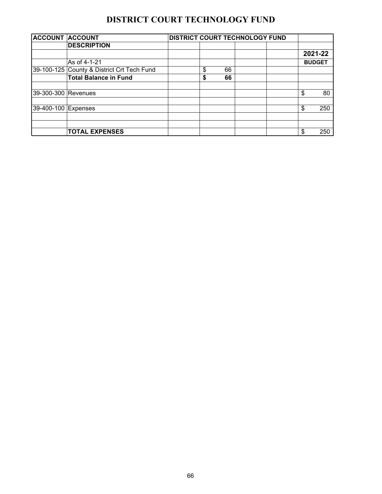## **DISTRICT COURT TECHNOLOGY FUND**

| <b>ACCOUNT ACCOUNT</b> |                                            |    |    | <b>DISTRICT COURT TECHNOLOGY FUND</b> |    |               |
|------------------------|--------------------------------------------|----|----|---------------------------------------|----|---------------|
|                        | <b>DESCRIPTION</b>                         |    |    |                                       |    |               |
|                        |                                            |    |    |                                       |    | 2021-22       |
|                        | As of 4-1-21                               |    |    |                                       |    | <b>BUDGET</b> |
|                        | 39-100-125 County & District Crt Tech Fund | \$ | 66 |                                       |    |               |
|                        | <b>Total Balance in Fund</b>               | \$ | 66 |                                       |    |               |
| 39-300-300 Revenues    |                                            |    |    |                                       | \$ | 80            |
| 39-400-100 Expenses    |                                            |    |    |                                       | \$ | 250           |
|                        |                                            |    |    |                                       |    |               |
|                        | <b>TOTAL EXPENSES</b>                      |    |    |                                       |    | 250           |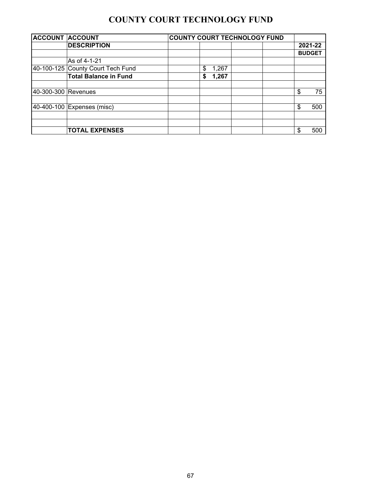# **COUNTY COURT TECHNOLOGY FUND**

| <b>ACCOUNT ACCOUNT</b> |                                   | <b>COUNTY COURT TECHNOLOGY FUND</b> |               |
|------------------------|-----------------------------------|-------------------------------------|---------------|
|                        | <b>DESCRIPTION</b>                |                                     | 2021-22       |
|                        |                                   |                                     | <b>BUDGET</b> |
|                        | As of 4-1-21                      |                                     |               |
|                        | 40-100-125 County Court Tech Fund | \$<br>1,267                         |               |
|                        | <b>Total Balance in Fund</b>      | 1,267<br>\$                         |               |
| 40-300-300 Revenues    |                                   |                                     | \$<br>75      |
|                        |                                   |                                     |               |
|                        | 40-400-100 Expenses (misc)        |                                     | \$<br>500     |
|                        |                                   |                                     |               |
|                        |                                   |                                     |               |
|                        | <b>TOTAL EXPENSES</b>             |                                     | \$<br>500     |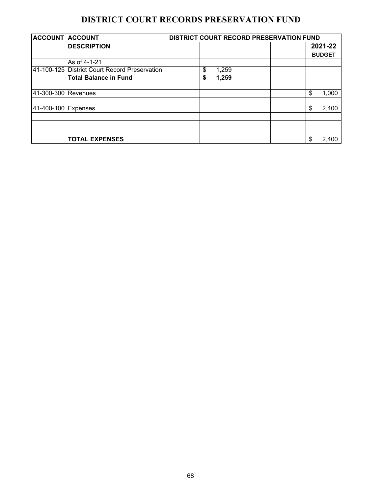### **DISTRICT COURT RECORDS PRESERVATION FUND**

| <b>ACCOUNT ACCOUNT</b> |                                               |    |       | DISTRICT COURT RECORD PRESERVATION FUND |               |
|------------------------|-----------------------------------------------|----|-------|-----------------------------------------|---------------|
|                        | <b>DESCRIPTION</b>                            |    |       |                                         | 2021-22       |
|                        |                                               |    |       |                                         | <b>BUDGET</b> |
|                        | As of 4-1-21                                  |    |       |                                         |               |
|                        | 41-100-125 District Court Record Preservation | \$ | 1,259 |                                         |               |
|                        | <b>Total Balance in Fund</b>                  | S  | 1,259 |                                         |               |
|                        |                                               |    |       |                                         |               |
| 41-300-300 Revenues    |                                               |    |       |                                         | \$<br>1,000   |
|                        |                                               |    |       |                                         |               |
| 41-400-100 Expenses    |                                               |    |       |                                         | \$<br>2,400   |
|                        |                                               |    |       |                                         |               |
|                        |                                               |    |       |                                         |               |
|                        |                                               |    |       |                                         |               |
|                        | <b>TOTAL EXPENSES</b>                         |    |       |                                         | \$<br>2,400   |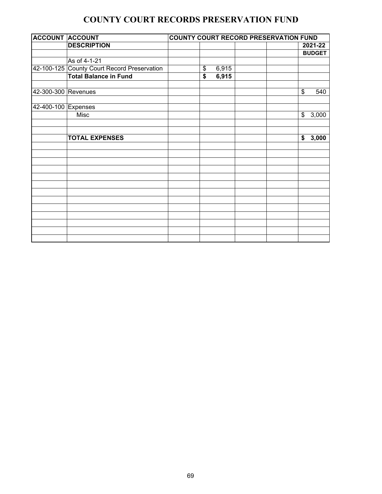### **COUNTY COURT RECORDS PRESERVATION FUND**

| <b>ACCOUNT ACCOUNT</b> |                                             |    |       | <b>COUNTY COURT RECORD PRESERVATION FUND</b> |               |               |
|------------------------|---------------------------------------------|----|-------|----------------------------------------------|---------------|---------------|
|                        | <b>DESCRIPTION</b>                          |    |       |                                              |               | 2021-22       |
|                        |                                             |    |       |                                              |               | <b>BUDGET</b> |
|                        | As of 4-1-21                                |    |       |                                              |               |               |
|                        | 42-100-125 County Court Record Preservation | \$ | 6,915 |                                              |               |               |
|                        | <b>Total Balance in Fund</b>                | \$ | 6,915 |                                              |               |               |
|                        |                                             |    |       |                                              |               |               |
| 42-300-300 Revenues    |                                             |    |       |                                              | \$            | 540           |
|                        |                                             |    |       |                                              |               |               |
| 42-400-100 Expenses    |                                             |    |       |                                              |               |               |
|                        | <b>Misc</b>                                 |    |       |                                              | $\frac{1}{2}$ | 3,000         |
|                        |                                             |    |       |                                              |               |               |
|                        |                                             |    |       |                                              |               |               |
|                        | <b>TOTAL EXPENSES</b>                       |    |       |                                              | \$            | 3,000         |
|                        |                                             |    |       |                                              |               |               |
|                        |                                             |    |       |                                              |               |               |
|                        |                                             |    |       |                                              |               |               |
|                        |                                             |    |       |                                              |               |               |
|                        |                                             |    |       |                                              |               |               |
|                        |                                             |    |       |                                              |               |               |
|                        |                                             |    |       |                                              |               |               |
|                        |                                             |    |       |                                              |               |               |
|                        |                                             |    |       |                                              |               |               |
|                        |                                             |    |       |                                              |               |               |
|                        |                                             |    |       |                                              |               |               |
|                        |                                             |    |       |                                              |               |               |
|                        |                                             |    |       |                                              |               |               |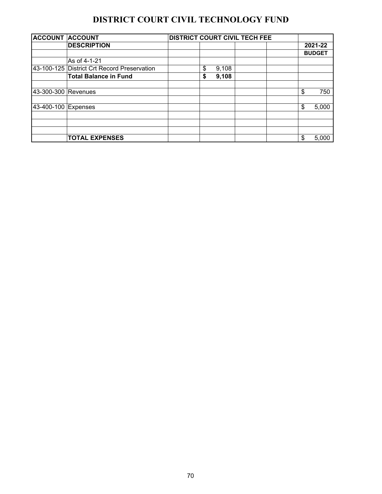# **DISTRICT COURT CIVIL TECHNOLOGY FUND**

| <b>ACCOUNT ACCOUNT</b> |                                             |    |       | <b>DISTRICT COURT CIVIL TECH FEE</b> |               |
|------------------------|---------------------------------------------|----|-------|--------------------------------------|---------------|
|                        | <b>DESCRIPTION</b>                          |    |       |                                      | 2021-22       |
|                        |                                             |    |       |                                      | <b>BUDGET</b> |
|                        | As of 4-1-21                                |    |       |                                      |               |
|                        | 43-100-125 District Crt Record Preservation | \$ | 9,108 |                                      |               |
|                        | <b>Total Balance in Fund</b>                | \$ | 9,108 |                                      |               |
|                        |                                             |    |       |                                      |               |
| 43-300-300 Revenues    |                                             |    |       |                                      | \$<br>750     |
| 43-400-100 Expenses    |                                             |    |       |                                      | \$<br>5,000   |
|                        |                                             |    |       |                                      |               |
|                        |                                             |    |       |                                      |               |
|                        |                                             |    |       |                                      |               |
|                        | <b>TOTAL EXPENSES</b>                       |    |       |                                      | 5,000         |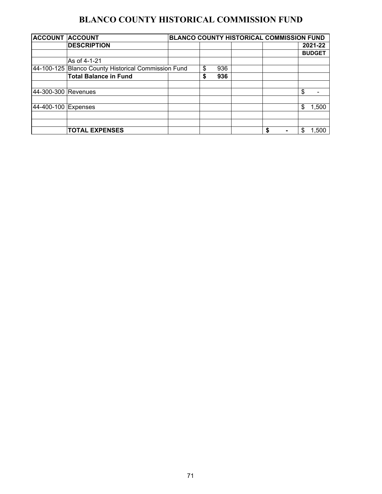# **BLANCO COUNTY HISTORICAL COMMISSION FUND**

| <b>ACCOUNT</b>      | <b>ACCOUNT</b>                                      | BLANCO COUNTY HISTORICAL COMMISSION FUND |    |     |   |    |               |
|---------------------|-----------------------------------------------------|------------------------------------------|----|-----|---|----|---------------|
|                     | <b>DESCRIPTION</b>                                  |                                          |    |     |   |    | 2021-22       |
|                     |                                                     |                                          |    |     |   |    | <b>BUDGET</b> |
|                     | As of 4-1-21                                        |                                          |    |     |   |    |               |
|                     | 44-100-125 Blanco County Historical Commission Fund |                                          | \$ | 936 |   |    |               |
|                     | <b>Total Balance in Fund</b>                        |                                          | S  | 936 |   |    |               |
|                     |                                                     |                                          |    |     |   |    |               |
| 44-300-300 Revenues |                                                     |                                          |    |     |   | \$ |               |
|                     |                                                     |                                          |    |     |   |    |               |
| 44-400-100 Expenses |                                                     |                                          |    |     |   | \$ | 1,500         |
|                     |                                                     |                                          |    |     |   |    |               |
|                     |                                                     |                                          |    |     |   |    |               |
|                     | <b>TOTAL EXPENSES</b>                               |                                          |    |     | S | \$ | 1,500         |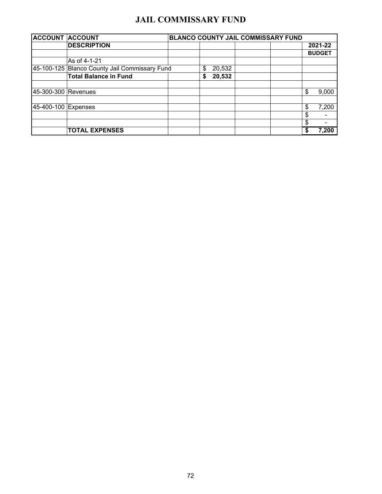#### **JAIL COMMISSARY FUND**

| <b>ACCOUNT ACCOUNT</b> |                                               |              | BLANCO COUNTY JAIL COMMISSARY FUND |    |               |
|------------------------|-----------------------------------------------|--------------|------------------------------------|----|---------------|
|                        | <b>DESCRIPTION</b>                            |              |                                    |    | 2021-22       |
|                        |                                               |              |                                    |    | <b>BUDGET</b> |
|                        | As of 4-1-21                                  |              |                                    |    |               |
|                        | 45-100-125 Blanco County Jail Commissary Fund | 20,532<br>\$ |                                    |    |               |
|                        | <b>Total Balance in Fund</b>                  | 20,532<br>\$ |                                    |    |               |
| 45-300-300 Revenues    |                                               |              |                                    | \$ | 9,000         |
| 45-400-100 Expenses    |                                               |              |                                    | \$ | 7,200         |
|                        |                                               |              |                                    | S  |               |
|                        |                                               |              |                                    | S  |               |
|                        | <b>TOTAL EXPENSES</b>                         |              |                                    |    | 7,200         |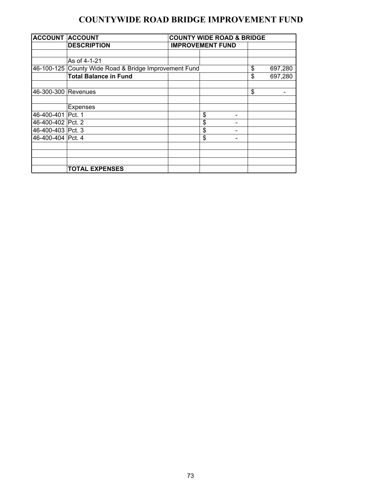### **COUNTYWIDE ROAD BRIDGE IMPROVEMENT FUND**

| <b>ACCOUNT ACCOUNT</b> |                                                       |  | <b>COUNTY WIDE ROAD &amp; BRIDGE</b> |               |
|------------------------|-------------------------------------------------------|--|--------------------------------------|---------------|
|                        | <b>DESCRIPTION</b>                                    |  | <b>IMPROVEMENT FUND</b>              |               |
|                        |                                                       |  |                                      |               |
|                        | As of 4-1-21                                          |  |                                      |               |
|                        | 46-100-125 County Wide Road & Bridge Improvement Fund |  |                                      | \$<br>697,280 |
|                        | <b>Total Balance in Fund</b>                          |  |                                      | \$<br>697,280 |
| 46-300-300 Revenues    |                                                       |  |                                      | \$            |
|                        | <b>Expenses</b>                                       |  |                                      |               |
| 46-400-401 Pct. 1      |                                                       |  | \$                                   |               |
| 46-400-402 Pct. 2      |                                                       |  | \$                                   |               |
| 46-400-403 Pct. 3      |                                                       |  | \$                                   |               |
| 46-400-404 Pct. 4      |                                                       |  | \$                                   |               |
|                        |                                                       |  |                                      |               |
|                        |                                                       |  |                                      |               |
|                        | <b>TOTAL EXPENSES</b>                                 |  |                                      |               |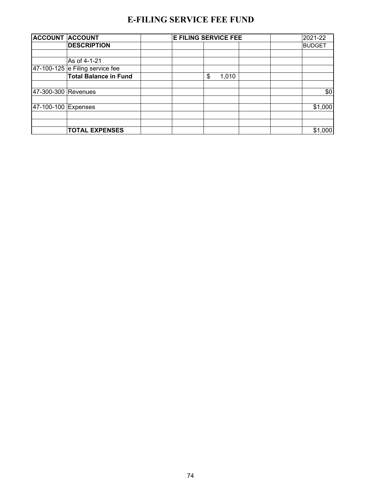## **E-FILING SERVICE FEE FUND**

|                     | <b>ACCOUNT ACCOUNT</b>            | <b>E FILING SERVICE FEE</b> | 2021-22       |
|---------------------|-----------------------------------|-----------------------------|---------------|
|                     | <b>DESCRIPTION</b>                |                             | <b>BUDGET</b> |
|                     |                                   |                             |               |
|                     | As of 4-1-21                      |                             |               |
|                     | $47-100-125$ e Filing service fee |                             |               |
|                     | <b>Total Balance in Fund</b>      | 1,010<br>\$                 |               |
| 47-300-300 Revenues |                                   |                             | \$0           |
|                     |                                   |                             |               |
| 47-100-100 Expenses |                                   |                             | \$1,000       |
|                     |                                   |                             |               |
|                     | <b>TOTAL EXPENSES</b>             |                             | \$1,000       |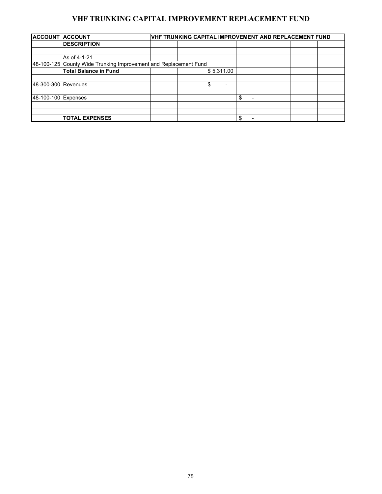#### **VHF TRUNKING CAPITAL IMPROVEMENT REPLACEMENT FUND**

| <b>ACCOUNT ACCOUNT</b> |                                                                  |  |  | VHF TRUNKING CAPITAL IMPROVEMENT AND REPLACEMENT FUND |    |  |  |  |
|------------------------|------------------------------------------------------------------|--|--|-------------------------------------------------------|----|--|--|--|
|                        | <b>DESCRIPTION</b>                                               |  |  |                                                       |    |  |  |  |
|                        |                                                                  |  |  |                                                       |    |  |  |  |
|                        | As of 4-1-21                                                     |  |  |                                                       |    |  |  |  |
|                        | 48-100-125 County Wide Trunking Improvement and Replacement Fund |  |  |                                                       |    |  |  |  |
|                        | <b>Total Balance in Fund</b>                                     |  |  | \$5,311.00                                            |    |  |  |  |
|                        |                                                                  |  |  |                                                       |    |  |  |  |
| 48-300-300 Revenues    |                                                                  |  |  | \$<br>$\overline{\phantom{a}}$                        |    |  |  |  |
|                        |                                                                  |  |  |                                                       |    |  |  |  |
| 48-100-100 Expenses    |                                                                  |  |  |                                                       | \$ |  |  |  |
|                        |                                                                  |  |  |                                                       |    |  |  |  |
|                        |                                                                  |  |  |                                                       |    |  |  |  |
|                        | <b>TOTAL EXPENSES</b>                                            |  |  |                                                       | \$ |  |  |  |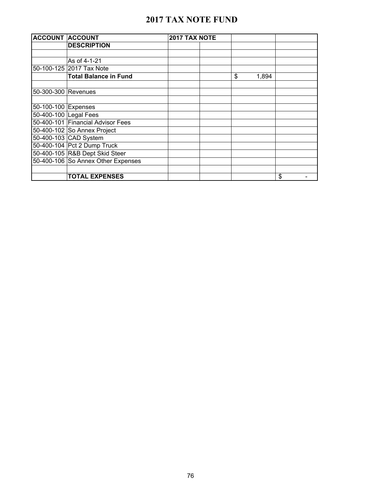#### **2017 TAX NOTE FUND**

| <b>ACCOUNT ACCOUNT</b> |                                    | 2017 TAX NOTE |    |       |    |
|------------------------|------------------------------------|---------------|----|-------|----|
|                        | <b>DESCRIPTION</b>                 |               |    |       |    |
|                        |                                    |               |    |       |    |
|                        | As of 4-1-21                       |               |    |       |    |
|                        | 50-100-125 2017 Tax Note           |               |    |       |    |
|                        | <b>Total Balance in Fund</b>       |               | \$ | 1,894 |    |
|                        |                                    |               |    |       |    |
| 50-300-300 Revenues    |                                    |               |    |       |    |
|                        |                                    |               |    |       |    |
| 50-100-100 Expenses    |                                    |               |    |       |    |
| 50-400-100 Legal Fees  |                                    |               |    |       |    |
|                        | 50-400-101 Financial Advisor Fees  |               |    |       |    |
|                        | 50-400-102 So Annex Project        |               |    |       |    |
|                        | 50-400-103 CAD System              |               |    |       |    |
|                        | 50-400-104 Pct 2 Dump Truck        |               |    |       |    |
|                        | 50-400-105 R&B Dept Skid Steer     |               |    |       |    |
|                        | 50-400-106 So Annex Other Expenses |               |    |       |    |
|                        |                                    |               |    |       |    |
|                        | <b>TOTAL EXPENSES</b>              |               |    |       | \$ |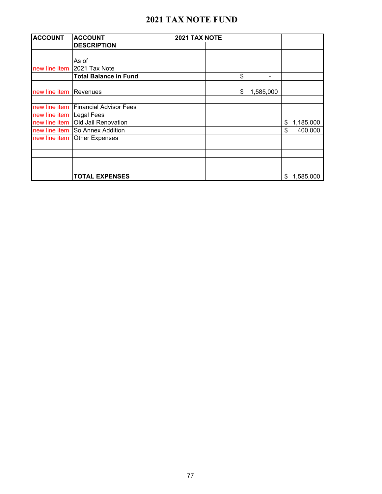#### **2021 TAX NOTE FUND**

| <b>ACCOUNT</b>           | <b>ACCOUNT</b>                       | 2021 TAX NOTE |                 |                 |
|--------------------------|--------------------------------------|---------------|-----------------|-----------------|
|                          | <b>DESCRIPTION</b>                   |               |                 |                 |
|                          |                                      |               |                 |                 |
|                          | As of                                |               |                 |                 |
| new line item            | 2021 Tax Note                        |               |                 |                 |
|                          | <b>Total Balance in Fund</b>         |               | \$<br>٠         |                 |
| new line item            | Revenues                             |               | 1,585,000<br>\$ |                 |
|                          | new line item Financial Advisor Fees |               |                 |                 |
| new line item Legal Fees |                                      |               |                 |                 |
|                          | new line item   Old Jail Renovation  |               |                 | 1,185,000<br>\$ |
|                          | new line item So Annex Addition      |               |                 | \$<br>400,000   |
|                          | new line item Other Expenses         |               |                 |                 |
|                          |                                      |               |                 |                 |
|                          |                                      |               |                 |                 |
|                          | <b>TOTAL EXPENSES</b>                |               |                 | \$<br>1,585,000 |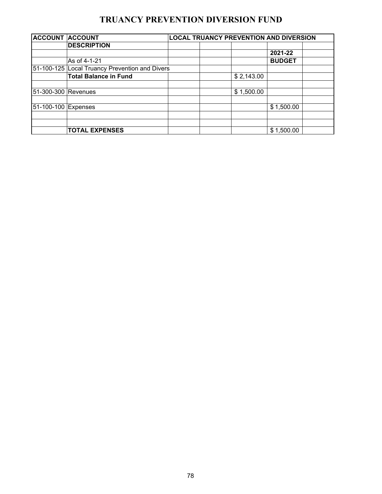### **TRUANCY PREVENTION DIVERSION FUND**

| <b>ACCOUNT ACCOUNT</b> |                                                | <b>LOCAL TRUANCY PREVENTION AND DIVERSION</b> |            |               |  |
|------------------------|------------------------------------------------|-----------------------------------------------|------------|---------------|--|
|                        | <b>DESCRIPTION</b>                             |                                               |            |               |  |
|                        |                                                |                                               |            | 2021-22       |  |
|                        | As of 4-1-21                                   |                                               |            | <b>BUDGET</b> |  |
|                        | 51-100-125 Local Truancy Prevention and Divers |                                               |            |               |  |
|                        | <b>Total Balance in Fund</b>                   |                                               | \$2,143.00 |               |  |
|                        |                                                |                                               |            |               |  |
| 51-300-300 Revenues    |                                                |                                               | \$1,500.00 |               |  |
|                        |                                                |                                               |            |               |  |
| 51-100-100 Expenses    |                                                |                                               |            | \$1,500.00    |  |
|                        |                                                |                                               |            |               |  |
|                        |                                                |                                               |            |               |  |
|                        | <b>TOTAL EXPENSES</b>                          |                                               |            | \$1,500.00    |  |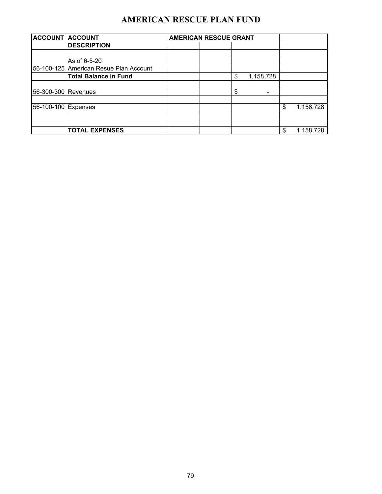# **AMERICAN RESCUE PLAN FUND**

| <b>ACCOUNT ACCOUNT</b> |                                        | <b>AMERICAN RESCUE GRANT</b> |    |           |    |           |
|------------------------|----------------------------------------|------------------------------|----|-----------|----|-----------|
|                        | <b>DESCRIPTION</b>                     |                              |    |           |    |           |
|                        |                                        |                              |    |           |    |           |
|                        | As of 6-5-20                           |                              |    |           |    |           |
|                        | 56-100-125 American Resue Plan Account |                              |    |           |    |           |
|                        | <b>Total Balance in Fund</b>           |                              | \$ | 1,158,728 |    |           |
|                        |                                        |                              |    |           |    |           |
| 56-300-300 Revenues    |                                        |                              | \$ |           |    |           |
|                        |                                        |                              |    |           |    |           |
| 56-100-100 Expenses    |                                        |                              |    |           | \$ | 1,158,728 |
|                        |                                        |                              |    |           |    |           |
|                        |                                        |                              |    |           |    |           |
|                        | <b>TOTAL EXPENSES</b>                  |                              |    |           | \$ | 1,158,728 |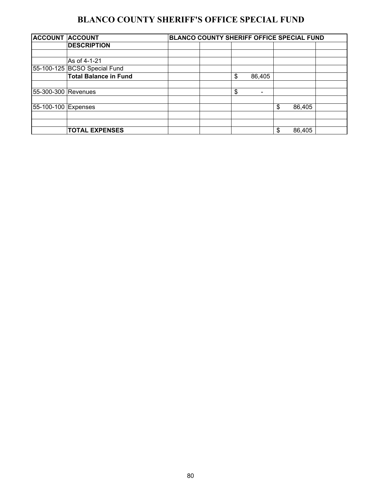### **BLANCO COUNTY SHERIFF'S OFFICE SPECIAL FUND**

| <b>ACCOUNT ACCOUNT</b> |                              | <b>BLANCO COUNTY SHERIFF OFFICE SPECIAL FUND</b> |              |              |  |
|------------------------|------------------------------|--------------------------------------------------|--------------|--------------|--|
|                        | <b>DESCRIPTION</b>           |                                                  |              |              |  |
|                        |                              |                                                  |              |              |  |
|                        | As of 4-1-21                 |                                                  |              |              |  |
|                        | 55-100-125 BCSO Special Fund |                                                  |              |              |  |
|                        | <b>Total Balance in Fund</b> |                                                  | \$<br>86,405 |              |  |
|                        |                              |                                                  |              |              |  |
| 55-300-300 Revenues    |                              |                                                  | \$<br>-      |              |  |
|                        |                              |                                                  |              |              |  |
| 55-100-100 Expenses    |                              |                                                  |              | \$<br>86,405 |  |
|                        |                              |                                                  |              |              |  |
|                        |                              |                                                  |              |              |  |
|                        | <b>TOTAL EXPENSES</b>        |                                                  |              | \$<br>86,405 |  |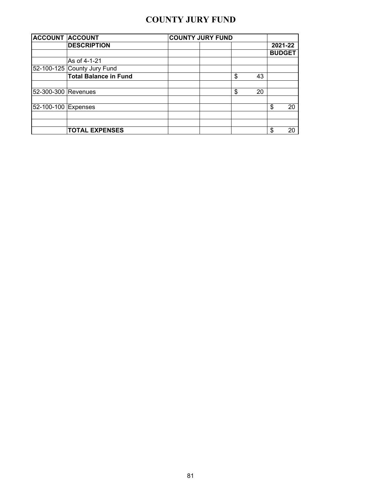### **COUNTY JURY FUND**

| <b>ACCOUNT ACCOUNT</b>                     |                              | <b>COUNTY JURY FUND</b> |          |               |
|--------------------------------------------|------------------------------|-------------------------|----------|---------------|
|                                            | <b>DESCRIPTION</b>           |                         |          | 2021-22       |
|                                            |                              |                         |          | <b>BUDGET</b> |
|                                            | As of 4-1-21                 |                         |          |               |
|                                            | 52-100-125 County Jury Fund  |                         |          |               |
|                                            | <b>Total Balance in Fund</b> |                         | \$<br>43 |               |
|                                            |                              |                         | \$<br>20 |               |
| 52-300-300 Revenues<br>52-100-100 Expenses |                              |                         |          | \$<br>20      |
|                                            |                              |                         |          |               |
|                                            | <b>TOTAL EXPENSES</b>        |                         |          | \$<br>20      |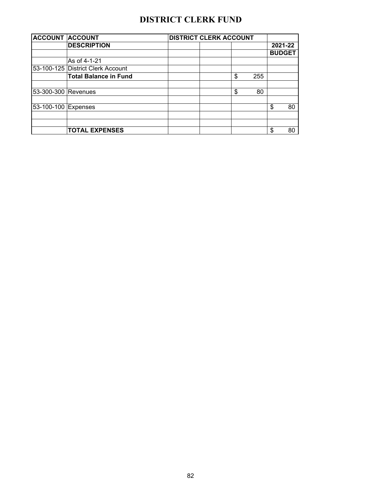# **DISTRICT CLERK FUND**

| <b>ACCOUNT ACCOUNT</b> |                                   | <b>DISTRICT CLERK ACCOUNT</b> |    |     |    |               |
|------------------------|-----------------------------------|-------------------------------|----|-----|----|---------------|
|                        | <b>DESCRIPTION</b>                |                               |    |     |    | 2021-22       |
|                        |                                   |                               |    |     |    | <b>BUDGET</b> |
|                        | As of 4-1-21                      |                               |    |     |    |               |
|                        | 53-100-125 District Clerk Account |                               |    |     |    |               |
|                        | <b>Total Balance in Fund</b>      |                               | \$ | 255 |    |               |
| 53-300-300 Revenues    |                                   |                               | \$ | 80  |    |               |
| 53-100-100 Expenses    |                                   |                               |    |     | \$ | 80            |
|                        |                                   |                               |    |     |    |               |
|                        | <b>TOTAL EXPENSES</b>             |                               |    |     | \$ | 80            |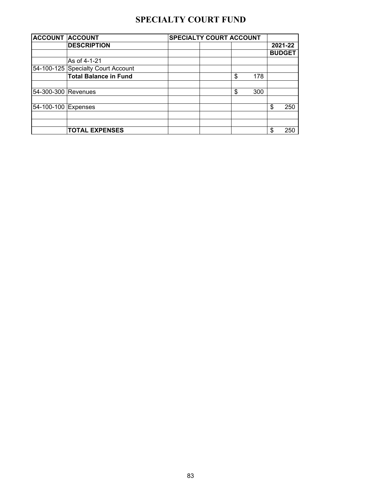## **SPECIALTY COURT FUND**

| <b>ACCOUNT ACCOUNT</b>                     |                                    | <b>SPECIALTY COURT ACCOUNT</b> |     |    |               |  |
|--------------------------------------------|------------------------------------|--------------------------------|-----|----|---------------|--|
|                                            | <b>DESCRIPTION</b>                 |                                |     |    | 2021-22       |  |
|                                            |                                    |                                |     |    | <b>BUDGET</b> |  |
|                                            | As of 4-1-21                       |                                |     |    |               |  |
| 54-300-300 Revenues<br>54-100-100 Expenses | 54-100-125 Specialty Court Account |                                |     |    |               |  |
|                                            | <b>Total Balance in Fund</b>       | \$                             | 178 |    |               |  |
|                                            |                                    | \$                             | 300 |    |               |  |
|                                            |                                    |                                |     | \$ | 250           |  |
|                                            |                                    |                                |     |    |               |  |
|                                            | <b>TOTAL EXPENSES</b>              |                                |     | S  | 250           |  |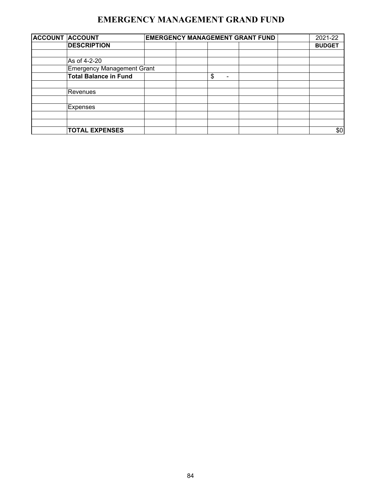### **EMERGENCY MANAGEMENT GRAND FUND**

| <b>ACCOUNT ACCOUNT</b>            |  | <b>EMERGENCY MANAGEMENT GRANT FUND</b> | 2021-22 |               |
|-----------------------------------|--|----------------------------------------|---------|---------------|
| <b>DESCRIPTION</b>                |  |                                        |         | <b>BUDGET</b> |
|                                   |  |                                        |         |               |
| As of 4-2-20                      |  |                                        |         |               |
| <b>Emergency Management Grant</b> |  |                                        |         |               |
| <b>Total Balance in Fund</b>      |  | \$<br>۰                                |         |               |
| Revenues                          |  |                                        |         |               |
| <b>Expenses</b>                   |  |                                        |         |               |
|                                   |  |                                        |         |               |
| <b>TOTAL EXPENSES</b>             |  |                                        |         | \$0           |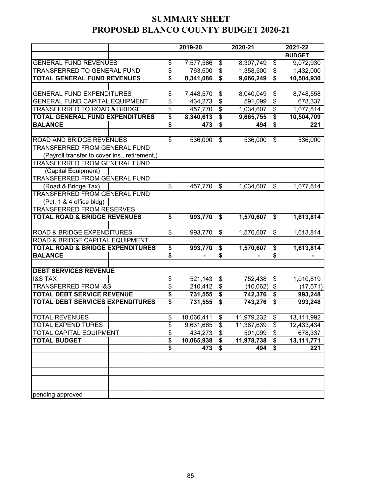#### **SUMMARY SHEET PROPOSED BLANCO COUNTY BUDGET 2020-21**

|                                               |  |  | 2019-20 |            |                                      | 2020-21    | 2021-22                              |               |  |
|-----------------------------------------------|--|--|---------|------------|--------------------------------------|------------|--------------------------------------|---------------|--|
|                                               |  |  |         |            |                                      |            |                                      | <b>BUDGET</b> |  |
| <b>GENERAL FUND REVENUES</b>                  |  |  | \$      | 7,577,586  | \$                                   | 8,307,749  | \$                                   | 9,072,930     |  |
| TRANSFERRED TO GENERAL FUND                   |  |  | \$      | 763,500    | \$                                   | 1,358,500  | \$                                   | 1,432,000     |  |
| <b>TOTAL GENERAL FUND REVENUES</b>            |  |  | \$      | 8,341,086  | \$                                   | 9,666,249  | \$                                   | 10,504,930    |  |
|                                               |  |  |         |            |                                      |            |                                      |               |  |
| <b>GENERAL FUND EXPENDITURES</b>              |  |  | \$      | 7,448,570  | \$                                   | 8,040,049  | \$                                   | 8,748,558     |  |
| <b>GENERAL FUND CAPITAL EQUIPMENT</b>         |  |  | \$      | 434,273    | $\overline{\mathcal{S}}$             | 591,099    | $\overline{\boldsymbol{\theta}}$     | 678,337       |  |
| <b>TRANSFERRED TO ROAD &amp; BRIDGE</b>       |  |  | \$      | 457,770    | $\overline{\mathcal{S}}$             | 1,034,607  | $\overline{\$}$                      | 1,077,814     |  |
| <b>TOTAL GENERAL FUND EXPENDITURES</b>        |  |  | \$      | 8,340,613  | \$                                   | 9,665,755  | \$                                   | 10,504,709    |  |
| <b>BALANCE</b>                                |  |  | \$      | 473        | $\overline{\boldsymbol{\mathsf{s}}}$ | 494        | $\overline{\boldsymbol{\mathsf{s}}}$ | 221           |  |
|                                               |  |  |         |            |                                      |            |                                      |               |  |
| ROAD AND BRIDGE REVENUES                      |  |  | \$      | 536,000    | \$                                   | 536,000    | \$                                   | 536,000       |  |
| TRANSFERRED FROM GENERAL FUND                 |  |  |         |            |                                      |            |                                      |               |  |
| (Payroll transfer to cover ins., retirement,) |  |  |         |            |                                      |            |                                      |               |  |
| TRANSFERRED FROM GENERAL FUND                 |  |  |         |            |                                      |            |                                      |               |  |
| (Capital Equipment)                           |  |  |         |            |                                      |            |                                      |               |  |
| TRANSFERRED FROM GENERAL FUND                 |  |  |         |            |                                      |            |                                      |               |  |
| (Road & Bridge Tax)                           |  |  | \$      | 457,770    | \$                                   | 1,034,607  | \$                                   | 1,077,814     |  |
| TRANSFERRED FROM GENERAL FUND                 |  |  |         |            |                                      |            |                                      |               |  |
| (Pct. 1 & 4 office bldg)                      |  |  |         |            |                                      |            |                                      |               |  |
| TRANSFERRED FROM RESERVES                     |  |  |         |            |                                      |            |                                      |               |  |
| <b>TOTAL ROAD &amp; BRIDGE REVENUES</b>       |  |  | \$      | 993,770    | \$                                   | 1,570,607  | \$                                   | 1,613,814     |  |
|                                               |  |  |         |            |                                      |            |                                      |               |  |
| <b>ROAD &amp; BRIDGE EXPENDITURES</b>         |  |  | \$      | 993,770    | \$                                   | 1,570,607  | \$                                   | 1,613,814     |  |
| ROAD & BRIDGE CAPITAL EQUIPMENT               |  |  |         |            |                                      |            |                                      |               |  |
| <b>TOTAL ROAD &amp; BRIDGE EXPENDITURES</b>   |  |  | \$      | 993,770    | \$                                   | 1,570,607  | \$                                   | 1,613,814     |  |
| <b>BALANCE</b>                                |  |  | \$      |            | \$                                   |            | \$                                   |               |  |
|                                               |  |  |         |            |                                      |            |                                      |               |  |
| <b>DEBT SERVICES REVENUE</b>                  |  |  |         |            |                                      |            |                                      |               |  |
| <b>I&amp;S TAX</b>                            |  |  | \$      | 521,143    | \$                                   | 752,438    | \$                                   | 1,010,819     |  |
| TRANSFERRED FROM I&S                          |  |  | \$      | 210,412    | \$                                   | (10,062)   | \$                                   | (17, 571)     |  |
| <b>TOTAL DEBT SERVICE REVENUE</b>             |  |  | \$      | 731,555    | \$                                   | 742,376    | \$                                   | 993,248       |  |
| <b>TOTAL DEBT SERVICES EXPENDITURES</b>       |  |  | \$      | 731,555    | \$                                   | 743,276    | \$                                   | 993,248       |  |
|                                               |  |  |         |            |                                      |            |                                      |               |  |
| <b>TOTAL REVENUES</b>                         |  |  | \$      | 10,066,411 | \$                                   | 11,979,232 | \$                                   | 13,111,992    |  |
| <b>TOTAL EXPENDITURES</b>                     |  |  | \$      | 9,631,665  | \$                                   | 11,387,639 | \$                                   | 12,433,434    |  |
| <b>TOTAL CAPITAL EQUIPMENT</b>                |  |  | \$      | 434,273    | \$                                   | 591,099    | \$                                   | 678,337       |  |
| <b>TOTAL BUDGET</b>                           |  |  | \$      | 10,065,938 | \$                                   | 11,978,738 | \$                                   | 13,111,771    |  |
|                                               |  |  | \$      | 473        | \$                                   | 494        | \$                                   | 221           |  |
|                                               |  |  |         |            |                                      |            |                                      |               |  |
|                                               |  |  |         |            |                                      |            |                                      |               |  |
|                                               |  |  |         |            |                                      |            |                                      |               |  |
|                                               |  |  |         |            |                                      |            |                                      |               |  |
|                                               |  |  |         |            |                                      |            |                                      |               |  |
| pending approved                              |  |  |         |            |                                      |            |                                      |               |  |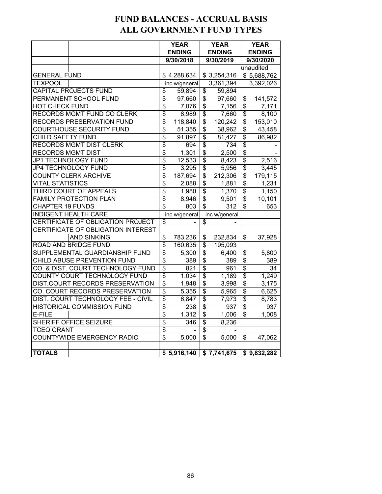## **FUND BALANCES - ACCRUAL BASIS ALL GOVERNMENT FUND TYPES**

|                                    |                                    |                                      | <b>YEAR</b>   |                                      | <b>YEAR</b>   |                                      | <b>YEAR</b>   |  |
|------------------------------------|------------------------------------|--------------------------------------|---------------|--------------------------------------|---------------|--------------------------------------|---------------|--|
|                                    |                                    |                                      | <b>ENDING</b> |                                      | <b>ENDING</b> |                                      | <b>ENDING</b> |  |
|                                    |                                    |                                      | 9/30/2018     |                                      | 9/30/2019     |                                      | 9/30/2020     |  |
|                                    |                                    |                                      |               |                                      |               |                                      | unaudited     |  |
| <b>GENERAL FUND</b>                |                                    |                                      | \$4,288,634   |                                      | \$3,254,316   |                                      | \$5,688,762   |  |
| <b>TEXPOOL</b>                     |                                    |                                      | inc w/general |                                      | 3,361,394     |                                      | 3,392,026     |  |
|                                    | CAPITAL PROJECTS FUND              | \$                                   | 59,894        | \$                                   | 59,894        |                                      |               |  |
|                                    | PERMANENT SCHOOL FUND              | $\overline{\$}$                      | 97,660        | $\overline{\$}$                      | 97,660        | $\overline{\mathbf{S}}$<br>141,572   |               |  |
| <b>HOT CHECK FUND</b>              |                                    | $\overline{\mathbf{S}}$              | 7,076         | \$                                   | 7,156         | $\overline{\mathbf{S}}$              | 7,171         |  |
|                                    | RECORDS MGMT FUND CO CLERK         | $\overline{\mathbf{S}}$              | 8,989         | \$                                   | 7,660         | \$                                   | 8,100         |  |
|                                    | RECORDS PRESERVATION FUND          | \$                                   | 118,840       | \$                                   | 120,242       | \$                                   | 153,010       |  |
|                                    | <b>COURTHOUSE SECURITY FUND</b>    | \$                                   | 51,355        | \$                                   | 38,962        | \$                                   | 43,458        |  |
| CHILD SAFETY FUND                  |                                    | $\overline{\$}$                      | 91,897        | $\overline{\boldsymbol{\mathsf{S}}}$ | 81,427        | \$                                   | 86,982        |  |
|                                    | RECORDS MGMT DIST CLERK            | \$                                   | 694           | $\overline{\boldsymbol{\theta}}$     | 734           | \$                                   |               |  |
| <b>RECORDS MGMT DIST</b>           |                                    | $\overline{\$}$                      | 1,301         | $\overline{\boldsymbol{\mathsf{s}}}$ | 2,500         | $\overline{\mathbf{S}}$              |               |  |
|                                    | JP1 TECHNOLOGY FUND                | \$                                   | 12,533        | \$                                   | 8,423         | \$                                   | 2,516         |  |
|                                    | JP4 TECHNOLOGY FUND                | \$                                   | 3,295         | \$                                   | 5,956         | \$                                   | 3,445         |  |
|                                    | <b>COUNTY CLERK ARCHIVE</b>        | $\overline{\mathbf{S}}$              | 187,694       | \$                                   | 212,306       | \$                                   | 179, 115      |  |
| <b>VITAL STATISTICS</b>            |                                    | $\overline{\$}$                      | 2,088         | $\overline{\$}$                      | 1,881         | $\overline{\boldsymbol{\mathsf{S}}}$ | 1,231         |  |
|                                    | THIRD COURT OF APPEALS             | \$                                   | 1,980         | \$                                   | 1,370         | \$                                   | 1,150         |  |
|                                    | <b>FAMILY PROTECTION PLAN</b>      | \$                                   | 8,946         | \$                                   | 9,501         | \$                                   | 10,101        |  |
| <b>CHAPTER 19 FUNDS</b>            |                                    | \$                                   | 803           | \$                                   | 312           | \$                                   | 653           |  |
|                                    | <b>INDIGENT HEALTH CARE</b>        |                                      | inc w/general |                                      | inc w/general |                                      |               |  |
|                                    | CERTIFICATE OF OBLIGATION PROJECT  | $\overline{\mathcal{S}}$             |               | \$                                   |               |                                      |               |  |
|                                    | CERTIFICATE OF OBLIGATION INTEREST |                                      |               |                                      |               |                                      |               |  |
|                                    | <b>AND SINKING</b>                 | $\overline{\boldsymbol{\theta}}$     | 783,236       | $\overline{\boldsymbol{\epsilon}}$   | 232,834       | $\overline{\mathcal{S}}$             | 37,928        |  |
|                                    | <b>ROAD AND BRIDGE FUND</b>        | $\overline{\$}$                      | 160,635       | \$                                   | 195,093       |                                      |               |  |
|                                    | SUPPLEMENTAL GUARDIANSHIP FUND     | $\overline{\$}$                      | 5,300         | \$                                   | 6,400         | \$                                   | 5,800         |  |
|                                    | CHILD ABUSE PREVENTION FUND        | $\overline{\$}$                      | 389           | $\overline{\$}$                      | 389           | $\overline{\$}$                      | 389           |  |
|                                    | CO. & DIST. COURT TECHNOLOGY FUND  | $\overline{\$}$                      | 821           | $\overline{\$}$                      | 961           | $\overline{\$}$                      | 34            |  |
|                                    | COUNTY COURT TECHNOLOGY FUND       | $\overline{\$}$                      | 1,034         | $\overline{\boldsymbol{\mathsf{s}}}$ | 1,189         | $\overline{\mathbf{S}}$              | 1,249         |  |
|                                    | DIST.COURT RECORDS PRESERVATION    | \$                                   | 1,948         | \$                                   | 3,998         | \$                                   | 3,175         |  |
|                                    | CO. COURT RECORDS PRESERVATION     | \$<br>$\overline{\mathbf{S}}$        | 5,355         | \$                                   | 5,965         | \$                                   | 6,625         |  |
| DIST. COURT TECHNOLOGY FEE - CIVIL |                                    |                                      | 6,847         | $\overline{\boldsymbol{\mathsf{s}}}$ | 7,973         | \$                                   | 8,783         |  |
|                                    | HISTORICAL COMMISSION FUND         | $\overline{\$}$                      | 238           | $\overline{\$}$                      | 937           | $\overline{\boldsymbol{\mathsf{S}}}$ | 937           |  |
| E-FILE                             |                                    | $\overline{\mathcal{G}}$             | 1,312         | \$                                   | 1,006         | \$                                   | 1,008         |  |
|                                    | SHERIFF OFFICE SEIZURE             | $\overline{\boldsymbol{\mathsf{S}}}$ | 346           | \$                                   | 8,236         |                                      |               |  |
| <b>TCEQ GRANT</b>                  |                                    | \$                                   |               | \$                                   |               |                                      |               |  |
|                                    | COUNTYWIDE EMERGENCY RADIO         | $\overline{\mathbb{S}}$              | 5,000         | $\overline{\$}$                      | 5,000         | \$                                   | 47,062        |  |
|                                    |                                    |                                      |               |                                      |               |                                      |               |  |
| <b>TOTALS</b>                      |                                    |                                      | \$5,916,140   |                                      | \$7,741,675   |                                      | \$9,832,282   |  |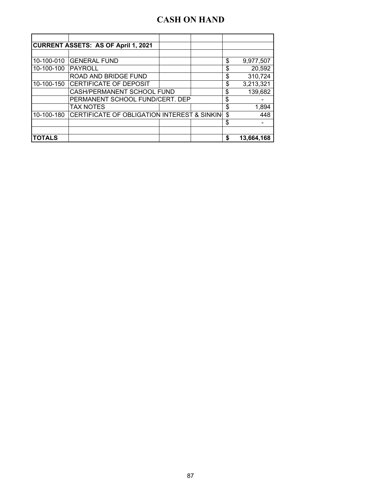## **CASH ON HAND**

| <b>CURRENT ASSETS: AS OF April 1, 2021</b> |                                             |               |                  |
|--------------------------------------------|---------------------------------------------|---------------|------------------|
|                                            |                                             |               |                  |
| 10-100-010                                 | <b>GENERAL FUND</b>                         |               | \$<br>9,977,507  |
| 10-100-100                                 | <b>PAYROLL</b>                              |               | \$<br>20,592     |
|                                            | ROAD AND BRIDGE FUND                        |               | \$<br>310,724    |
| 10-100-150                                 | CERTIFICATE OF DEPOSIT                      |               | \$<br>3,213,321  |
|                                            | CASH/PERMANENT SCHOOL FUND                  | \$<br>139,682 |                  |
|                                            | PERMANENT SCHOOL FUND/CERT. DEP             | \$            |                  |
|                                            | <b>TAX NOTES</b>                            |               | \$<br>1,894      |
| 10-100-180                                 | CERTIFICATE OF OBLIGATION INTEREST & SINKIN |               | \$<br>448        |
|                                            |                                             |               | \$               |
|                                            |                                             |               |                  |
| <b>TOTALS</b>                              |                                             |               | \$<br>13,664,168 |